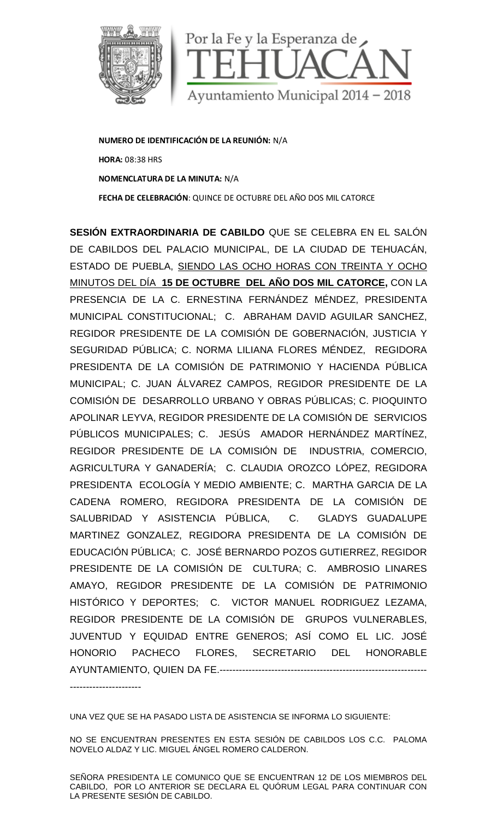

**NUMERO DE IDENTIFICACIÓN DE LA REUNIÓN:** N/A **HORA:** 08:38 HRS **NOMENCLATURA DE LA MINUTA:** N/A **FECHA DE CELEBRACIÓN**: QUINCE DE OCTUBRE DEL AÑO DOS MIL CATORCE

**SESIÓN EXTRAORDINARIA DE CABILDO** QUE SE CELEBRA EN EL SALÓN DE CABILDOS DEL PALACIO MUNICIPAL, DE LA CIUDAD DE TEHUACÁN, ESTADO DE PUEBLA, SIENDO LAS OCHO HORAS CON TREINTA Y OCHO MINUTOS DEL DÍA **15 DE OCTUBRE DEL AÑO DOS MIL CATORCE,** CON LA PRESENCIA DE LA C. ERNESTINA FERNÁNDEZ MÉNDEZ, PRESIDENTA MUNICIPAL CONSTITUCIONAL; C. ABRAHAM DAVID AGUILAR SANCHEZ, REGIDOR PRESIDENTE DE LA COMISIÓN DE GOBERNACIÓN, JUSTICIA Y SEGURIDAD PÚBLICA; C. NORMA LILIANA FLORES MÉNDEZ, REGIDORA PRESIDENTA DE LA COMISIÓN DE PATRIMONIO Y HACIENDA PÚBLICA MUNICIPAL; C. JUAN ÁLVAREZ CAMPOS, REGIDOR PRESIDENTE DE LA COMISIÓN DE DESARROLLO URBANO Y OBRAS PÚBLICAS; C. PIOQUINTO APOLINAR LEYVA, REGIDOR PRESIDENTE DE LA COMISIÓN DE SERVICIOS PÚBLICOS MUNICIPALES; C. JESÚS AMADOR HERNÁNDEZ MARTÍNEZ, REGIDOR PRESIDENTE DE LA COMISIÓN DE INDUSTRIA, COMERCIO, AGRICULTURA Y GANADERÍA; C. CLAUDIA OROZCO LÓPEZ, REGIDORA PRESIDENTA ECOLOGÍA Y MEDIO AMBIENTE; C. MARTHA GARCIA DE LA CADENA ROMERO, REGIDORA PRESIDENTA DE LA COMISIÓN DE SALUBRIDAD Y ASISTENCIA PÚBLICA, C. GLADYS GUADALUPE MARTINEZ GONZALEZ, REGIDORA PRESIDENTA DE LA COMISIÓN DE EDUCACIÓN PÚBLICA; C. JOSÉ BERNARDO POZOS GUTIERREZ, REGIDOR PRESIDENTE DE LA COMISIÓN DE CULTURA; C. AMBROSIO LINARES AMAYO, REGIDOR PRESIDENTE DE LA COMISIÓN DE PATRIMONIO HISTÓRICO Y DEPORTES; C. VICTOR MANUEL RODRIGUEZ LEZAMA, REGIDOR PRESIDENTE DE LA COMISIÓN DE GRUPOS VULNERABLES, JUVENTUD Y EQUIDAD ENTRE GENEROS; ASÍ COMO EL LIC. JOSÉ HONORIO PACHECO FLORES, SECRETARIO DEL HONORABLE AYUNTAMIENTO, QUIEN DA FE.-----------------------------------

----------------------

UNA VEZ QUE SE HA PASADO LISTA DE ASISTENCIA SE INFORMA LO SIGUIENTE:

NO SE ENCUENTRAN PRESENTES EN ESTA SESIÓN DE CABILDOS LOS C.C. PALOMA NOVELO ALDAZ Y LIC. MIGUEL ÁNGEL ROMERO CALDERON.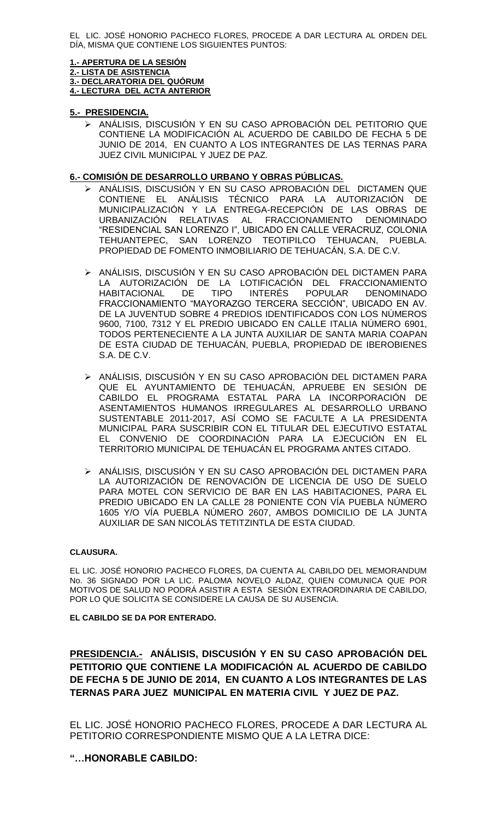EL LIC. JOSÉ HONORIO PACHECO FLORES, PROCEDE A DAR LECTURA AL ORDEN DEL DÍA, MISMA QUE CONTIENE LOS SIGUIENTES PUNTOS:

## **1.- APERTURA DE LA SESIÓN**

**2.- LISTA DE ASISTENCIA**

**3.- DECLARATORIA DEL QUÓRUM 4.- LECTURA DEL ACTA ANTERIOR**

## **5.- PRESIDENCIA.**

> ANÁLISIS, DISCUSIÓN Y EN SU CASO APROBACIÓN DEL PETITORIO QUE CONTIENE LA MODIFICACIÓN AL ACUERDO DE CABILDO DE FECHA 5 DE JUNIO DE 2014, EN CUANTO A LOS INTEGRANTES DE LAS TERNAS PARA JUEZ CIVIL MUNICIPAL Y JUEZ DE PAZ.

## **6.- COMISIÓN DE DESARROLLO URBANO Y OBRAS PÚBLICAS.**

- > ANÁLISIS, DISCUSIÓN Y EN SU CASO APROBACIÓN DEL DICTAMEN QUE CONTIENE EL ANÁLISIS TÉCNICO PARA LA AUTORIZACIÓN DE MUNICIPALIZACIÓN Y LA ENTREGA-RECEPCIÓN DE LAS OBRAS DE URBANIZACIÓN RELATIVAS AL FRACCIONAMIENTO DENOMINADO "RESIDENCIAL SAN LORENZO I", UBICADO EN CALLE VERACRUZ, COLONIA TEHUANTEPEC, SAN LORENZO TEOTIPILCO TEHUACAN, PUEBLA. PROPIEDAD DE FOMENTO INMOBILIARIO DE TEHUACÁN, S.A. DE C.V.
- > ANÁLISIS, DISCUSIÓN Y EN SU CASO APROBACIÓN DEL DICTAMEN PARA LA AUTORIZACIÓN DE LA LOTIFICACIÓN DEL FRACCIONAMIENTO<br>HABITACIONAL DE TIPO INTERÉS POPULAR DENOMINADO HABITACIONAL DE TIPO INTERÉS POPULAR DENOMINADO FRACCIONAMIENTO "MAYORAZGO TERCERA SECCIÓN", UBICADO EN AV. DE LA JUVENTUD SOBRE 4 PREDIOS IDENTIFICADOS CON LOS NÚMEROS 9600, 7100, 7312 Y EL PREDIO UBICADO EN CALLE ITALIA NÚMERO 6901, TODOS PERTENECIENTE A LA JUNTA AUXILIAR DE SANTA MARIA COAPAN DE ESTA CIUDAD DE TEHUACÁN, PUEBLA, PROPIEDAD DE IBEROBIENES S.A. DE C.V.
- ANÁLISIS, DISCUSIÓN Y EN SU CASO APROBACIÓN DEL DICTAMEN PARA QUE EL AYUNTAMIENTO DE TEHUACÁN, APRUEBE EN SESIÓN DE CABILDO EL PROGRAMA ESTATAL PARA LA INCORPORACIÓN DE ASENTAMIENTOS HUMANOS IRREGULARES AL DESARROLLO URBANO SUSTENTABLE 2011-2017, ASÍ COMO SE FACULTE A LA PRESIDENTA MUNICIPAL PARA SUSCRIBIR CON EL TITULAR DEL EJECUTIVO ESTATAL EL CONVENIO DE COORDINACIÓN PARA LA EJECUCIÓN EN EL TERRITORIO MUNICIPAL DE TEHUACÁN EL PROGRAMA ANTES CITADO.
- > ANÁLISIS, DISCUSIÓN Y EN SU CASO APROBACIÓN DEL DICTAMEN PARA LA AUTORIZACIÓN DE RENOVACIÓN DE LICENCIA DE USO DE SUELO PARA MOTEL CON SERVICIO DE BAR EN LAS HABITACIONES, PARA EL PREDIO UBICADO EN LA CALLE 28 PONIENTE CON VÍA PUEBLA NÚMERO 1605 Y/O VÍA PUEBLA NÚMERO 2607, AMBOS DOMICILIO DE LA JUNTA AUXILIAR DE SAN NICOLÁS TETITZINTLA DE ESTA CIUDAD.

#### **CLAUSURA.**

EL LIC. JOSÉ HONORIO PACHECO FLORES, DA CUENTA AL CABILDO DEL MEMORANDUM No. 36 SIGNADO POR LA LIC. PALOMA NOVELO ALDAZ, QUIEN COMUNICA QUE POR MOTIVOS DE SALUD NO PODRÁ ASISTIR A ESTA SESIÓN EXTRAORDINARIA DE CABILDO, POR LO QUE SOLICITA SE CONSIDERE LA CAUSA DE SU AUSENCIA.

## **EL CABILDO SE DA POR ENTERADO.**

**PRESIDENCIA.- ANÁLISIS, DISCUSIÓN Y EN SU CASO APROBACIÓN DEL PETITORIO QUE CONTIENE LA MODIFICACIÓN AL ACUERDO DE CABILDO DE FECHA 5 DE JUNIO DE 2014, EN CUANTO A LOS INTEGRANTES DE LAS TERNAS PARA JUEZ MUNICIPAL EN MATERIA CIVIL Y JUEZ DE PAZ.**

EL LIC. JOSÉ HONORIO PACHECO FLORES, PROCEDE A DAR LECTURA AL PETITORIO CORRESPONDIENTE MISMO QUE A LA LETRA DICE:

## **"…HONORABLE CABILDO:**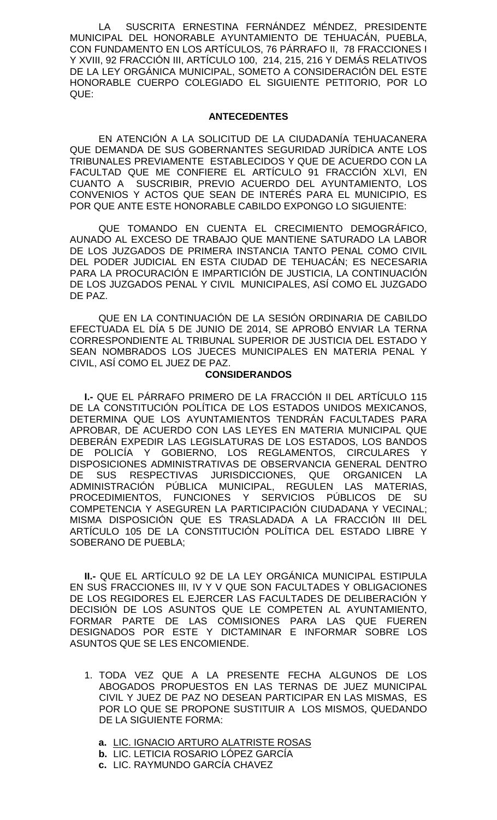LA SUSCRITA ERNESTINA FERNÁNDEZ MÉNDEZ, PRESIDENTE MUNICIPAL DEL HONORABLE AYUNTAMIENTO DE TEHUACÁN, PUEBLA, CON FUNDAMENTO EN LOS ARTÍCULOS, 76 PÁRRAFO II, 78 FRACCIONES I Y XVIII, 92 FRACCIÓN III, ARTÍCULO 100, 214, 215, 216 Y DEMÁS RELATIVOS DE LA LEY ORGÁNICA MUNICIPAL, SOMETO A CONSIDERACIÓN DEL ESTE HONORABLE CUERPO COLEGIADO EL SIGUIENTE PETITORIO, POR LO QUE:

#### **ANTECEDENTES**

EN ATENCIÓN A LA SOLICITUD DE LA CIUDADANÍA TEHUACANERA QUE DEMANDA DE SUS GOBERNANTES SEGURIDAD JURÍDICA ANTE LOS TRIBUNALES PREVIAMENTE ESTABLECIDOS Y QUE DE ACUERDO CON LA FACULTAD QUE ME CONFIERE EL ARTÍCULO 91 FRACCIÓN XLVI, EN CUANTO A SUSCRIBIR, PREVIO ACUERDO DEL AYUNTAMIENTO, LOS CONVENIOS Y ACTOS QUE SEAN DE INTERÉS PARA EL MUNICIPIO, ES POR QUE ANTE ESTE HONORABLE CABILDO EXPONGO LO SIGUIENTE:

QUE TOMANDO EN CUENTA EL CRECIMIENTO DEMOGRÁFICO, AUNADO AL EXCESO DE TRABAJO QUE MANTIENE SATURADO LA LABOR DE LOS JUZGADOS DE PRIMERA INSTANCIA TANTO PENAL COMO CIVIL DEL PODER JUDICIAL EN ESTA CIUDAD DE TEHUACÁN; ES NECESARIA PARA LA PROCURACIÓN E IMPARTICIÓN DE JUSTICIA, LA CONTINUACIÓN DE LOS JUZGADOS PENAL Y CIVIL MUNICIPALES, ASÍ COMO EL JUZGADO DE PAZ.

QUE EN LA CONTINUACIÓN DE LA SESIÓN ORDINARIA DE CABILDO EFECTUADA EL DÍA 5 DE JUNIO DE 2014, SE APROBÓ ENVIAR LA TERNA CORRESPONDIENTE AL TRIBUNAL SUPERIOR DE JUSTICIA DEL ESTADO Y SEAN NOMBRADOS LOS JUECES MUNICIPALES EN MATERIA PENAL Y CIVIL, ASÍ COMO EL JUEZ DE PAZ.

## **CONSIDERANDOS**

**I.-** QUE EL PÁRRAFO PRIMERO DE LA FRACCIÓN II DEL ARTÍCULO 115 DE LA CONSTITUCIÓN POLÍTICA DE LOS ESTADOS UNIDOS MEXICANOS, DETERMINA QUE LOS AYUNTAMIENTOS TENDRÁN FACULTADES PARA APROBAR, DE ACUERDO CON LAS LEYES EN MATERIA MUNICIPAL QUE DEBERÁN EXPEDIR LAS LEGISLATURAS DE LOS ESTADOS, LOS BANDOS DE POLICÍA Y GOBIERNO, LOS REGLAMENTOS, CIRCULARES Y DISPOSICIONES ADMINISTRATIVAS DE OBSERVANCIA GENERAL DENTRO DE SUS RESPECTIVAS JURISDICCIONES, QUE ORGANICEN LA ADMINISTRACIÓN PÚBLICA MUNICIPAL, REGULEN LAS MATERIAS, PROCEDIMIENTOS, FUNCIONES Y SERVICIOS PÚBLICOS DE SU COMPETENCIA Y ASEGUREN LA PARTICIPACIÓN CIUDADANA Y VECINAL; MISMA DISPOSICIÓN QUE ES TRASLADADA A LA FRACCIÓN III DEL ARTÍCULO 105 DE LA CONSTITUCIÓN POLÍTICA DEL ESTADO LIBRE Y SOBERANO DE PUEBLA;

**II.-** QUE EL ARTÍCULO 92 DE LA LEY ORGÁNICA MUNICIPAL ESTIPULA EN SUS FRACCIONES III, IV Y V QUE SON FACULTADES Y OBLIGACIONES DE LOS REGIDORES EL EJERCER LAS FACULTADES DE DELIBERACIÓN Y DECISIÓN DE LOS ASUNTOS QUE LE COMPETEN AL AYUNTAMIENTO, FORMAR PARTE DE LAS COMISIONES PARA LAS QUE FUEREN DESIGNADOS POR ESTE Y DICTAMINAR E INFORMAR SOBRE LOS ASUNTOS QUE SE LES ENCOMIENDE.

- 1. TODA VEZ QUE A LA PRESENTE FECHA ALGUNOS DE LOS ABOGADOS PROPUESTOS EN LAS TERNAS DE JUEZ MUNICIPAL CIVIL Y JUEZ DE PAZ NO DESEAN PARTICIPAR EN LAS MISMAS, ES POR LO QUE SE PROPONE SUSTITUIR A LOS MISMOS, QUEDANDO DE LA SIGUIENTE FORMA:
	- **a.** LIC. IGNACIO ARTURO ALATRISTE ROSAS
	- **b.** LIC. LETICIA ROSARIO LÓPEZ GARCÍA
	- **c.** LIC. RAYMUNDO GARCÍA CHAVEZ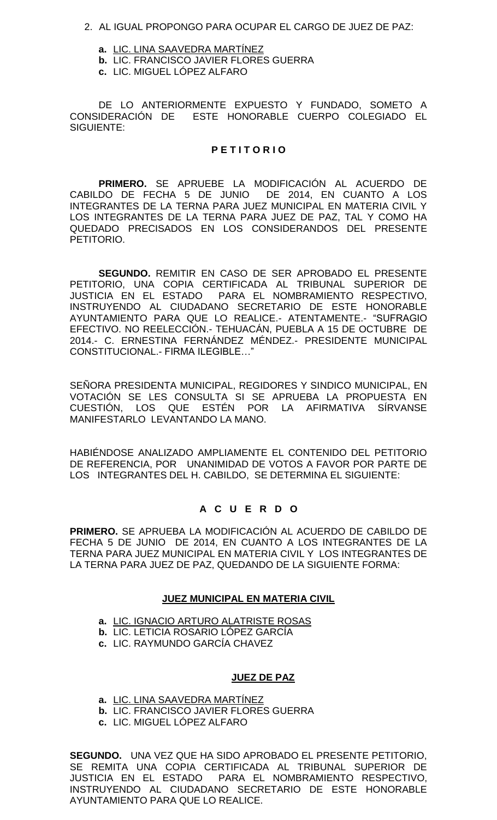- 2. AL IGUAL PROPONGO PARA OCUPAR EL CARGO DE JUEZ DE PAZ:
	- **a.** LIC. LINA SAAVEDRA MARTÍNEZ
	- **b.** LIC. FRANCISCO JAVIER FLORES GUERRA
	- **c.** LIC. MIGUEL LÓPEZ ALFARO

DE LO ANTERIORMENTE EXPUESTO Y FUNDADO, SOMETO A CONSIDERACIÓN DE ESTE HONORABLE CUERPO COLEGIADO EL SIGUIENTE:

## **P E T I T O R I O**

**PRIMERO.** SE APRUEBE LA MODIFICACIÓN AL ACUERDO DE CABILDO DE FECHA 5 DE JUNIO DE 2014, EN CUANTO A LOS INTEGRANTES DE LA TERNA PARA JUEZ MUNICIPAL EN MATERIA CIVIL Y LOS INTEGRANTES DE LA TERNA PARA JUEZ DE PAZ, TAL Y COMO HA QUEDADO PRECISADOS EN LOS CONSIDERANDOS DEL PRESENTE PETITORIO.

**SEGUNDO.** REMITIR EN CASO DE SER APROBADO EL PRESENTE PETITORIO, UNA COPIA CERTIFICADA AL TRIBUNAL SUPERIOR DE JUSTICIA EN EL ESTADO PARA EL NOMBRAMIENTO RESPECTIVO, INSTRUYENDO AL CIUDADANO SECRETARIO DE ESTE HONORABLE AYUNTAMIENTO PARA QUE LO REALICE.- ATENTAMENTE.- "SUFRAGIO EFECTIVO. NO REELECCIÓN.- TEHUACÁN, PUEBLA A 15 DE OCTUBRE DE 2014.- C. ERNESTINA FERNÁNDEZ MÉNDEZ.- PRESIDENTE MUNICIPAL CONSTITUCIONAL.- FIRMA ILEGIBLE…"

SEÑORA PRESIDENTA MUNICIPAL, REGIDORES Y SINDICO MUNICIPAL, EN VOTACIÓN SE LES CONSULTA SI SE APRUEBA LA PROPUESTA EN CUESTIÓN, LOS QUE ESTÉN POR LA AFIRMATIVA SÍRVANSE MANIFESTARLO LEVANTANDO LA MANO.

HABIÉNDOSE ANALIZADO AMPLIAMENTE EL CONTENIDO DEL PETITORIO DE REFERENCIA, POR UNANIMIDAD DE VOTOS A FAVOR POR PARTE DE LOS INTEGRANTES DEL H. CABILDO, SE DETERMINA EL SIGUIENTE:

## **A C U E R D O**

**PRIMERO.** SE APRUEBA LA MODIFICACIÓN AL ACUERDO DE CABILDO DE FECHA 5 DE JUNIO DE 2014, EN CUANTO A LOS INTEGRANTES DE LA TERNA PARA JUEZ MUNICIPAL EN MATERIA CIVIL Y LOS INTEGRANTES DE LA TERNA PARA JUEZ DE PAZ, QUEDANDO DE LA SIGUIENTE FORMA:

## **JUEZ MUNICIPAL EN MATERIA CIVIL**

- **a.** LIC. IGNACIO ARTURO ALATRISTE ROSAS
- **b.** LIC. LETICIA ROSARIO LÓPEZ GARCÍA
- **c.** LIC. RAYMUNDO GARCÍA CHAVEZ

## **JUEZ DE PAZ**

- **a.** LIC. LINA SAAVEDRA MARTÍNEZ
- **b.** LIC. FRANCISCO JAVIER FLORES GUERRA
- **c.** LIC. MIGUEL LÓPEZ ALFARO

**SEGUNDO.** UNA VEZ QUE HA SIDO APROBADO EL PRESENTE PETITORIO, SE REMITA UNA COPIA CERTIFICADA AL TRIBUNAL SUPERIOR DE JUSTICIA EN EL ESTADO PARA EL NOMBRAMIENTO RESPECTIVO, INSTRUYENDO AL CIUDADANO SECRETARIO DE ESTE HONORABLE AYUNTAMIENTO PARA QUE LO REALICE.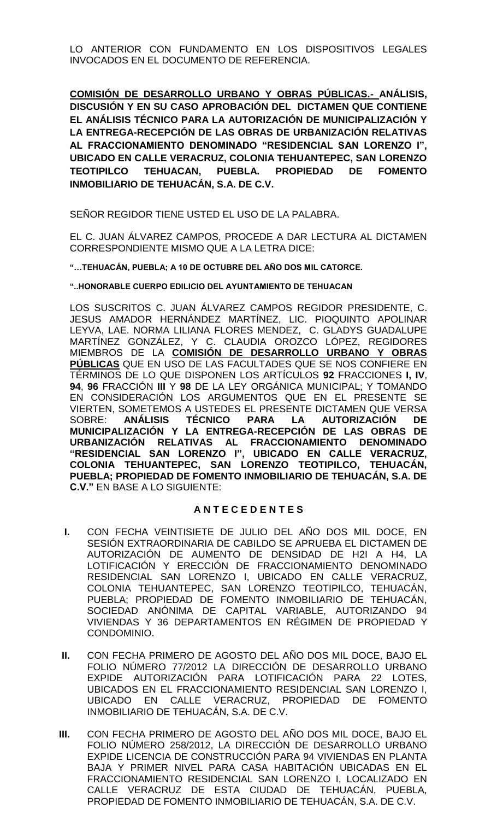LO ANTERIOR CON FUNDAMENTO EN LOS DISPOSITIVOS LEGALES INVOCADOS EN EL DOCUMENTO DE REFERENCIA.

**COMISIÓN DE DESARROLLO URBANO Y OBRAS PÚBLICAS.- ANÁLISIS, DISCUSIÓN Y EN SU CASO APROBACIÓN DEL DICTAMEN QUE CONTIENE EL ANÁLISIS TÉCNICO PARA LA AUTORIZACIÓN DE MUNICIPALIZACIÓN Y LA ENTREGA-RECEPCIÓN DE LAS OBRAS DE URBANIZACIÓN RELATIVAS AL FRACCIONAMIENTO DENOMINADO "RESIDENCIAL SAN LORENZO I", UBICADO EN CALLE VERACRUZ, COLONIA TEHUANTEPEC, SAN LORENZO TEOTIPILCO TEHUACAN, PUEBLA. PROPIEDAD DE FOMENTO INMOBILIARIO DE TEHUACÁN, S.A. DE C.V.**

SEÑOR REGIDOR TIENE USTED EL USO DE LA PALABRA.

EL C. JUAN ÁLVAREZ CAMPOS, PROCEDE A DAR LECTURA AL DICTAMEN CORRESPONDIENTE MISMO QUE A LA LETRA DICE:

**"…TEHUACÁN, PUEBLA; A 10 DE OCTUBRE DEL AÑO DOS MIL CATORCE.**

**"..HONORABLE CUERPO EDILICIO DEL AYUNTAMIENTO DE TEHUACAN**

LOS SUSCRITOS C. JUAN ÁLVAREZ CAMPOS REGIDOR PRESIDENTE, C. JESUS AMADOR HERNÁNDEZ MARTÍNEZ, LIC. PIOQUINTO APOLINAR LEYVA, LAE. NORMA LILIANA FLORES MENDEZ, C. GLADYS GUADALUPE MARTÍNEZ GONZÁLEZ, Y C. CLAUDIA OROZCO LÓPEZ, REGIDORES MIEMBROS DE LA **COMISIÓN DE DESARROLLO URBANO Y OBRAS PÚBLICAS** QUE EN USO DE LAS FACULTADES QUE SE NOS CONFIERE EN TÉRMINOS DE LO QUE DISPONEN LOS ARTÍCULOS **92** FRACCIONES **I, IV**, **94**, **96** FRACCIÓN **III** Y **98** DE LA LEY ORGÁNICA MUNICIPAL; Y TOMANDO EN CONSIDERACIÓN LOS ARGUMENTOS QUE EN EL PRESENTE SE VIERTEN, SOMETEMOS A USTEDES EL PRESENTE DICTAMEN QUE VERSA SOBRE: **ANÁLISIS TÉCNICO PARA LA AUTORIZACIÓN DE MUNICIPALIZACIÓN Y LA ENTREGA-RECEPCIÓN DE LAS OBRAS DE URBANIZACIÓN RELATIVAS AL FRACCIONAMIENTO DENOMINADO "RESIDENCIAL SAN LORENZO I", UBICADO EN CALLE VERACRUZ, COLONIA TEHUANTEPEC, SAN LORENZO TEOTIPILCO, TEHUACÁN, PUEBLA; PROPIEDAD DE FOMENTO INMOBILIARIO DE TEHUACÁN, S.A. DE C.V."** EN BASE A LO SIGUIENTE:

# **A N T E C E D E N T E S**

- **I.** CON FECHA VEINTISIETE DE JULIO DEL AÑO DOS MIL DOCE, EN SESIÓN EXTRAORDINARIA DE CABILDO SE APRUEBA EL DICTAMEN DE AUTORIZACIÓN DE AUMENTO DE DENSIDAD DE H2I A H4, LA LOTIFICACIÓN Y ERECCIÓN DE FRACCIONAMIENTO DENOMINADO RESIDENCIAL SAN LORENZO I, UBICADO EN CALLE VERACRUZ, COLONIA TEHUANTEPEC, SAN LORENZO TEOTIPILCO, TEHUACÁN, PUEBLA; PROPIEDAD DE FOMENTO INMOBILIARIO DE TEHUACÁN, SOCIEDAD ANÓNIMA DE CAPITAL VARIABLE, AUTORIZANDO 94 VIVIENDAS Y 36 DEPARTAMENTOS EN RÉGIMEN DE PROPIEDAD Y CONDOMINIO.
- **II.** CON FECHA PRIMERO DE AGOSTO DEL AÑO DOS MIL DOCE, BAJO EL FOLIO NÚMERO 77/2012 LA DIRECCIÓN DE DESARROLLO URBANO EXPIDE AUTORIZACIÓN PARA LOTIFICACIÓN PARA 22 LOTES, UBICADOS EN EL FRACCIONAMIENTO RESIDENCIAL SAN LORENZO I, UBICADO EN CALLE VERACRUZ, PROPIEDAD DE FOMENTO INMOBILIARIO DE TEHUACÁN, S.A. DE C.V.
- **III.** CON FECHA PRIMERO DE AGOSTO DEL AÑO DOS MIL DOCE, BAJO EL FOLIO NÚMERO 258/2012, LA DIRECCIÓN DE DESARROLLO URBANO EXPIDE LICENCIA DE CONSTRUCCIÓN PARA 94 VIVIENDAS EN PLANTA BAJA Y PRIMER NIVEL PARA CASA HABITACIÓN UBICADAS EN EL FRACCIONAMIENTO RESIDENCIAL SAN LORENZO I, LOCALIZADO EN CALLE VERACRUZ DE ESTA CIUDAD DE TEHUACÁN, PUEBLA, PROPIEDAD DE FOMENTO INMOBILIARIO DE TEHUACÁN, S.A. DE C.V.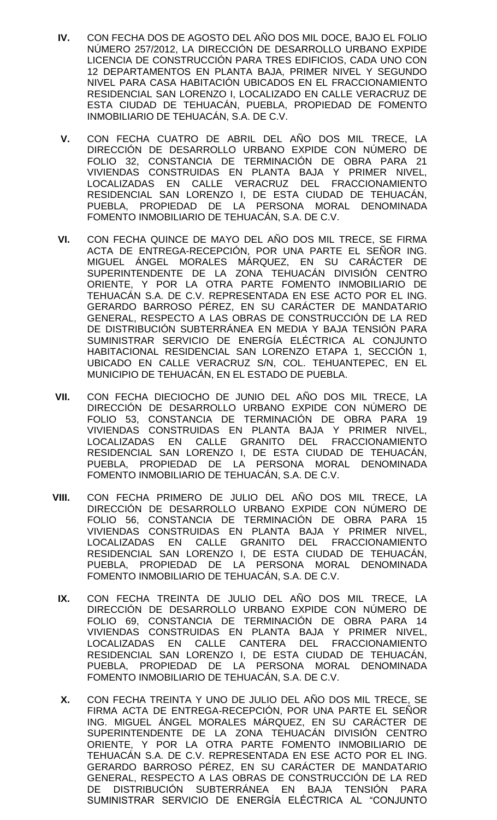- **IV.** CON FECHA DOS DE AGOSTO DEL AÑO DOS MIL DOCE, BAJO EL FOLIO NÚMERO 257/2012, LA DIRECCIÓN DE DESARROLLO URBANO EXPIDE LICENCIA DE CONSTRUCCIÓN PARA TRES EDIFICIOS, CADA UNO CON 12 DEPARTAMENTOS EN PLANTA BAJA, PRIMER NIVEL Y SEGUNDO NIVEL PARA CASA HABITACIÓN UBICADOS EN EL FRACCIONAMIENTO RESIDENCIAL SAN LORENZO I, LOCALIZADO EN CALLE VERACRUZ DE ESTA CIUDAD DE TEHUACÁN, PUEBLA, PROPIEDAD DE FOMENTO INMOBILIARIO DE TEHUACÁN, S.A. DE C.V.
- **V.** CON FECHA CUATRO DE ABRIL DEL AÑO DOS MIL TRECE, LA DIRECCIÓN DE DESARROLLO URBANO EXPIDE CON NÚMERO DE FOLIO 32, CONSTANCIA DE TERMINACIÓN DE OBRA PARA 21 VIVIENDAS CONSTRUIDAS EN PLANTA BAJA Y PRIMER NIVEL, LOCALIZADAS EN CALLE VERACRUZ DEL FRACCIONAMIENTO RESIDENCIAL SAN LORENZO I, DE ESTA CIUDAD DE TEHUACÁN, PUEBLA, PROPIEDAD DE LA PERSONA MORAL DENOMINADA FOMENTO INMOBILIARIO DE TEHUACÁN, S.A. DE C.V.
- **VI.** CON FECHA QUINCE DE MAYO DEL AÑO DOS MIL TRECE, SE FIRMA ACTA DE ENTREGA-RECEPCIÓN, POR UNA PARTE EL SEÑOR ING. MIGUEL ÁNGEL MORALES MÁRQUEZ, EN SU CARÁCTER DE SUPERINTENDENTE DE LA ZONA TEHUACÁN DIVISIÓN CENTRO ORIENTE, Y POR LA OTRA PARTE FOMENTO INMOBILIARIO DE TEHUACÁN S.A. DE C.V. REPRESENTADA EN ESE ACTO POR EL ING. GERARDO BARROSO PÉREZ, EN SU CARÁCTER DE MANDATARIO GENERAL, RESPECTO A LAS OBRAS DE CONSTRUCCIÓN DE LA RED DE DISTRIBUCIÓN SUBTERRÁNEA EN MEDIA Y BAJA TENSIÓN PARA SUMINISTRAR SERVICIO DE ENERGÍA ELÉCTRICA AL CONJUNTO HABITACIONAL RESIDENCIAL SAN LORENZO ETAPA 1, SECCIÓN 1, UBICADO EN CALLE VERACRUZ S/N, COL. TEHUANTEPEC, EN EL MUNICIPIO DE TEHUACÁN, EN EL ESTADO DE PUEBLA.
- **VII.** CON FECHA DIECIOCHO DE JUNIO DEL AÑO DOS MIL TRECE, LA DIRECCIÓN DE DESARROLLO URBANO EXPIDE CON NÚMERO DE FOLIO 53, CONSTANCIA DE TERMINACIÓN DE OBRA PARA 19 VIVIENDAS CONSTRUIDAS EN PLANTA BAJA Y PRIMER NIVEL, LOCALIZADAS EN CALLE GRANITO DEL FRACCIONAMIENTO RESIDENCIAL SAN LORENZO I, DE ESTA CIUDAD DE TEHUACÁN, PUEBLA, PROPIEDAD DE LA PERSONA MORAL DENOMINADA FOMENTO INMOBILIARIO DE TEHUACÁN, S.A. DE C.V.
- **VIII.** CON FECHA PRIMERO DE JULIO DEL AÑO DOS MIL TRECE, LA DIRECCIÓN DE DESARROLLO URBANO EXPIDE CON NÚMERO DE FOLIO 56, CONSTANCIA DE TERMINACIÓN DE OBRA PARA 15 VIVIENDAS CONSTRUIDAS EN PLANTA BAJA Y PRIMER NIVEL, LOCALIZADAS EN CALLE GRANITO DEL FRACCIONAMIENTO RESIDENCIAL SAN LORENZO I, DE ESTA CIUDAD DE TEHUACÁN, PUEBLA, PROPIEDAD DE LA PERSONA MORAL DENOMINADA FOMENTO INMOBILIARIO DE TEHUACÁN, S.A. DE C.V.
- **IX.** CON FECHA TREINTA DE JULIO DEL AÑO DOS MIL TRECE, LA DIRECCIÓN DE DESARROLLO URBANO EXPIDE CON NÚMERO DE FOLIO 69, CONSTANCIA DE TERMINACIÓN DE OBRA PARA 14 VIVIENDAS CONSTRUIDAS EN PLANTA BAJA Y PRIMER NIVEL, LOCALIZADAS EN CALLE CANTERA DEL FRACCIONAMIENTO RESIDENCIAL SAN LORENZO I, DE ESTA CIUDAD DE TEHUACÁN, PUEBLA, PROPIEDAD DE LA PERSONA MORAL DENOMINADA FOMENTO INMOBILIARIO DE TEHUACÁN, S.A. DE C.V.
- **X.** CON FECHA TREINTA Y UNO DE JULIO DEL AÑO DOS MIL TRECE, SE FIRMA ACTA DE ENTREGA-RECEPCIÓN, POR UNA PARTE EL SEÑOR ING. MIGUEL ÁNGEL MORALES MÁRQUEZ, EN SU CARÁCTER DE SUPERINTENDENTE DE LA ZONA TEHUACÁN DIVISIÓN CENTRO ORIENTE, Y POR LA OTRA PARTE FOMENTO INMOBILIARIO DE TEHUACÁN S.A. DE C.V. REPRESENTADA EN ESE ACTO POR EL ING. GERARDO BARROSO PÉREZ, EN SU CARÁCTER DE MANDATARIO GENERAL, RESPECTO A LAS OBRAS DE CONSTRUCCIÓN DE LA RED DE DISTRIBUCIÓN SUBTERRÁNEA EN BAJA TENSIÓN PARA SUMINISTRAR SERVICIO DE ENERGÍA ELÉCTRICA AL "CONJUNTO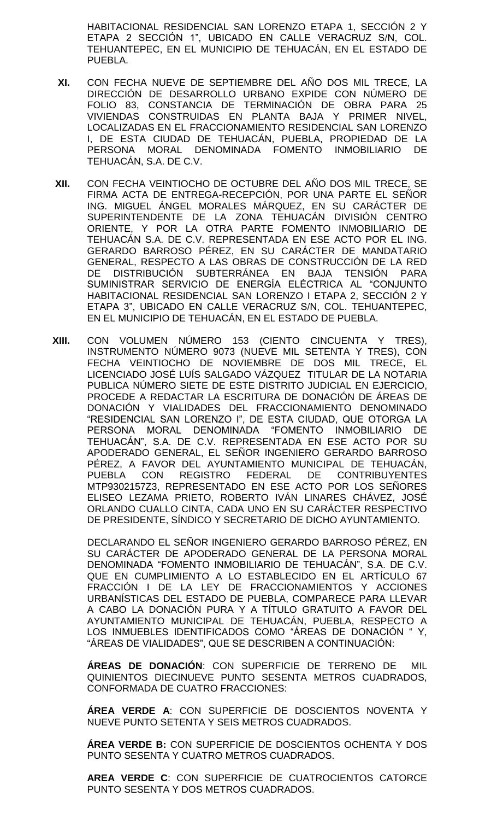HABITACIONAL RESIDENCIAL SAN LORENZO ETAPA 1, SECCIÓN 2 Y ETAPA 2 SECCIÓN 1", UBICADO EN CALLE VERACRUZ S/N, COL. TEHUANTEPEC, EN EL MUNICIPIO DE TEHUACÁN, EN EL ESTADO DE PUEBLA.

- **XI.** CON FECHA NUEVE DE SEPTIEMBRE DEL AÑO DOS MIL TRECE, LA DIRECCIÓN DE DESARROLLO URBANO EXPIDE CON NÚMERO DE FOLIO 83, CONSTANCIA DE TERMINACIÓN DE OBRA PARA 25 VIVIENDAS CONSTRUIDAS EN PLANTA BAJA Y PRIMER NIVEL, LOCALIZADAS EN EL FRACCIONAMIENTO RESIDENCIAL SAN LORENZO I, DE ESTA CIUDAD DE TEHUACÁN, PUEBLA, PROPIEDAD DE LA PERSONA MORAL DENOMINADA FOMENTO INMOBILIARIO DE TEHUACÁN, S.A. DE C.V.
- **XII.** CON FECHA VEINTIOCHO DE OCTUBRE DEL AÑO DOS MIL TRECE, SE FIRMA ACTA DE ENTREGA-RECEPCIÓN, POR UNA PARTE EL SEÑOR ING. MIGUEL ÁNGEL MORALES MÁRQUEZ, EN SU CARÁCTER DE SUPERINTENDENTE DE LA ZONA TEHUACÁN DIVISIÓN CENTRO ORIENTE, Y POR LA OTRA PARTE FOMENTO INMOBILIARIO DE TEHUACÁN S.A. DE C.V. REPRESENTADA EN ESE ACTO POR EL ING. GERARDO BARROSO PÉREZ, EN SU CARÁCTER DE MANDATARIO GENERAL, RESPECTO A LAS OBRAS DE CONSTRUCCIÓN DE LA RED DE DISTRIBUCIÓN SUBTERRÁNEA EN BAJA TENSIÓN PARA SUMINISTRAR SERVICIO DE ENERGÍA ELÉCTRICA AL "CONJUNTO HABITACIONAL RESIDENCIAL SAN LORENZO I ETAPA 2, SECCIÓN 2 Y ETAPA 3", UBICADO EN CALLE VERACRUZ S/N, COL. TEHUANTEPEC, EN EL MUNICIPIO DE TEHUACÁN, EN EL ESTADO DE PUEBLA.
- **XIII.** CON VOLUMEN NÚMERO 153 (CIENTO CINCUENTA Y TRES), INSTRUMENTO NÚMERO 9073 (NUEVE MIL SETENTA Y TRES), CON FECHA VEINTIOCHO DE NOVIEMBRE DE DOS MIL TRECE, EL LICENCIADO JOSÉ LUÍS SALGADO VÁZQUEZ TITULAR DE LA NOTARIA PUBLICA NÚMERO SIETE DE ESTE DISTRITO JUDICIAL EN EJERCICIO, PROCEDE A REDACTAR LA ESCRITURA DE DONACIÓN DE ÁREAS DE DONACIÓN Y VIALIDADES DEL FRACCIONAMIENTO DENOMINADO "RESIDENCIAL SAN LORENZO I", DE ESTA CIUDAD, QUE OTORGA LA PERSONA MORAL DENOMINADA "FOMENTO INMOBILIARIO DE TEHUACÁN", S.A. DE C.V. REPRESENTADA EN ESE ACTO POR SU APODERADO GENERAL, EL SEÑOR INGENIERO GERARDO BARROSO PÉREZ, A FAVOR DEL AYUNTAMIENTO MUNICIPAL DE TEHUACÁN, PUEBLA CON REGISTRO FEDERAL DE CONTRIBUYENTES MTP9302157Z3, REPRESENTADO EN ESE ACTO POR LOS SEÑORES ELISEO LEZAMA PRIETO, ROBERTO IVÁN LINARES CHÁVEZ, JOSÉ ORLANDO CUALLO CINTA, CADA UNO EN SU CARÁCTER RESPECTIVO DE PRESIDENTE, SÍNDICO Y SECRETARIO DE DICHO AYUNTAMIENTO.

DECLARANDO EL SEÑOR INGENIERO GERARDO BARROSO PÉREZ, EN SU CARÁCTER DE APODERADO GENERAL DE LA PERSONA MORAL DENOMINADA "FOMENTO INMOBILIARIO DE TEHUACÁN", S.A. DE C.V. QUE EN CUMPLIMIENTO A LO ESTABLECIDO EN EL ARTÍCULO 67 FRACCIÓN I DE LA LEY DE FRACCIONAMIENTOS Y ACCIONES URBANÍSTICAS DEL ESTADO DE PUEBLA, COMPARECE PARA LLEVAR A CABO LA DONACIÓN PURA Y A TÍTULO GRATUITO A FAVOR DEL AYUNTAMIENTO MUNICIPAL DE TEHUACÁN, PUEBLA, RESPECTO A LOS INMUEBLES IDENTIFICADOS COMO "ÁREAS DE DONACIÓN " Y, "ÁREAS DE VIALIDADES", QUE SE DESCRIBEN A CONTINUACIÓN:

**ÁREAS DE DONACIÓN**: CON SUPERFICIE DE TERRENO DE MIL QUINIENTOS DIECINUEVE PUNTO SESENTA METROS CUADRADOS, CONFORMADA DE CUATRO FRACCIONES:

**ÁREA VERDE A**: CON SUPERFICIE DE DOSCIENTOS NOVENTA Y NUEVE PUNTO SETENTA Y SEIS METROS CUADRADOS.

**ÁREA VERDE B:** CON SUPERFICIE DE DOSCIENTOS OCHENTA Y DOS PUNTO SESENTA Y CUATRO METROS CUADRADOS.

**AREA VERDE C**: CON SUPERFICIE DE CUATROCIENTOS CATORCE PUNTO SESENTA Y DOS METROS CUADRADOS.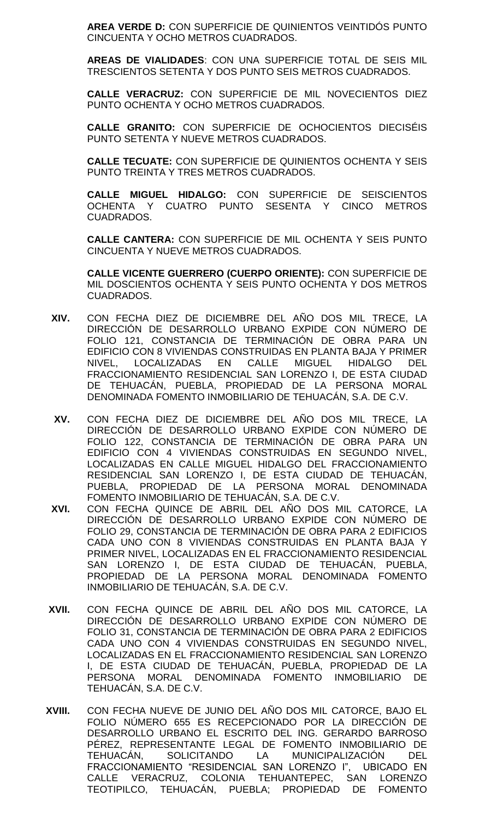**AREA VERDE D:** CON SUPERFICIE DE QUINIENTOS VEINTIDÓS PUNTO CINCUENTA Y OCHO METROS CUADRADOS.

**AREAS DE VIALIDADES**: CON UNA SUPERFICIE TOTAL DE SEIS MIL TRESCIENTOS SETENTA Y DOS PUNTO SEIS METROS CUADRADOS.

**CALLE VERACRUZ:** CON SUPERFICIE DE MIL NOVECIENTOS DIEZ PUNTO OCHENTA Y OCHO METROS CUADRADOS.

**CALLE GRANITO:** CON SUPERFICIE DE OCHOCIENTOS DIECISÉIS PUNTO SETENTA Y NUEVE METROS CUADRADOS.

**CALLE TECUATE:** CON SUPERFICIE DE QUINIENTOS OCHENTA Y SEIS PUNTO TREINTA Y TRES METROS CUADRADOS.

**CALLE MIGUEL HIDALGO:** CON SUPERFICIE DE SEISCIENTOS OCHENTA Y CUATRO PUNTO SESENTA Y CINCO METROS CUADRADOS.

**CALLE CANTERA:** CON SUPERFICIE DE MIL OCHENTA Y SEIS PUNTO CINCUENTA Y NUEVE METROS CUADRADOS.

**CALLE VICENTE GUERRERO (CUERPO ORIENTE):** CON SUPERFICIE DE MIL DOSCIENTOS OCHENTA Y SEIS PUNTO OCHENTA Y DOS METROS CUADRADOS.

- **XIV.** CON FECHA DIEZ DE DICIEMBRE DEL AÑO DOS MIL TRECE, LA DIRECCIÓN DE DESARROLLO URBANO EXPIDE CON NÚMERO DE FOLIO 121, CONSTANCIA DE TERMINACIÓN DE OBRA PARA UN EDIFICIO CON 8 VIVIENDAS CONSTRUIDAS EN PLANTA BAJA Y PRIMER NIVEL, LOCALIZADAS EN CALLE MIGUEL HIDALGO DEL FRACCIONAMIENTO RESIDENCIAL SAN LORENZO I, DE ESTA CIUDAD DE TEHUACÁN, PUEBLA, PROPIEDAD DE LA PERSONA MORAL DENOMINADA FOMENTO INMOBILIARIO DE TEHUACÁN, S.A. DE C.V.
- **XV.** CON FECHA DIEZ DE DICIEMBRE DEL AÑO DOS MIL TRECE, LA DIRECCIÓN DE DESARROLLO URBANO EXPIDE CON NÚMERO DE FOLIO 122, CONSTANCIA DE TERMINACIÓN DE OBRA PARA UN EDIFICIO CON 4 VIVIENDAS CONSTRUIDAS EN SEGUNDO NIVEL, LOCALIZADAS EN CALLE MIGUEL HIDALGO DEL FRACCIONAMIENTO RESIDENCIAL SAN LORENZO I, DE ESTA CIUDAD DE TEHUACÁN, PUEBLA, PROPIEDAD DE LA PERSONA MORAL DENOMINADA FOMENTO INMOBILIARIO DE TEHUACÁN, S.A. DE C.V.
- **XVI.** CON FECHA QUINCE DE ABRIL DEL AÑO DOS MIL CATORCE, LA DIRECCIÓN DE DESARROLLO URBANO EXPIDE CON NÚMERO DE FOLIO 29, CONSTANCIA DE TERMINACIÓN DE OBRA PARA 2 EDIFICIOS CADA UNO CON 8 VIVIENDAS CONSTRUIDAS EN PLANTA BAJA Y PRIMER NIVEL, LOCALIZADAS EN EL FRACCIONAMIENTO RESIDENCIAL SAN LORENZO I, DE ESTA CIUDAD DE TEHUACÁN, PUEBLA, PROPIEDAD DE LA PERSONA MORAL DENOMINADA FOMENTO INMOBILIARIO DE TEHUACÁN, S.A. DE C.V.
- **XVII.** CON FECHA QUINCE DE ABRIL DEL AÑO DOS MIL CATORCE, LA DIRECCIÓN DE DESARROLLO URBANO EXPIDE CON NÚMERO DE FOLIO 31, CONSTANCIA DE TERMINACIÓN DE OBRA PARA 2 EDIFICIOS CADA UNO CON 4 VIVIENDAS CONSTRUIDAS EN SEGUNDO NIVEL, LOCALIZADAS EN EL FRACCIONAMIENTO RESIDENCIAL SAN LORENZO I, DE ESTA CIUDAD DE TEHUACÁN, PUEBLA, PROPIEDAD DE LA PERSONA MORAL DENOMINADA FOMENTO INMOBILIARIO DE TEHUACÁN, S.A. DE C.V.
- **XVIII.** CON FECHA NUEVE DE JUNIO DEL AÑO DOS MIL CATORCE, BAJO EL FOLIO NÚMERO 655 ES RECEPCIONADO POR LA DIRECCIÓN DE DESARROLLO URBANO EL ESCRITO DEL ING. GERARDO BARROSO PÉREZ, REPRESENTANTE LEGAL DE FOMENTO INMOBILIARIO DE<br>TEHUACÁN, SOLICITANDO LA MUNICIPALIZACIÓN DEL TEHUACÁN, SOLICITANDO LA MUNICIPALIZACIÓN DEL FRACCIONAMIENTO "RESIDENCIAL SAN LORENZO I", UBICADO EN CALLE VERACRUZ, COLONIA TEHUANTEPEC, SAN LORENZO TEOTIPILCO, TEHUACÁN, PUEBLA; PROPIEDAD DE FOMENTO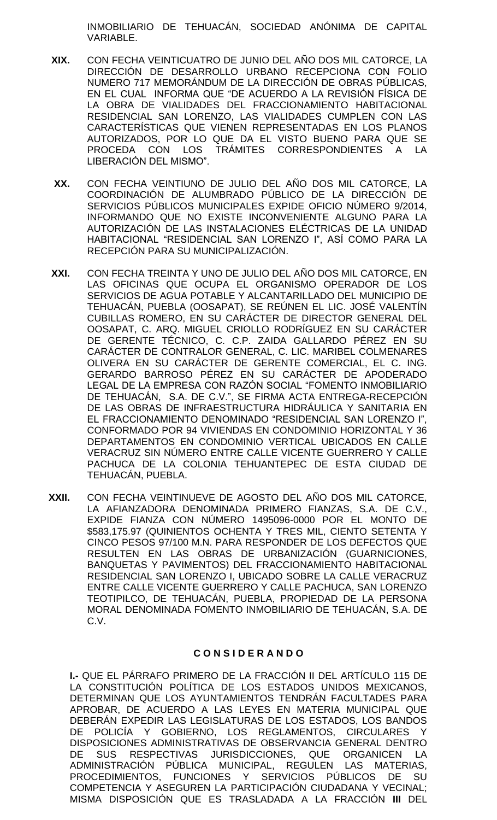INMOBILIARIO DE TEHUACÁN, SOCIEDAD ANÓNIMA DE CAPITAL VARIABLE.

- **XIX.** CON FECHA VEINTICUATRO DE JUNIO DEL AÑO DOS MIL CATORCE, LA DIRECCIÓN DE DESARROLLO URBANO RECEPCIONA CON FOLIO NUMERO 717 MEMORÁNDUM DE LA DIRECCIÓN DE OBRAS PÚBLICAS, EN EL CUAL INFORMA QUE "DE ACUERDO A LA REVISIÓN FÍSICA DE LA OBRA DE VIALIDADES DEL FRACCIONAMIENTO HABITACIONAL RESIDENCIAL SAN LORENZO, LAS VIALIDADES CUMPLEN CON LAS CARACTERÍSTICAS QUE VIENEN REPRESENTADAS EN LOS PLANOS AUTORIZADOS, POR LO QUE DA EL VISTO BUENO PARA QUE SE PROCEDA CON LOS TRÁMITES CORRESPONDIENTES A LA LIBERACIÓN DEL MISMO".
- **XX.** CON FECHA VEINTIUNO DE JULIO DEL AÑO DOS MIL CATORCE, LA COORDINACIÓN DE ALUMBRADO PÚBLICO DE LA DIRECCIÓN DE SERVICIOS PÚBLICOS MUNICIPALES EXPIDE OFICIO NÚMERO 9/2014, INFORMANDO QUE NO EXISTE INCONVENIENTE ALGUNO PARA LA AUTORIZACIÓN DE LAS INSTALACIONES ELÉCTRICAS DE LA UNIDAD HABITACIONAL "RESIDENCIAL SAN LORENZO I", ASÍ COMO PARA LA RECEPCIÓN PARA SU MUNICIPALIZACIÓN.
- **XXI.** CON FECHA TREINTA Y UNO DE JULIO DEL AÑO DOS MIL CATORCE, EN LAS OFICINAS QUE OCUPA EL ORGANISMO OPERADOR DE LOS SERVICIOS DE AGUA POTABLE Y ALCANTARILLADO DEL MUNICIPIO DE TEHUACÁN, PUEBLA (OOSAPAT), SE REÚNEN EL LIC. JOSÉ VALENTÍN CUBILLAS ROMERO, EN SU CARÁCTER DE DIRECTOR GENERAL DEL OOSAPAT, C. ARQ. MIGUEL CRIOLLO RODRÍGUEZ EN SU CARÁCTER DE GERENTE TÉCNICO, C. C.P. ZAIDA GALLARDO PÉREZ EN SU CARÁCTER DE CONTRALOR GENERAL, C. LIC. MARIBEL COLMENARES OLIVERA EN SU CARÁCTER DE GERENTE COMERCIAL, EL C. ING. GERARDO BARROSO PÉREZ EN SU CARÁCTER DE APODERADO LEGAL DE LA EMPRESA CON RAZÓN SOCIAL "FOMENTO INMOBILIARIO DE TEHUACÁN, S.A. DE C.V.", SE FIRMA ACTA ENTREGA-RECEPCIÓN DE LAS OBRAS DE INFRAESTRUCTURA HIDRÁULICA Y SANITARIA EN EL FRACCIONAMIENTO DENOMINADO "RESIDENCIAL SAN LORENZO I", CONFORMADO POR 94 VIVIENDAS EN CONDOMINIO HORIZONTAL Y 36 DEPARTAMENTOS EN CONDOMINIO VERTICAL UBICADOS EN CALLE VERACRUZ SIN NÚMERO ENTRE CALLE VICENTE GUERRERO Y CALLE PACHUCA DE LA COLONIA TEHUANTEPEC DE ESTA CIUDAD DE TEHUACÁN, PUEBLA.
- **XXII.** CON FECHA VEINTINUEVE DE AGOSTO DEL AÑO DOS MIL CATORCE, LA AFIANZADORA DENOMINADA PRIMERO FIANZAS, S.A. DE C.V., EXPIDE FIANZA CON NÚMERO 1495096-0000 POR EL MONTO DE \$583,175.97 (QUINIENTOS OCHENTA Y TRES MIL, CIENTO SETENTA Y CINCO PESOS 97/100 M.N. PARA RESPONDER DE LOS DEFECTOS QUE RESULTEN EN LAS OBRAS DE URBANIZACIÓN (GUARNICIONES, BANQUETAS Y PAVIMENTOS) DEL FRACCIONAMIENTO HABITACIONAL RESIDENCIAL SAN LORENZO I, UBICADO SOBRE LA CALLE VERACRUZ ENTRE CALLE VICENTE GUERRERO Y CALLE PACHUCA, SAN LORENZO TEOTIPILCO, DE TEHUACÁN, PUEBLA, PROPIEDAD DE LA PERSONA MORAL DENOMINADA FOMENTO INMOBILIARIO DE TEHUACÁN, S.A. DE C.V.

## **C O N S I D E R A N D O**

**I.-** QUE EL PÁRRAFO PRIMERO DE LA FRACCIÓN II DEL ARTÍCULO 115 DE LA CONSTITUCIÓN POLÍTICA DE LOS ESTADOS UNIDOS MEXICANOS, DETERMINAN QUE LOS AYUNTAMIENTOS TENDRÁN FACULTADES PARA APROBAR, DE ACUERDO A LAS LEYES EN MATERIA MUNICIPAL QUE DEBERÁN EXPEDIR LAS LEGISLATURAS DE LOS ESTADOS, LOS BANDOS DE POLICÍA Y GOBIERNO, LOS REGLAMENTOS, CIRCULARES Y DISPOSICIONES ADMINISTRATIVAS DE OBSERVANCIA GENERAL DENTRO DE SUS RESPECTIVAS JURISDICCIONES, QUE ORGANICEN LA ADMINISTRACIÓN PÚBLICA MUNICIPAL, REGULEN LAS MATERIAS,<br>PROCEDIMIENTOS, FUNCIONES Y SERVICIOS PÚBLICOS DE SU FUNCIONES Y SERVICIOS PÚBLICOS DE SU COMPETENCIA Y ASEGUREN LA PARTICIPACIÓN CIUDADANA Y VECINAL; MISMA DISPOSICIÓN QUE ES TRASLADADA A LA FRACCIÓN **III** DEL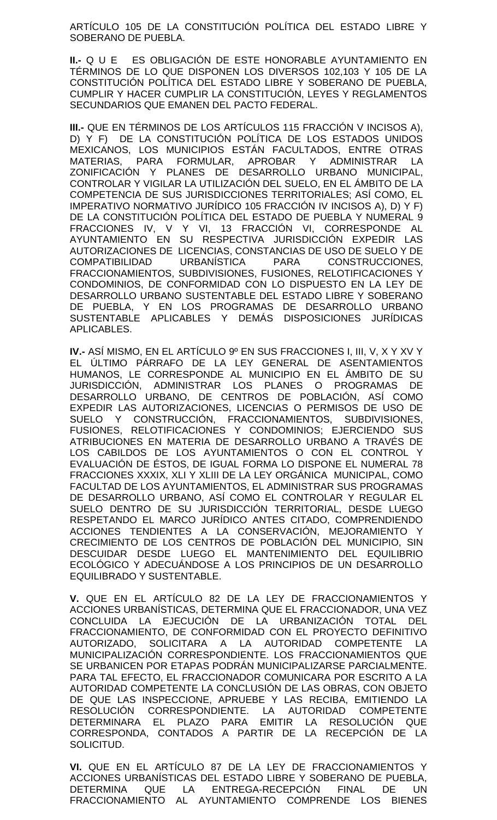ARTÍCULO 105 DE LA CONSTITUCIÓN POLÍTICA DEL ESTADO LIBRE Y SOBERANO DE PUEBLA.

**II.-** Q U E ES OBLIGACIÓN DE ESTE HONORABLE AYUNTAMIENTO EN TÉRMINOS DE LO QUE DISPONEN LOS DIVERSOS 102,103 Y 105 DE LA CONSTITUCIÓN POLÍTICA DEL ESTADO LIBRE Y SOBERANO DE PUEBLA, CUMPLIR Y HACER CUMPLIR LA CONSTITUCIÓN, LEYES Y REGLAMENTOS SECUNDARIOS QUE EMANEN DEL PACTO FEDERAL.

**III.-** QUE EN TÉRMINOS DE LOS ARTÍCULOS 115 FRACCIÓN V INCISOS A), D) Y F) DE LA CONSTITUCIÓN POLÍTICA DE LOS ESTADOS UNIDOS MEXICANOS, LOS MUNICIPIOS ESTÁN FACULTADOS, ENTRE OTRAS MATERIAS, PARA FORMULAR, APROBAR Y ADMINISTRAR LA ZONIFICACIÓN Y PLANES DE DESARROLLO URBANO MUNICIPAL, CONTROLAR Y VIGILAR LA UTILIZACIÓN DEL SUELO, EN EL ÁMBITO DE LA COMPETENCIA DE SUS JURISDICCIONES TERRITORIALES; ASÍ COMO, EL IMPERATIVO NORMATIVO JURÍDICO 105 FRACCIÓN IV INCISOS A), D) Y F) DE LA CONSTITUCIÓN POLÍTICA DEL ESTADO DE PUEBLA Y NUMERAL 9 FRACCIONES IV, V Y VI, 13 FRACCIÓN VI, CORRESPONDE AL AYUNTAMIENTO EN SU RESPECTIVA JURISDICCIÓN EXPEDIR LAS AUTORIZACIONES DE LICENCIAS, CONSTANCIAS DE USO DE SUELO Y DE COMPATIBILIDAD URBANÍSTICA PARA CONSTRUCCIONES, FRACCIONAMIENTOS, SUBDIVISIONES, FUSIONES, RELOTIFICACIONES Y CONDOMINIOS, DE CONFORMIDAD CON LO DISPUESTO EN LA LEY DE DESARROLLO URBANO SUSTENTABLE DEL ESTADO LIBRE Y SOBERANO DE PUEBLA, Y EN LOS PROGRAMAS DE DESARROLLO URBANO SUSTENTABLE APLICABLES Y DEMÁS DISPOSICIONES JURÍDICAS APLICABLES.

**IV.-** ASÍ MISMO, EN EL ARTÍCULO 9º EN SUS FRACCIONES I, III, V, X Y XV Y EL ÚLTIMO PÁRRAFO DE LA LEY GENERAL DE ASENTAMIENTOS HUMANOS, LE CORRESPONDE AL MUNICIPIO EN EL ÁMBITO DE SU JURISDICCIÓN, ADMINISTRAR LOS PLANES O PROGRAMAS DE DESARROLLO URBANO, DE CENTROS DE POBLACIÓN, ASÍ COMO EXPEDIR LAS AUTORIZACIONES, LICENCIAS O PERMISOS DE USO DE SUELO Y CONSTRUCCIÓN, FRACCIONAMIENTOS, SUBDIVISIONES, FUSIONES, RELOTIFICACIONES Y CONDOMINIOS; EJERCIENDO SUS ATRIBUCIONES EN MATERIA DE DESARROLLO URBANO A TRAVÉS DE LOS CABILDOS DE LOS AYUNTAMIENTOS O CON EL CONTROL Y EVALUACIÓN DE ÉSTOS, DE IGUAL FORMA LO DISPONE EL NUMERAL 78 FRACCIONES XXXIX, XLI Y XLIII DE LA LEY ORGÁNICA MUNICIPAL, COMO FACULTAD DE LOS AYUNTAMIENTOS, EL ADMINISTRAR SUS PROGRAMAS DE DESARROLLO URBANO, ASÍ COMO EL CONTROLAR Y REGULAR EL SUELO DENTRO DE SU JURISDICCIÓN TERRITORIAL, DESDE LUEGO RESPETANDO EL MARCO JURÍDICO ANTES CITADO, COMPRENDIENDO ACCIONES TENDIENTES A LA CONSERVACIÓN, MEJORAMIENTO Y CRECIMIENTO DE LOS CENTROS DE POBLACIÓN DEL MUNICIPIO, SIN DESCUIDAR DESDE LUEGO EL MANTENIMIENTO DEL EQUILIBRIO ECOLÓGICO Y ADECUÁNDOSE A LOS PRINCIPIOS DE UN DESARROLLO EQUILIBRADO Y SUSTENTABLE.

**V.** QUE EN EL ARTÍCULO 82 DE LA LEY DE FRACCIONAMIENTOS Y ACCIONES URBANÍSTICAS, DETERMINA QUE EL FRACCIONADOR, UNA VEZ CONCLUIDA LA EJECUCIÓN DE LA URBANIZACIÓN TOTAL DEL FRACCIONAMIENTO, DE CONFORMIDAD CON EL PROYECTO DEFINITIVO AUTORIZADO, SOLICITARA A LA AUTORIDAD COMPETENTE LA MUNICIPALIZACIÓN CORRESPONDIENTE. LOS FRACCIONAMIENTOS QUE SE URBANICEN POR ETAPAS PODRÁN MUNICIPALIZARSE PARCIALMENTE. PARA TAL EFECTO, EL FRACCIONADOR COMUNICARA POR ESCRITO A LA AUTORIDAD COMPETENTE LA CONCLUSIÓN DE LAS OBRAS, CON OBJETO DE QUE LAS INSPECCIONE, APRUEBE Y LAS RECIBA, EMITIENDO LA RESOLUCIÓN CORRESPONDIENTE. LA AUTORIDAD COMPETENTE DETERMINARA EL PLAZO PARA EMITIR LA RESOLUCIÓN QUE CORRESPONDA, CONTADOS A PARTIR DE LA RECEPCIÓN DE LA SOLICITUD.

**VI.** QUE EN EL ARTÍCULO 87 DE LA LEY DE FRACCIONAMIENTOS Y ACCIONES URBANÍSTICAS DEL ESTADO LIBRE Y SOBERANO DE PUEBLA, DETERMINA QUE LA ENTREGA-RECEPCIÓN FINAL DE UN FRACCIONAMIENTO AL AYUNTAMIENTO COMPRENDE LOS BIENES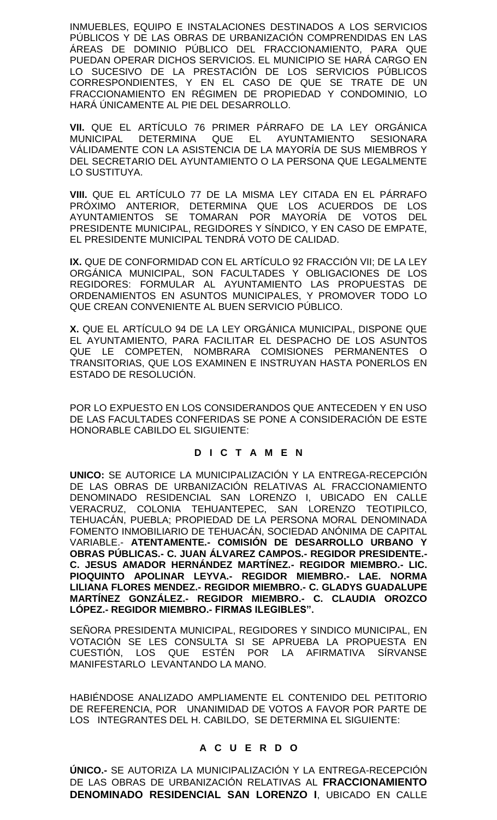INMUEBLES, EQUIPO E INSTALACIONES DESTINADOS A LOS SERVICIOS PÚBLICOS Y DE LAS OBRAS DE URBANIZACIÓN COMPRENDIDAS EN LAS ÁREAS DE DOMINIO PÚBLICO DEL FRACCIONAMIENTO, PARA QUE PUEDAN OPERAR DICHOS SERVICIOS. EL MUNICIPIO SE HARÁ CARGO EN LO SUCESIVO DE LA PRESTACIÓN DE LOS SERVICIOS PÚBLICOS CORRESPONDIENTES, Y EN EL CASO DE QUE SE TRATE DE UN FRACCIONAMIENTO EN RÉGIMEN DE PROPIEDAD Y CONDOMINIO, LO HARÁ ÚNICAMENTE AL PIE DEL DESARROLLO.

**VII.** QUE EL ARTÍCULO 76 PRIMER PÁRRAFO DE LA LEY ORGÁNICA MUNICIPAL DETERMINA QUE EL AYUNTAMIENTO SESIONARA VÁLIDAMENTE CON LA ASISTENCIA DE LA MAYORÍA DE SUS MIEMBROS Y DEL SECRETARIO DEL AYUNTAMIENTO O LA PERSONA QUE LEGALMENTE LO SUSTITUYA.

**VIII.** QUE EL ARTÍCULO 77 DE LA MISMA LEY CITADA EN EL PÁRRAFO PRÓXIMO ANTERIOR, DETERMINA QUE LOS ACUERDOS DE LOS AYUNTAMIENTOS SE TOMARAN POR MAYORÍA DE VOTOS DEL PRESIDENTE MUNICIPAL, REGIDORES Y SÍNDICO, Y EN CASO DE EMPATE, EL PRESIDENTE MUNICIPAL TENDRÁ VOTO DE CALIDAD.

**IX.** QUE DE CONFORMIDAD CON EL ARTÍCULO 92 FRACCIÓN VII; DE LA LEY ORGÁNICA MUNICIPAL, SON FACULTADES Y OBLIGACIONES DE LOS REGIDORES: FORMULAR AL AYUNTAMIENTO LAS PROPUESTAS DE ORDENAMIENTOS EN ASUNTOS MUNICIPALES, Y PROMOVER TODO LO QUE CREAN CONVENIENTE AL BUEN SERVICIO PÚBLICO.

**X.** QUE EL ARTÍCULO 94 DE LA LEY ORGÁNICA MUNICIPAL, DISPONE QUE EL AYUNTAMIENTO, PARA FACILITAR EL DESPACHO DE LOS ASUNTOS QUE LE COMPETEN, NOMBRARA COMISIONES PERMANENTES O TRANSITORIAS, QUE LOS EXAMINEN E INSTRUYAN HASTA PONERLOS EN ESTADO DE RESOLUCIÓN.

POR LO EXPUESTO EN LOS CONSIDERANDOS QUE ANTECEDEN Y EN USO DE LAS FACULTADES CONFERIDAS SE PONE A CONSIDERACIÓN DE ESTE HONORABLE CABILDO EL SIGUIENTE:

## **D I C T A M E N**

**UNICO:** SE AUTORICE LA MUNICIPALIZACIÓN Y LA ENTREGA-RECEPCIÓN DE LAS OBRAS DE URBANIZACIÓN RELATIVAS AL FRACCIONAMIENTO DENOMINADO RESIDENCIAL SAN LORENZO I, UBICADO EN CALLE VERACRUZ, COLONIA TEHUANTEPEC, SAN LORENZO TEOTIPILCO, TEHUACÁN, PUEBLA; PROPIEDAD DE LA PERSONA MORAL DENOMINADA FOMENTO INMOBILIARIO DE TEHUACÁN, SOCIEDAD ANÓNIMA DE CAPITAL VARIABLE.- **ATENTAMENTE.- COMISIÓN DE DESARROLLO URBANO Y OBRAS PÚBLICAS.- C. JUAN ÁLVAREZ CAMPOS.- REGIDOR PRESIDENTE.- C. JESUS AMADOR HERNÁNDEZ MARTÍNEZ.- REGIDOR MIEMBRO.- LIC. PIOQUINTO APOLINAR LEYVA.- REGIDOR MIEMBRO.- LAE. NORMA LILIANA FLORES MENDEZ.- REGIDOR MIEMBRO.- C. GLADYS GUADALUPE MARTÍNEZ GONZÁLEZ.- REGIDOR MIEMBRO.- C. CLAUDIA OROZCO LÓPEZ.- REGIDOR MIEMBRO.- FIRMAS ILEGIBLES".**

SEÑORA PRESIDENTA MUNICIPAL, REGIDORES Y SINDICO MUNICIPAL, EN VOTACIÓN SE LES CONSULTA SI SE APRUEBA LA PROPUESTA EN CUESTIÓN, LOS QUE ESTÉN POR LA AFIRMATIVA SÍRVANSE MANIFESTARLO LEVANTANDO LA MANO.

HABIÉNDOSE ANALIZADO AMPLIAMENTE EL CONTENIDO DEL PETITORIO DE REFERENCIA, POR UNANIMIDAD DE VOTOS A FAVOR POR PARTE DE LOS INTEGRANTES DEL H. CABILDO, SE DETERMINA EL SIGUIENTE:

## **A C U E R D O**

**ÚNICO.-** SE AUTORIZA LA MUNICIPALIZACIÓN Y LA ENTREGA-RECEPCIÓN DE LAS OBRAS DE URBANIZACIÓN RELATIVAS AL **FRACCIONAMIENTO DENOMINADO RESIDENCIAL SAN LORENZO I**, UBICADO EN CALLE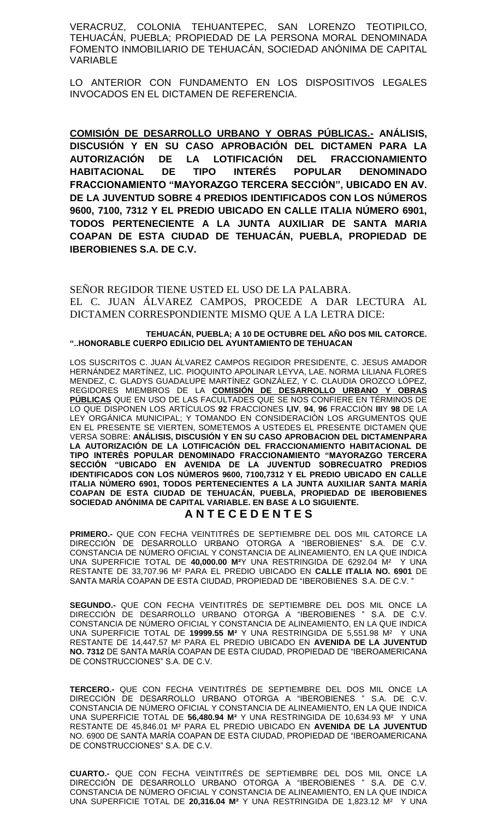VERACRUZ, COLONIA TEHUANTEPEC, SAN LORENZO TEOTIPILCO, TEHUACÁN, PUEBLA; PROPIEDAD DE LA PERSONA MORAL DENOMINADA FOMENTO INMOBILIARIO DE TEHUACÁN, SOCIEDAD ANÓNIMA DE CAPITAL VARIABLE

LO ANTERIOR CON FUNDAMENTO EN LOS DISPOSITIVOS LEGALES INVOCADOS EN EL DICTAMEN DE REFERENCIA.

**COMISIÓN DE DESARROLLO URBANO Y OBRAS PÚBLICAS.- ANÁLISIS, DISCUSIÓN Y EN SU CASO APROBACIÓN DEL DICTAMEN PARA LA AUTORIZACIÓN DE LA LOTIFICACIÓN DEL FRACCIONAMIENTO HABITACIONAL DE TIPO INTERÉS POPULAR DENOMINADO FRACCIONAMIENTO "MAYORAZGO TERCERA SECCIÓN", UBICADO EN AV. DE LA JUVENTUD SOBRE 4 PREDIOS IDENTIFICADOS CON LOS NÚMEROS 9600, 7100, 7312 Y EL PREDIO UBICADO EN CALLE ITALIA NÚMERO 6901, TODOS PERTENECIENTE A LA JUNTA AUXILIAR DE SANTA MARIA COAPAN DE ESTA CIUDAD DE TEHUACÁN, PUEBLA, PROPIEDAD DE IBEROBIENES S.A. DE C.V.**

SEÑOR REGIDOR TIENE USTED EL USO DE LA PALABRA. EL C. JUAN ÁLVAREZ CAMPOS, PROCEDE A DAR LECTURA AL DICTAMEN CORRESPONDIENTE MISMO QUE A LA LETRA DICE:

#### **TEHUACÁN, PUEBLA; A 10 DE OCTUBRE DEL AÑO DOS MIL CATORCE. "..HONORABLE CUERPO EDILICIO DEL AYUNTAMIENTO DE TEHUACAN**

LOS SUSCRITOS C. JUAN ÁLVAREZ CAMPOS REGIDOR PRESIDENTE, C. JESUS AMADOR HERNÁNDEZ MARTÍNEZ, LIC. PIOQUINTO APOLINAR LEYVA, LAE. NORMA LILIANA FLORES MENDEZ, C. GLADYS GUADALUPE MARTÍNEZ GONZÁLEZ, Y C. CLAUDIA OROZCO LÓPEZ, REGIDORES MIEMBROS DE LA **COMISIÓN DE DESARROLLO URBANO Y OBRAS PÚBLICAS** QUE EN USO DE LAS FACULTADES QUE SE NOS CONFIERE EN TÉRMINOS DE LO QUE DISPONEN LOS ARTÍCULOS **92** FRACCIONES **I,IV**, **94**, **96** FRACCIÓN **III**Y **98** DE LA LEY ORGÁNICA MUNICIPAL; Y TOMANDO EN CONSIDERACIÓN LOS ARGUMENTOS QUE EN EL PRESENTE SE VIERTEN, SOMETEMOS A USTEDES EL PRESENTE DICTAMEN QUE VERSA SOBRE: **ANÁLISIS, DISCUSIÓN Y EN SU CASO APROBACION DEL DICTAMENPARA LA AUTORIZACIÓN DE LA LOTIFICACIÓN DEL FRACCIONAMIENTO HABITACIONAL DE TIPO INTERÉS POPULAR DENOMINADO FRACCIONAMIENTO "MAYORAZGO TERCERA SECCIÓN "UBICADO EN AVENIDA DE LA JUVENTUD SOBRECUATRO PREDIOS IDENTIFICADOS CON LOS NÚMEROS 9600, 7100,7312 Y EL PREDIO UBICADO EN CALLE ITALIA NÚMERO 6901, TODOS PERTENECIENTES A LA JUNTA AUXILIAR SANTA MARÍA COAPAN DE ESTA CIUDAD DE TEHUACÁN, PUEBLA, PROPIEDAD DE IBEROBIENES SOCIEDAD ANÓNIMA DE CAPITAL VARIABLE. EN BASE A LO SIGUIENTE.** 

## **A N T E C E D E N T E S**

**PRIMERO.-** QUE CON FECHA VEINTITRÉS DE SEPTIEMBRE DEL DOS MIL CATORCE LA DIRECCIÓN DE DESARROLLO URBANO OTORGA A "IBEROBIENES" S.A. DE C.V. CONSTANCIA DE NÚMERO OFICIAL Y CONSTANCIA DE ALINEAMIENTO, EN LA QUE INDICA UNA SUPERFICIE TOTAL DE **40,000.00 M²**Y UNA RESTRINGIDA DE 6292.04 M² Y UNA RESTANTE DE 33,707.96 M² PARA EL PREDIO UBICADO EN **CALLE ITALIA NO. 6901** DE SANTA MARÍA COAPAN DE ESTA CIUDAD, PROPIEDAD DE "IBEROBIENES S.A. DE C.V. "

**SEGUNDO.-** QUE CON FECHA VEINTITRÉS DE SEPTIEMBRE DEL DOS MIL ONCE LA DIRECCIÓN DE DESARROLLO URBANO OTORGA A "IBEROBIENES " S.A. DE C.V. CONSTANCIA DE NÚMERO OFICIAL Y CONSTANCIA DE ALINEAMIENTO, EN LA QUE INDICA UNA SUPERFICIE TOTAL DE **19999.55 M²** Y UNA RESTRINGIDA DE 5,551.98 M² Y UNA RESTANTE DE 14,447.57 M² PARA EL PREDIO UBICADO EN **AVENIDA DE LA JUVENTUD NO. 7312** DE SANTA MARÍA COAPAN DE ESTA CIUDAD, PROPIEDAD DE "IBEROAMERICANA DE CONSTRUCCIONES" S.A. DE C.V.

**TERCERO.-** QUE CON FECHA VEINTITRÉS DE SEPTIEMBRE DEL DOS MIL ONCE LA DIRECCIÓN DE DESARROLLO URBANO OTORGA A "IBEROBIENES " S.A. DE C.V. CONSTANCIA DE NÚMERO OFICIAL Y CONSTANCIA DE ALINEAMIENTO, EN LA QUE INDICA UNA SUPERFICIE TOTAL DE **56,480.94 M²** Y UNA RESTRINGIDA DE 10,634.93 M² Y UNA RESTANTE DE 45,846.01 M² PARA EL PREDIO UBICADO EN **AVENIDA DE LA JUVENTUD**  NO. 6900 DE SANTA MARÍA COAPAN DE ESTA CIUDAD, PROPIEDAD DE "IBEROAMERICANA DE CONSTRUCCIONES" S.A. DE C.V.

**CUARTO.-** QUE CON FECHA VEINTITRÉS DE SEPTIEMBRE DEL DOS MIL ONCE LA DIRECCIÓN DE DESARROLLO URBANO OTORGA A "IBEROBIENES " S.A. DE C.V. CONSTANCIA DE NÚMERO OFICIAL Y CONSTANCIA DE ALINEAMIENTO, EN LA QUE INDICA UNA SUPERFICIE TOTAL DE **20,316.04 M²** Y UNA RESTRINGIDA DE 1,823.12 M² Y UNA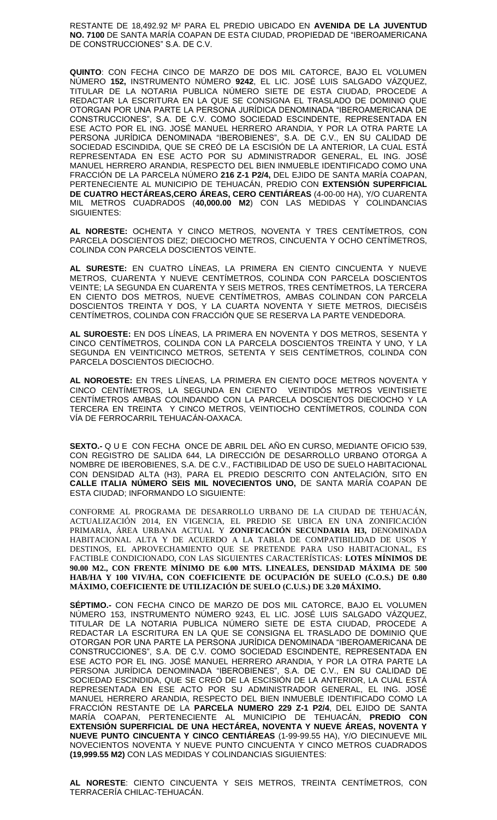RESTANTE DE 18,492.92 M² PARA EL PREDIO UBICADO EN **AVENIDA DE LA JUVENTUD NO. 7100** DE SANTA MARÍA COAPAN DE ESTA CIUDAD, PROPIEDAD DE "IBEROAMERICANA DE CONSTRUCCIONES" S.A. DE C.V.

**QUINTO**: CON FECHA CINCO DE MARZO DE DOS MIL CATORCE, BAJO EL VOLUMEN NÚMERO **152,** INSTRUMENTO NÚMERO **9242**, EL LIC. JOSÉ LUIS SALGADO VÁZQUEZ, TITULAR DE LA NOTARIA PUBLICA NÚMERO SIETE DE ESTA CIUDAD, PROCEDE A REDACTAR LA ESCRITURA EN LA QUE SE CONSIGNA EL TRASLADO DE DOMINIO QUE OTORGAN POR UNA PARTE LA PERSONA JURÍDICA DENOMINADA "IBEROAMERICANA DE CONSTRUCCIONES", S.A. DE C.V. COMO SOCIEDAD ESCINDENTE, REPRESENTADA EN ESE ACTO POR EL ING. JOSÉ MANUEL HERRERO ARANDIA, Y POR LA OTRA PARTE LA PERSONA JURÍDICA DENOMINADA "IBEROBIENES", S.A. DE C.V., EN SU CALIDAD DE SOCIEDAD ESCINDIDA, QUE SE CREÓ DE LA ESCISIÓN DE LA ANTERIOR, LA CUAL ESTÁ REPRESENTADA EN ESE ACTO POR SU ADMINISTRADOR GENERAL, EL ING. JOSÉ MANUEL HERRERO ARANDIA, RESPECTO DEL BIEN INMUEBLE IDENTIFICADO COMO UNA FRACCIÓN DE LA PARCELA NÚMERO **216 Z-1 P2/4,** DEL EJIDO DE SANTA MARÍA COAPAN, PERTENECIENTE AL MUNICIPIO DE TEHUACÁN, PREDIO CON **EXTENSIÓN SUPERFICIAL DE CUATRO HECTÁREAS,CERO ÁREAS, CERO CENTIÁREAS** (4-00-00 HA), Y/O CUARENTA MIL METROS CUADRADOS (40,000.00 M2) CON LAS MEDIDAS Y SIGUIENTES:

**AL NORESTE:** OCHENTA Y CINCO METROS, NOVENTA Y TRES CENTÍMETROS, CON PARCELA DOSCIENTOS DIEZ; DIECIOCHO METROS, CINCUENTA Y OCHO CENTÍMETROS, COLINDA CON PARCELA DOSCIENTOS VEINTE.

**AL SURESTE:** EN CUATRO LÍNEAS, LA PRIMERA EN CIENTO CINCUENTA Y NUEVE METROS, CUARENTA Y NUEVE CENTÍMETROS, COLINDA CON PARCELA DOSCIENTOS VEINTE; LA SEGUNDA EN CUARENTA Y SEIS METROS, TRES CENTÍMETROS, LA TERCERA EN CIENTO DOS METROS, NUEVE CENTÍMETROS, AMBAS COLINDAN CON PARCELA DOSCIENTOS TREINTA Y DOS, Y LA CUARTA NOVENTA Y SIETE METROS, DIECISÉIS CENTÍMETROS, COLINDA CON FRACCIÓN QUE SE RESERVA LA PARTE VENDEDORA.

**AL SUROESTE:** EN DOS LÍNEAS, LA PRIMERA EN NOVENTA Y DOS METROS, SESENTA Y CINCO CENTÍMETROS, COLINDA CON LA PARCELA DOSCIENTOS TREINTA Y UNO, Y LA SEGUNDA EN VEINTICINCO METROS, SETENTA Y SEIS CENTÍMETROS, COLINDA CON PARCELA DOSCIENTOS DIECIOCHO.

**AL NOROESTE:** EN TRES LÍNEAS, LA PRIMERA EN CIENTO DOCE METROS NOVENTA Y CINCO CENTÍMETROS, LA SEGUNDA EN CIENTO VEINTIDÓS METROS VEINTISIETE CENTÍMETROS AMBAS COLINDANDO CON LA PARCELA DOSCIENTOS DIECIOCHO Y LA TERCERA EN TREINTA Y CINCO METROS, VEINTIOCHO CENTÍMETROS, COLINDA CON VÍA DE FERROCARRIL TEHUACÁN-OAXACA.

**SEXTO.-** Q U E CON FECHA ONCE DE ABRIL DEL AÑO EN CURSO, MEDIANTE OFICIO 539, CON REGISTRO DE SALIDA 644, LA DIRECCIÓN DE DESARROLLO URBANO OTORGA A NOMBRE DE IBEROBIENES, S.A. DE C.V., FACTIBILIDAD DE USO DE SUELO HABITACIONAL CON DENSIDAD ALTA (H3), PARA EL PREDIO DESCRITO CON ANTELACIÓN, SITO EN **CALLE ITALIA NÚMERO SEIS MIL NOVECIENTOS UNO,** DE SANTA MARÍA COAPAN DE ESTA CIUDAD; INFORMANDO LO SIGUIENTE:

CONFORME AL PROGRAMA DE DESARROLLO URBANO DE LA CIUDAD DE TEHUACÁN, ACTUALIZACIÓN 2014, EN VIGENCIA, EL PREDIO SE UBICA EN UNA ZONIFICACIÓN PRIMARIA, ÁREA URBANA ACTUAL Y **ZONIFICACIÓN SECUNDARIA H3,** DENOMINADA HABITACIONAL ALTA Y DE ACUERDO A LA TABLA DE COMPATIBILIDAD DE USOS Y DESTINOS, EL APROVECHAMIENTO QUE SE PRETENDE PARA USO HABITACIONAL, ES FACTIBLE CONDICIONADO, CON LAS SIGUIENTES CARACTERÍSTICAS: **LOTES MÍNIMOS DE 90.00 M2., CON FRENTE MÍNIMO DE 6.00 MTS. LINEALES, DENSIDAD MÁXIMA DE 500 HAB/HA Y 100 VIV/HA, CON COEFICIENTE DE OCUPACIÓN DE SUELO (C.O.S.) DE 0.80 MÁXIMO, COEFICIENTE DE UTILIZACIÓN DE SUELO (C.U.S.) DE 3.20 MÁXIMO.** 

**SÉPTIMO.-** CON FECHA CINCO DE MARZO DE DOS MIL CATORCE, BAJO EL VOLUMEN NÚMERO 153, INSTRUMENTO NÚMERO 9243, EL LIC. JOSÉ LUIS SALGADO VÁZQUEZ, TITULAR DE LA NOTARIA PUBLICA NÚMERO SIETE DE ESTA CIUDAD, PROCEDE A REDACTAR LA ESCRITURA EN LA QUE SE CONSIGNA EL TRASLADO DE DOMINIO QUE OTORGAN POR UNA PARTE LA PERSONA JURÍDICA DENOMINADA "IBEROAMERICANA DE CONSTRUCCIONES", S.A. DE C.V. COMO SOCIEDAD ESCINDENTE, REPRESENTADA EN ESE ACTO POR EL ING. JOSÉ MANUEL HERRERO ARANDIA, Y POR LA OTRA PARTE LA PERSONA JURÍDICA DENOMINADA "IBEROBIENES", S.A. DE C.V., EN SU CALIDAD DE SOCIEDAD ESCINDIDA, QUE SE CREÓ DE LA ESCISIÓN DE LA ANTERIOR, LA CUAL ESTÁ REPRESENTADA EN ESE ACTO POR SU ADMINISTRADOR GENERAL, EL ING. JOSÉ MANUEL HERRERO ARANDIA, RESPECTO DEL BIEN INMUEBLE IDENTIFICADO COMO LA FRACCIÓN RESTANTE DE LA **PARCELA NUMERO 229 Z-1 P2/4**, DEL EJIDO DE SANTA MARÍA COAPAN, PERTENECIENTE AL MUNICIPIO DE TEHUACÁN, **PREDIO CON EXTENSIÓN SUPERFICIAL DE UNA HECTÁREA, NOVENTA Y NUEVE ÁREAS, NOVENTA Y NUEVE PUNTO CINCUENTA Y CINCO CENTIÁREAS** (1-99-99.55 HA), Y/O DIECINUEVE MIL NOVECIENTOS NOVENTA Y NUEVE PUNTO CINCUENTA Y CINCO METROS CUADRADOS **(19,999.55 M2)** CON LAS MEDIDAS Y COLINDANCIAS SIGUIENTES:

**AL NORESTE**: CIENTO CINCUENTA Y SEIS METROS, TREINTA CENTÍMETROS, CON TERRACERÍA CHILAC-TEHUACÁN.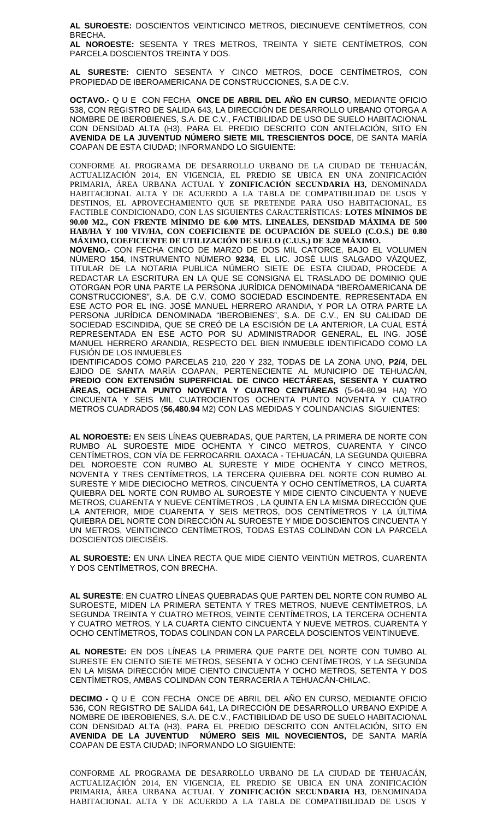**AL SUROESTE:** DOSCIENTOS VEINTICINCO METROS, DIECINUEVE CENTÍMETROS, CON BRECHA.

**AL NOROESTE:** SESENTA Y TRES METROS, TREINTA Y SIETE CENTÍMETROS, CON PARCELA DOSCIENTOS TREINTA Y DOS.

**AL SURESTE:** CIENTO SESENTA Y CINCO METROS, DOCE CENTÍMETROS, CON PROPIEDAD DE IBEROAMERICANA DE CONSTRUCCIONES, S.A DE C.V.

**OCTAVO.-** Q U E CON FECHA **ONCE DE ABRIL DEL AÑO EN CURSO**, MEDIANTE OFICIO 538, CON REGISTRO DE SALIDA 643, LA DIRECCIÓN DE DESARROLLO URBANO OTORGA A NOMBRE DE IBEROBIENES, S.A. DE C.V., FACTIBILIDAD DE USO DE SUELO HABITACIONAL CON DENSIDAD ALTA (H3), PARA EL PREDIO DESCRITO CON ANTELACIÓN, SITO EN **AVENIDA DE LA JUVENTUD NÚMERO SIETE MIL TRESCIENTOS DOCE**, DE SANTA MARÍA COAPAN DE ESTA CIUDAD; INFORMANDO LO SIGUIENTE:

CONFORME AL PROGRAMA DE DESARROLLO URBANO DE LA CIUDAD DE TEHUACÁN, ACTUALIZACIÓN 2014, EN VIGENCIA, EL PREDIO SE UBICA EN UNA ZONIFICACIÓN PRIMARIA, ÁREA URBANA ACTUAL Y **ZONIFICACIÓN SECUNDARIA H3,** DENOMINADA HABITACIONAL ALTA Y DE ACUERDO A LA TABLA DE COMPATIBILIDAD DE USOS Y DESTINOS, EL APROVECHAMIENTO QUE SE PRETENDE PARA USO HABITACIONAL, ES FACTIBLE CONDICIONADO, CON LAS SIGUIENTES CARACTERÍSTICAS: **LOTES MÍNIMOS DE 90.00 M2., CON FRENTE MÍNIMO DE 6.00 MTS. LINEALES, DENSIDAD MÁXIMA DE 500 HAB/HA Y 100 VIV/HA, CON COEFICIENTE DE OCUPACIÓN DE SUELO (C.O.S.) DE 0.80 MÁXIMO, COEFICIENTE DE UTILIZACIÓN DE SUELO (C.U.S.) DE 3.20 MÁXIMO.** 

**NOVENO.-** CON FECHA CINCO DE MARZO DE DOS MIL CATORCE, BAJO EL VOLUMEN NÚMERO **154**, INSTRUMENTO NÚMERO **9234**, EL LIC. JOSÉ LUIS SALGADO VÁZQUEZ, TITULAR DE LA NOTARIA PUBLICA NÚMERO SIETE DE ESTA CIUDAD, PROCEDE A REDACTAR LA ESCRITURA EN LA QUE SE CONSIGNA EL TRASLADO DE DOMINIO QUE OTORGAN POR UNA PARTE LA PERSONA JURÍDICA DENOMINADA "IBEROAMERICANA DE CONSTRUCCIONES", S.A. DE C.V. COMO SOCIEDAD ESCINDENTE, REPRESENTADA EN ESE ACTO POR EL ING. JOSÉ MANUEL HERRERO ARANDIA, Y POR LA OTRA PARTE LA PERSONA JURÍDICA DENOMINADA "IBEROBIENES", S.A. DE C.V., EN SU CALIDAD DE SOCIEDAD ESCINDIDA, QUE SE CREÓ DE LA ESCISIÓN DE LA ANTERIOR, LA CUAL ESTÁ REPRESENTADA EN ESE ACTO POR SU ADMINISTRADOR GENERAL, EL ING. JOSÉ MANUEL HERRERO ARANDIA, RESPECTO DEL BIEN INMUEBLE IDENTIFICADO COMO LA FUSIÓN DE LOS INMUEBLES

IDENTIFICADOS COMO PARCELAS 210, 220 Y 232, TODAS DE LA ZONA UNO, **P2/4**, DEL EJIDO DE SANTA MARÍA COAPAN, PERTENECIENTE AL MUNICIPIO DE TEHUACÁN, **PREDIO CON EXTENSIÓN SUPERFICIAL DE CINCO HECTÁREAS, SESENTA Y CUATRO ÁREAS, OCHENTA PUNTO NOVENTA Y CUATRO CENTIÁREAS** (5-64-80.94 HA) Y/O CINCUENTA Y SEIS MIL CUATROCIENTOS OCHENTA PUNTO NOVENTA Y CUATRO METROS CUADRADOS (**56,480.94** M2) CON LAS MEDIDAS Y COLINDANCIAS SIGUIENTES:

**AL NOROESTE:** EN SEIS LÍNEAS QUEBRADAS, QUE PARTEN, LA PRIMERA DE NORTE CON RUMBO AL SUROESTE MIDE OCHENTA Y CINCO METROS, CUARENTA Y CINCO CENTÍMETROS, CON VÍA DE FERROCARRIL OAXACA - TEHUACÁN, LA SEGUNDA QUIEBRA DEL NOROESTE CON RUMBO AL SURESTE Y MIDE OCHENTA Y CINCO METROS, NOVENTA Y TRES CENTÍMETROS, LA TERCERA QUIEBRA DEL NORTE CON RUMBO AL SURESTE Y MIDE DIECIOCHO METROS, CINCUENTA Y OCHO CENTÍMETROS, LA CUARTA QUIEBRA DEL NORTE CON RUMBO AL SUROESTE Y MIDE CIENTO CINCUENTA Y NUEVE METROS, CUARENTA Y NUEVE CENTÍMETROS , LA QUINTA EN LA MISMA DIRECCIÓN QUE LA ANTERIOR, MIDE CUARENTA Y SEIS METROS, DOS CENTÍMETROS Y LA ÚLTIMA QUIEBRA DEL NORTE CON DIRECCIÓN AL SUROESTE Y MIDE DOSCIENTOS CINCUENTA Y UN METROS, VEINTICINCO CENTÍMETROS, TODAS ESTAS COLINDAN CON LA PARCELA DOSCIENTOS DIECISÉIS.

**AL SUROESTE:** EN UNA LÍNEA RECTA QUE MIDE CIENTO VEINTIÚN METROS, CUARENTA Y DOS CENTÍMETROS, CON BRECHA.

**AL SURESTE**: EN CUATRO LÍNEAS QUEBRADAS QUE PARTEN DEL NORTE CON RUMBO AL SUROESTE, MIDEN LA PRIMERA SETENTA Y TRES METROS, NUEVE CENTÍMETROS, LA SEGUNDA TREINTA Y CUATRO METROS, VEINTE CENTÍMETROS, LA TERCERA OCHENTA Y CUATRO METROS, Y LA CUARTA CIENTO CINCUENTA Y NUEVE METROS, CUARENTA Y OCHO CENTÍMETROS, TODAS COLINDAN CON LA PARCELA DOSCIENTOS VEINTINUEVE.

**AL NORESTE:** EN DOS LÍNEAS LA PRIMERA QUE PARTE DEL NORTE CON TUMBO AL SURESTE EN CIENTO SIETE METROS, SESENTA Y OCHO CENTÍMETROS, Y LA SEGUNDA EN LA MISMA DIRECCIÓN MIDE CIENTO CINCUENTA Y OCHO METROS, SETENTA Y DOS CENTÍMETROS, AMBAS COLINDAN CON TERRACERÍA A TEHUACÁN-CHILAC.

**DECIMO -** Q U E CON FECHA ONCE DE ABRIL DEL AÑO EN CURSO, MEDIANTE OFICIO 536, CON REGISTRO DE SALIDA 641, LA DIRECCIÓN DE DESARROLLO URBANO EXPIDE A NOMBRE DE IBEROBIENES, S.A. DE C.V., FACTIBILIDAD DE USO DE SUELO HABITACIONAL CON DENSIDAD ALTA (H3), PARA EL PREDIO DESCRITO CON ANTELACIÓN, SITO EN **AVENIDA DE LA JUVENTUD NÚMERO SEIS MIL NOVECIENTOS,** DE SANTA MARÍA COAPAN DE ESTA CIUDAD; INFORMANDO LO SIGUIENTE:

CONFORME AL PROGRAMA DE DESARROLLO URBANO DE LA CIUDAD DE TEHUACÁN, ACTUALIZACIÓN 2014, EN VIGENCIA, EL PREDIO SE UBICA EN UNA ZONIFICACIÓN PRIMARIA, ÁREA URBANA ACTUAL Y **ZONIFICACIÓN SECUNDARIA H3**, DENOMINADA HABITACIONAL ALTA Y DE ACUERDO A LA TABLA DE COMPATIBILIDAD DE USOS Y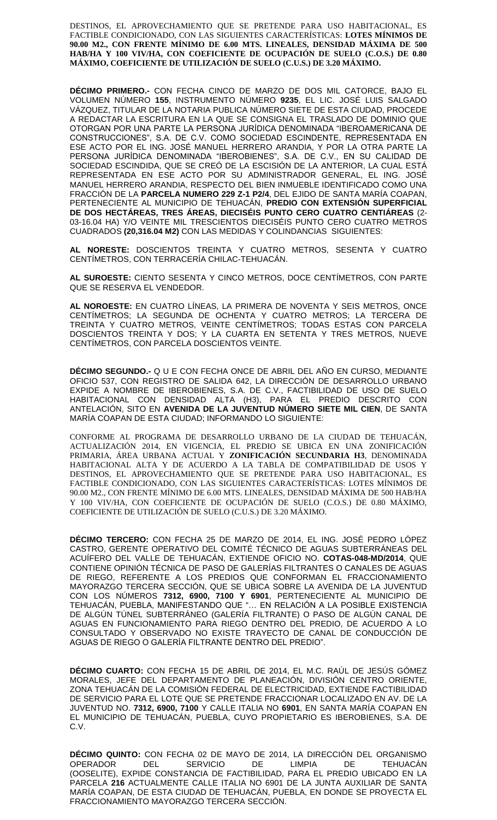DESTINOS, EL APROVECHAMIENTO QUE SE PRETENDE PARA USO HABITACIONAL, ES FACTIBLE CONDICIONADO, CON LAS SIGUIENTES CARACTERÍSTICAS: **LOTES MÍNIMOS DE 90.00 M2., CON FRENTE MÍNIMO DE 6.00 MTS. LINEALES, DENSIDAD MÁXIMA DE 500 HAB/HA Y 100 VIV/HA, CON COEFICIENTE DE OCUPACIÓN DE SUELO (C.O.S.) DE 0.80 MÁXIMO, COEFICIENTE DE UTILIZACIÓN DE SUELO (C.U.S.) DE 3.20 MÁXIMO.** 

**DÉCIMO PRIMERO.-** CON FECHA CINCO DE MARZO DE DOS MIL CATORCE, BAJO EL VOLUMEN NÚMERO **155**, INSTRUMENTO NÚMERO **9235**, EL LIC. JOSÉ LUIS SALGADO VÁZQUEZ, TITULAR DE LA NOTARIA PUBLICA NÚMERO SIETE DE ESTA CIUDAD, PROCEDE A REDACTAR LA ESCRITURA EN LA QUE SE CONSIGNA EL TRASLADO DE DOMINIO QUE OTORGAN POR UNA PARTE LA PERSONA JURÍDICA DENOMINADA "IBEROAMERICANA DE CONSTRUCCIONES", S.A. DE C.V. COMO SOCIEDAD ESCINDENTE, REPRESENTADA EN ESE ACTO POR EL ING. JOSÉ MANUEL HERRERO ARANDIA, Y POR LA OTRA PARTE LA PERSONA JURÍDICA DENOMINADA "IBEROBIENES", S.A. DE C.V., EN SU CALIDAD DE SOCIEDAD ESCINDIDA, QUE SE CREÓ DE LA ESCISIÓN DE LA ANTERIOR, LA CUAL ESTÁ REPRESENTADA EN ESE ACTO POR SU ADMINISTRADOR GENERAL, EL ING. JOSÉ MANUEL HERRERO ARANDIA, RESPECTO DEL BIEN INMUEBLE IDENTIFICADO COMO UNA FRACCIÓN DE LA **PARCELA NUMERO 229 Z-1 P2/4**, DEL EJIDO DE SANTA MARÍA COAPAN, PERTENECIENTE AL MUNICIPIO DE TEHUACÁN, **PREDIO CON EXTENSIÓN SUPERFICIAL DE DOS HECTÁREAS, TRES ÁREAS, DIECISÉIS PUNTO CERO CUATRO CENTIÁREAS** (2- 03-16.04 HA) Y/O VEINTE MIL TRESCIENTOS DIECISÉIS PUNTO CERO CUATRO METROS CUADRADOS **(20,316.04 M2)** CON LAS MEDIDAS Y COLINDANCIAS SIGUIENTES:

**AL NORESTE:** DOSCIENTOS TREINTA Y CUATRO METROS, SESENTA Y CUATRO CENTÍMETROS, CON TERRACERÍA CHILAC-TEHUACÁN.

**AL SUROESTE:** CIENTO SESENTA Y CINCO METROS, DOCE CENTÍMETROS, CON PARTE QUE SE RESERVA EL VENDEDOR.

**AL NOROESTE:** EN CUATRO LÍNEAS, LA PRIMERA DE NOVENTA Y SEIS METROS, ONCE CENTÍMETROS; LA SEGUNDA DE OCHENTA Y CUATRO METROS; LA TERCERA DE TREINTA Y CUATRO METROS, VEINTE CENTÍMETROS; TODAS ESTAS CON PARCELA DOSCIENTOS TREINTA Y DOS; Y LA CUARTA EN SETENTA Y TRES METROS, NUEVE CENTÍMETROS, CON PARCELA DOSCIENTOS VEINTE.

**DÉCIMO SEGUNDO.-** Q U E CON FECHA ONCE DE ABRIL DEL AÑO EN CURSO, MEDIANTE OFICIO 537, CON REGISTRO DE SALIDA 642, LA DIRECCIÓN DE DESARROLLO URBANO EXPIDE A NOMBRE DE IBEROBIENES, S.A. DE C.V., FACTIBILIDAD DE USO DE SUELO HABITACIONAL CON DENSIDAD ALTA (H3), PARA EL PREDIO DESCRITO CON ANTELACIÓN, SITO EN **AVENIDA DE LA JUVENTUD NÚMERO SIETE MIL CIEN**, DE SANTA MARÍA COAPAN DE ESTA CIUDAD; INFORMANDO LO SIGUIENTE:

CONFORME AL PROGRAMA DE DESARROLLO URBANO DE LA CIUDAD DE TEHUACÁN, ACTUALIZACIÓN 2014, EN VIGENCIA, EL PREDIO SE UBICA EN UNA ZONIFICACIÓN PRIMARIA, ÁREA URBANA ACTUAL Y **ZONIFICACIÓN SECUNDARIA H3**, DENOMINADA HABITACIONAL ALTA Y DE ACUERDO A LA TABLA DE COMPATIBILIDAD DE USOS Y DESTINOS, EL APROVECHAMIENTO QUE SE PRETENDE PARA USO HABITACIONAL, ES FACTIBLE CONDICIONADO, CON LAS SIGUIENTES CARACTERÍSTICAS: LOTES MÍNIMOS DE 90.00 M2., CON FRENTE MÍNIMO DE 6.00 MTS. LINEALES, DENSIDAD MÁXIMA DE 500 HAB/HA Y 100 VIV/HA, CON COEFICIENTE DE OCUPACIÓN DE SUELO (C.O.S.) DE 0.80 MÁXIMO, COEFICIENTE DE UTILIZACIÓN DE SUELO (C.U.S.) DE 3.20 MÁXIMO.

**DÉCIMO TERCERO:** CON FECHA 25 DE MARZO DE 2014, EL ING. JOSÉ PEDRO LÓPEZ CASTRO, GERENTE OPERATIVO DEL COMITÉ TÉCNICO DE AGUAS SUBTERRÁNEAS DEL ACUÍFERO DEL VALLE DE TEHUACÁN, EXTIENDE OFICIO NO. **COTAS-048-MD/2014**, QUE CONTIENE OPINIÓN TÉCNICA DE PASO DE GALERÍAS FILTRANTES O CANALES DE AGUAS DE RIEGO, REFERENTE A LOS PREDIOS QUE CONFORMAN EL FRACCIONAMIENTO MAYORAZGO TERCERA SECCIÓN, QUE SE UBICA SOBRE LA AVENIDA DE LA JUVENTUD CON LOS NÚMEROS **7312, 6900, 7100 Y 6901**, PERTENECIENTE AL MUNICIPIO DE TEHUACÁN, PUEBLA, MANIFESTANDO QUE "… EN RELACIÓN A LA POSIBLE EXISTENCIA DE ALGÚN TÚNEL SUBTERRÁNEO (GALERÍA FILTRANTE) O PASO DE ALGÚN CANAL DE AGUAS EN FUNCIONAMIENTO PARA RIEGO DENTRO DEL PREDIO, DE ACUERDO A LO CONSULTADO Y OBSERVADO NO EXISTE TRAYECTO DE CANAL DE CONDUCCIÓN DE AGUAS DE RIEGO O GALERÍA FILTRANTE DENTRO DEL PREDIO".

**DÉCIMO CUARTO:** CON FECHA 15 DE ABRIL DE 2014, EL M.C. RAÚL DE JESÚS GÓMEZ MORALES, JEFE DEL DEPARTAMENTO DE PLANEACIÓN, DIVISIÓN CENTRO ORIENTE, ZONA TEHUACÁN DE LA COMISIÓN FEDERAL DE ELECTRICIDAD, EXTIENDE FACTIBILIDAD DE SERVICIO PARA EL LOTE QUE SE PRETENDE FRACCIONAR LOCALIZADO EN AV. DE LA JUVENTUD NO. **7312, 6900, 7100** Y CALLE ITALIA NO **6901**, EN SANTA MARÍA COAPAN EN EL MUNICIPIO DE TEHUACÁN, PUEBLA, CUYO PROPIETARIO ES IBEROBIENES, S.A. DE C.V.

**DÉCIMO QUINTO:** CON FECHA 02 DE MAYO DE 2014, LA DIRECCIÓN DEL ORGANISMO OPERADOR DEL SERVICIO DE LIMPIA DE TEHUACÁN (OOSELITE), EXPIDE CONSTANCIA DE FACTIBILIDAD, PARA EL PREDIO UBICADO EN LA PARCELA **216** ACTUALMENTE CALLE ITALIA NO 6901 DE LA JUNTA AUXILIAR DE SANTA MARÍA COAPAN, DE ESTA CIUDAD DE TEHUACÁN, PUEBLA, EN DONDE SE PROYECTA EL FRACCIONAMIENTO MAYORAZGO TERCERA SECCIÓN.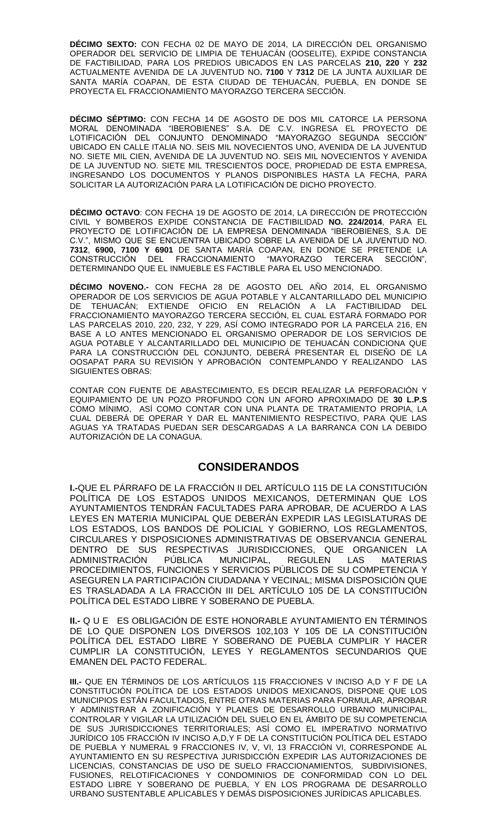**DÉCIMO SEXTO:** CON FECHA 02 DE MAYO DE 2014, LA DIRECCIÓN DEL ORGANISMO OPERADOR DEL SERVICIO DE LIMPIA DE TEHUACÁN (OOSELITE), EXPIDE CONSTANCIA DE FACTIBILIDAD, PARA LOS PREDIOS UBICADOS EN LAS PARCELAS **210, 220** Y **232** ACTUALMENTE AVENIDA DE LA JUVENTUD NO**. 7100** Y **7312** DE LA JUNTA AUXILIAR DE SANTA MARÍA COAPAN, DE ESTA CIUDAD DE TEHUACÁN, PUEBLA, EN DONDE SE PROYECTA EL FRACCIONAMIENTO MAYORAZGO TERCERA SECCIÓN.

**DÉCIMO SÉPTIMO:** CON FECHA 14 DE AGOSTO DE DOS MIL CATORCE LA PERSONA MORAL DENOMINADA "IBEROBIENES" S.A. DE C.V. INGRESA EL PROYECTO DE LOTIFICACIÓN DEL CONJUNTO DENOMINADO "MAYORAZGO SEGUNDA SECCIÓN" UBICADO EN CALLE ITALIA NO. SEIS MIL NOVECIENTOS UNO, AVENIDA DE LA JUVENTUD NO. SIETE MIL CIEN, AVENIDA DE LA JUVENTUD NO. SEIS MIL NOVECIENTOS Y AVENIDA DE LA JUVENTUD NO. SIETE MIL TRESCIENTOS DOCE, PROPIEDAD DE ESTA EMPRESA, INGRESANDO LOS DOCUMENTOS Y PLANOS DISPONIBLES HASTA LA FECHA, PARA SOLICITAR LA AUTORIZACIÓN PARA LA LOTIFICACIÓN DE DICHO PROYECTO.

**DÉCIMO OCTAVO**: CON FECHA 19 DE AGOSTO DE 2014, LA DIRECCIÓN DE PROTECCIÓN CIVIL Y BOMBEROS EXPIDE CONSTANCIA DE FACTIBILIDAD **NO. 224/2014**, PARA EL PROYECTO DE LOTIFICACIÓN DE LA EMPRESA DENOMINADA "IBEROBIENES, S.A. DE C.V.", MISMO QUE SE ENCUENTRA UBICADO SOBRE LA AVENIDA DE LA JUVENTUD NO. **7312**, **6900, 7100 Y 6901** DE SANTA MARÍA COAPAN, EN DONDE SE PRETENDE LA CONSTRUCCIÓN DEL FRACCIONAMIENTO "MAYORAZGO TERCERA SECCIÓN", DETERMINANDO QUE EL INMUEBLE ES FACTIBLE PARA EL USO MENCIONADO.

**DÉCIMO NOVENO.-** CON FECHA 28 DE AGOSTO DEL AÑO 2014, EL ORGANISMO OPERADOR DE LOS SERVICIOS DE AGUA POTABLE Y ALCANTARILLADO DEL MUNICIPIO DE TEHUACÁN; EXTIENDE OFICIO EN RELACIÓN A LA FACTIBILIDAD DEL FRACCIONAMIENTO MAYORAZGO TERCERA SECCIÓN, EL CUAL ESTARÁ FORMADO POR LAS PARCELAS 2010, 220, 232, Y 229, ASÍ COMO INTEGRADO POR LA PARCELA 216, EN BASE A LO ANTES MENCIONADO EL ORGANISMO OPERADOR DE LOS SERVICIOS DE AGUA POTABLE Y ALCANTARILLADO DEL MUNICIPIO DE TEHUACÁN CONDICIONA QUE PARA LA CONSTRUCCIÓN DEL CONJUNTO, DEBERÁ PRESENTAR EL DISEÑO DE LA OOSAPAT PARA SU REVISIÓN Y APROBACIÓN CONTEMPLANDO Y REALIZANDO LAS SIGUIENTES OBRAS:

CONTAR CON FUENTE DE ABASTECIMIENTO, ES DECIR REALIZAR LA PERFORACIÓN Y EQUIPAMIENTO DE UN POZO PROFUNDO CON UN AFORO APROXIMADO DE **30 L.P.S** COMO MÍNIMO, ASÍ COMO CONTAR CON UNA PLANTA DE TRATAMIENTO PROPIA, LA CUAL DEBERÁ DE OPERAR Y DAR EL MANTENIMIENTO RESPECTIVO, PARA QUE LAS AGUAS YA TRATADAS PUEDAN SER DESCARGADAS A LA BARRANCA CON LA DEBIDO AUTORIZACIÓN DE LA CONAGUA.

## **CONSIDERANDOS**

**I.-**QUE EL PÁRRAFO DE LA FRACCIÓN II DEL ARTÍCULO 115 DE LA CONSTITUCIÓN POLÍTICA DE LOS ESTADOS UNIDOS MEXICANOS, DETERMINAN QUE LOS AYUNTAMIENTOS TENDRÁN FACULTADES PARA APROBAR, DE ACUERDO A LAS LEYES EN MATERIA MUNICIPAL QUE DEBERÁN EXPEDIR LAS LEGISLATURAS DE LOS ESTADOS, LOS BANDOS DE POLICIAL Y GOBIERNO, LOS REGLAMENTOS, CIRCULARES Y DISPOSICIONES ADMINISTRATIVAS DE OBSERVANCIA GENERAL DENTRO DE SUS RESPECTIVAS JURISDICCIONES, QUE ORGANICEN LA<br>ADMINISTRACIÓN PÚBLICA MUNICIPAL, REGULEN LAS MATERIAS ADMINISTRACIÓN PÚBLICA MUNICIPAL, REGULEN LAS MATERIAS PROCEDIMIENTOS, FUNCIONES Y SERVICIOS PÚBLICOS DE SU COMPETENCIA Y ASEGUREN LA PARTICIPACIÓN CIUDADANA Y VECINAL; MISMA DISPOSICIÓN QUE ES TRASLADADA A LA FRACCIÓN III DEL ARTÍCULO 105 DE LA CONSTITUCIÓN POLÍTICA DEL ESTADO LIBRE Y SOBERANO DE PUEBLA.

**II.-** Q U E ES OBLIGACIÓN DE ESTE HONORABLE AYUNTAMIENTO EN TÉRMINOS DE LO QUE DISPONEN LOS DIVERSOS 102,103 Y 105 DE LA CONSTITUCIÓN POLÍTICA DEL ESTADO LIBRE Y SOBERANO DE PUEBLA CUMPLIR Y HACER CUMPLIR LA CONSTITUCIÓN, LEYES Y REGLAMENTOS SECUNDARIOS QUE EMANEN DEL PACTO FEDERAL.

**III.-** QUE EN TÉRMINOS DE LOS ARTÍCULOS 115 FRACCIONES V INCISO A,D Y F DE LA CONSTITUCIÓN POLÍTICA DE LOS ESTADOS UNIDOS MEXICANOS, DISPONE QUE LOS MUNICIPIOS ESTÁN FACULTADOS, ENTRE OTRAS MATERIAS PARA FORMULAR, APROBAR Y ADMINISTRAR A ZONIFICACIÓN Y PLANES DE DESARROLLO URBANO MUNICIPAL, CONTROLAR Y VIGILAR LA UTILIZACIÓN DEL SUELO EN EL ÁMBITO DE SU COMPETENCIA DE SUS JURISDICCIONES TERRITORIALES; ASÍ COMO EL IMPERATIVO NORMATIVO JURÍDICO 105 FRACCIÓN IV INCISO A,D,Y F DE LA CONSTITUCIÓN POLÍTICA DEL ESTADO DE PUEBLA Y NUMERAL 9 FRACCIONES IV, V, VI, 13 FRACCIÓN VI, CORRESPONDE AL AYUNTAMIENTO EN SU RESPECTIVA JURISDICCIÓN EXPEDIR LAS AUTORIZACIONES DE LICENCIAS, CONSTANCIAS DE USO DE SUELO FRACCIONAMIENTOS, SUBDIVISIONES, FUSIONES, RELOTIFICACIONES Y CONDOMINIOS DE CONFORMIDAD CON LO DEL ESTADO LIBRE Y SOBERANO DE PUEBLA, Y EN LOS PROGRAMA DE DESARROLLO URBANO SUSTENTABLE APLICABLES Y DEMÁS DISPOSICIONES JURÍDICAS APLICABLES.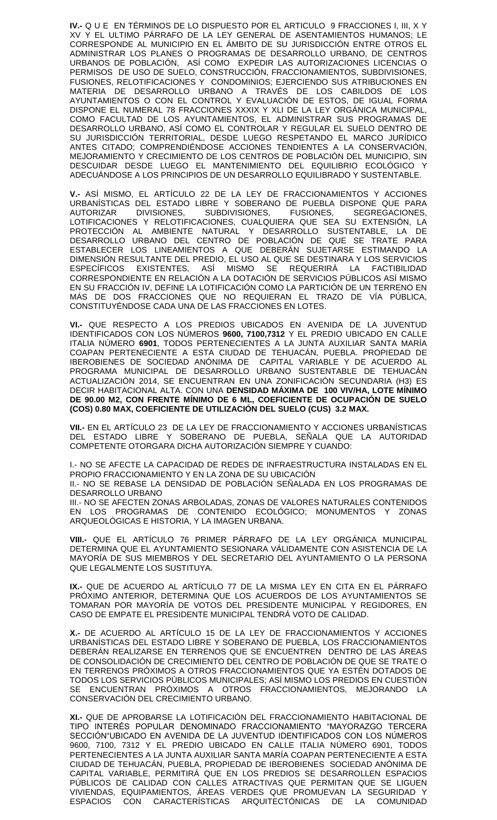**IV.-** Q U E EN TÉRMINOS DE LO DISPUESTO POR EL ARTICULO 9 FRACCIONES I, III, X Y XV Y EL ULTIMO PÁRRAFO DE LA LEY GENERAL DE ASENTAMIENTOS HUMANOS; LE CORRESPONDE AL MUNICIPIO EN EL ÁMBITO DE SU JURISDICCIÓN ENTRE OTROS EL ADMINISTRAR LOS PLANES O PROGRAMAS DE DESARROLLO URBANO, DE CENTROS URBANOS DE POBLACIÓN, ASÍ COMO EXPEDIR LAS AUTORIZACIONES LICENCIAS O PERMISOS DE USO DE SUELO, CONSTRUCCIÓN, FRACCIONAMIENTOS, SUBDIVISIONES, FUSIONES, RELOTIFICACIONES Y CONDOMINIOS; EJERCIENDO SUS ATRIBUCIONES EN MATERIA DE DESARROLLO URBANO A TRAVÉS DE LOS CABILDOS DE LOS AYUNTAMIENTOS O CON EL CONTROL Y EVALUACIÓN DE ESTOS, DE IGUAL FORMA DISPONE EL NUMERAL 78 FRACCIONES XXXIX Y XLI DE LA LEY ORGÁNICA MUNICIPAL, COMO FACULTAD DE LOS AYUNTAMIENTOS, EL ADMINISTRAR SUS PROGRAMAS DE DESARROLLO URBANO, ASÍ COMO EL CONTROLAR Y REGULAR EL SUELO DENTRO DE SU JURISDICCIÓN TERRITORIAL, DESDE LUEGO RESPETANDO EL MARCO JURÍDICO ANTES CITADO; COMPRENDIÉNDOSE ACCIONES TENDIENTES A LA CONSERVACIÓN, MEJORAMIENTO Y CRECIMIENTO DE LOS CENTROS DE POBLACIÓN DEL MUNICIPIO, SIN DESCUIDAR DESDE LUEGO EL MANTENIMIENTO DEL EQUILIBRIO ECOLÓGICO Y ADECUÁNDOSE A LOS PRINCIPIOS DE UN DESARROLLO EQUILIBRADO Y SUSTENTABLE.

**V.-** ASÍ MISMO, EL ARTÍCULO 22 DE LA LEY DE FRACCIONAMIENTOS Y ACCIONES URBANÍSTICAS DEL ESTADO LIBRE Y SOBERANO DE PUEBLA DISPONE QUE PARA AUTORIZAR DIVISIONES, SUBDIVISIONES, FUSIONES, SEGREGACIONES, LOTIFICACIONES Y RELOTIFICACIONES, CUALQUIERA QUE SEA SU EXTENSIÓN, LA PROTECCIÓN AL AMBIENTE NATURAL Y DESARROLLO SUSTENTABLE, LA DE DESARROLLO URBANO DEL CENTRO DE POBLACIÓN DE QUE SE TRATE PARA ESTABLECER LOS LINEAMIENTOS A QUE DEBERÁN SUJETARSE ESTIMANDO LA DIMENSIÓN RESULTANTE DEL PREDIO, EL USO AL QUE SE DESTINARA Y LOS SERVICIOS ESPECÍFICOS EXISTENTES, ASÍ MISMO SE REQUERIRÁ LA FACTIBILIDAD CORRESPONDIENTE EN RELACIÓN A LA DOTACIÓN DE SERVICIOS PÚBLICOS ASÍ MISMO EN SU FRACCIÓN IV, DEFINE LA LOTIFICACIÓN COMO LA PARTICIÓN DE UN TERRENO EN MÁS DE DOS FRACCIONES QUE NO REQUIERAN EL TRAZO DE VÍA PÚBLICA, CONSTITUYÉNDOSE CADA UNA DE LAS FRACCIONES EN LOTES.

**VI.-** QUE RESPECTO A LOS PREDIOS UBICADOS EN AVENIDA DE LA JUVENTUD IDENTIFICADOS CON LOS NÚMEROS **9600, 7100,7312** Y EL PREDIO UBICADO EN CALLE ITALIA NÚMERO **6901**, TODOS PERTENECIENTES A LA JUNTA AUXILIAR SANTA MARÍA COAPAN PERTENECIENTE A ESTA CIUDAD DE TEHUACÁN, PUEBLA. PROPIEDAD DE IBEROBIENES DE SOCIEDAD ANÓNIMA DE CAPITAL VARIABLE Y DE ACUERDO AL PROGRAMA MUNICIPAL DE DESARROLLO URBANO SUSTENTABLE DE TEHUACÁN ACTUALIZACIÓN 2014, SE ENCUENTRAN EN UNA ZONIFICACIÓN SECUNDARIA (H3) ES DECIR HABITACIONAL ALTA. CON UNA **DENSIDAD MÁXIMA DE 100 VIV/HA, LOTE MÍNIMO DE 90.00 M2, CON FRENTE MÍNIMO DE 6 ML, COEFICIENTE DE OCUPACIÓN DE SUELO (COS) 0.80 MAX, COEFICIENTE DE UTILIZACIÓN DEL SUELO (CUS) 3.2 MAX.**

**VII.-** EN EL ARTÍCULO 23 DE LA LEY DE FRACCIONAMIENTO Y ACCIONES URBANÍSTICAS DEL ESTADO LIBRE Y SOBERANO DE PUEBLA, SEÑALA QUE LA AUTORIDAD COMPETENTE OTORGARA DICHA AUTORIZACIÓN SIEMPRE Y CUANDO:

I.- NO SE AFECTE LA CAPACIDAD DE REDES DE INFRAESTRUCTURA INSTALADAS EN EL PROPIO FRACCIONAMIENTO Y EN LA ZONA DE SU UBICACIÓN

II.- NO SE REBASE LA DENSIDAD DE POBLACIÓN SEÑALADA EN LOS PROGRAMAS DE DESARROLLO URBANO

III.- NO SE AFECTEN ZONAS ARBOLADAS, ZONAS DE VALORES NATURALES CONTENIDOS EN LOS PROGRAMAS DE CONTENIDO ECOLÓGICO; MONUMENTOS Y ZONAS ARQUEOLÓGICAS E HISTORIA, Y LA IMAGEN URBANA.

**VIII.-** QUE EL ARTÍCULO 76 PRIMER PÁRRAFO DE LA LEY ORGÁNICA MUNICIPAL DETERMINA QUE EL AYUNTAMIENTO SESIONARA VÁLIDAMENTE CON ASISTENCIA DE LA MAYORÍA DE SUS MIEMBROS Y DEL SECRETARIO DEL AYUNTAMIENTO O LA PERSONA QUE LEGALMENTE LOS SUSTITUYA.

**IX.-** QUE DE ACUERDO AL ARTÍCULO 77 DE LA MISMA LEY EN CITA EN EL PÁRRAFO PRÓXIMO ANTERIOR, DETERMINA QUE LOS ACUERDOS DE LOS AYUNTAMIENTOS SE TOMARAN POR MAYORÍA DE VOTOS DEL PRESIDENTE MUNICIPAL Y REGIDORES, EN CASO DE EMPATE EL PRESIDENTE MUNICIPAL TENDRÁ VOTO DE CALIDAD.

**X.-** DE ACUERDO AL ARTÍCULO 15 DE LA LEY DE FRACCIONAMIENTOS Y ACCIONES URBANÍSTICAS DEL ESTADO LIBRE Y SOBERANO DE PUEBLA, LOS FRACCIONAMIENTOS DEBERÁN REALIZARSE EN TERRENOS QUE SE ENCUENTREN DENTRO DE LAS ÁREAS DE CONSOLIDACIÓN DE CRECIMIENTO DEL CENTRO DE POBLACIÓN DE QUE SE TRATE O EN TERRENOS PRÓXIMOS A OTROS FRACCIONAMIENTOS QUE YA ESTÉN DOTADOS DE TODOS LOS SERVICIOS PÚBLICOS MUNICIPALES; ASÍ MISMO LOS PREDIOS EN CUESTIÓN SE ENCUENTRAN PRÓXIMOS A OTROS FRACCIONAMIENTOS, MEJORANDO LA CONSERVACIÓN DEL CRECIMIENTO URBANO.

**XI.-** QUE DE APROBARSE LA LOTIFICACIÓN DEL FRACCIONAMIENTO HABITACIONAL DE TIPO INTERÉS POPULAR DENOMINADO FRACCIONAMIENTO "MAYORAZGO TERCERA SECCIÓN"UBICADO EN AVENIDA DE LA JUVENTUD IDENTIFICADOS CON LOS NÚMEROS 9600, 7100, 7312 Y EL PREDIO UBICADO EN CALLE ITALIA NÚMERO 6901, TODOS PERTENECIENTES A LA JUNTA AUXILIAR SANTA MARÍA COAPAN PERTENECIENTE A ESTA CIUDAD DE TEHUACÁN, PUEBLA, PROPIEDAD DE IBEROBIENES SOCIEDAD ANÓNIMA DE CAPITAL VARIABLE, PERMITIRÁ QUE EN LOS PREDIOS SE DESARROLLEN ESPACIOS PÚBLICOS DE CALIDAD CON CALLES ATRACTIVAS QUE PERMITAN QUE SE LIGUEN VIVIENDAS, EQUIPAMIENTOS, ÁREAS VERDES QUE PROMUEVAN LA SEGURIDAD Y ESPACIOS CON CARACTERÍSTICAS ARQUITECTÓNICAS DE LA COMUNIDAD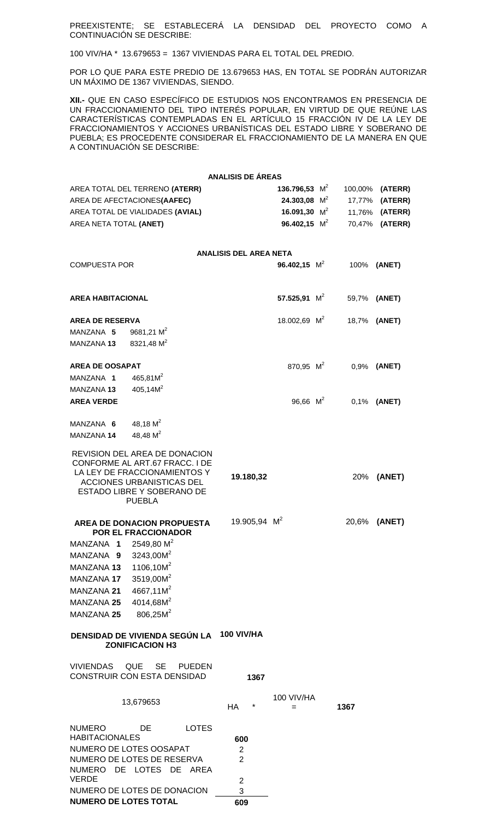PREEXISTENTE; SE ESTABLECERÁ LA DENSIDAD DEL PROYECTO COMO A CONTINUACIÓN SE DESCRIBE:

100 VIV/HA \* 13.679653 = 1367 VIVIENDAS PARA EL TOTAL DEL PREDIO.

POR LO QUE PARA ESTE PREDIO DE 13.679653 HAS, EN TOTAL SE PODRÁN AUTORIZAR UN MÁXIMO DE 1367 VIVIENDAS, SIENDO.

**XII.-** QUE EN CASO ESPECÍFICO DE ESTUDIOS NOS ENCONTRAMOS EN PRESENCIA DE UN FRACCIONAMIENTO DEL TIPO INTERÉS POPULAR, EN VIRTUD DE QUE REÚNE LAS CARACTERÍSTICAS CONTEMPLADAS EN EL ARTÍCULO 15 FRACCIÓN IV DE LA LEY DE FRACCIONAMIENTOS Y ACCIONES URBANÍSTICAS DEL ESTADO LIBRE Y SOBERANO DE PUEBLA; ES PROCEDENTE CONSIDERAR EL FRACCIONAMIENTO DE LA MANERA EN QUE A CONTINUACIÓN SE DESCRIBE:

|                                                                                                                                                                             | <b>ANALISIS DE ÁREAS</b>                                  |                   |                          |                 |
|-----------------------------------------------------------------------------------------------------------------------------------------------------------------------------|-----------------------------------------------------------|-------------------|--------------------------|-----------------|
| AREA TOTAL DEL TERRENO (ATERR)                                                                                                                                              |                                                           | 136.796,53 $M^2$  |                          | 100,00% (ATERR) |
| AREA DE AFECTACIONES(AAFEC)                                                                                                                                                 |                                                           | 24.303,08 $M^2$   |                          | 17,77% (ATERR)  |
| AREA TOTAL DE VIALIDADES (AVIAL)                                                                                                                                            |                                                           | 16.091,30 $M^2$   |                          | 11,76% (ATERR)  |
| AREA NETA TOTAL (ANET)                                                                                                                                                      |                                                           | 96.402,15 $M^2$   |                          | 70,47% (ATERR)  |
|                                                                                                                                                                             | <b>ANALISIS DEL AREA NETA</b>                             |                   |                          |                 |
| <b>COMPUESTA POR</b>                                                                                                                                                        |                                                           | 96.402,15 $M^2$   |                          | 100% (ANET)     |
| <b>AREA HABITACIONAL</b>                                                                                                                                                    |                                                           | 57.525,91 $M^2$   | 59,7% (ANET)             |                 |
| <b>AREA DE RESERVA</b>                                                                                                                                                      |                                                           | 18.002,69 $M^2$   | 18,7% (ANET)             |                 |
| 9681,21 $M^2$<br>MANZANA 5                                                                                                                                                  |                                                           |                   |                          |                 |
| 8321,48 M <sup>2</sup><br><b>MANZANA 13</b>                                                                                                                                 |                                                           |                   |                          |                 |
| <b>AREA DE OOSAPAT</b>                                                                                                                                                      |                                                           |                   | 870,95 $M^2$ 0,9% (ANET) |                 |
| $465,81M^2$<br>MANZANA 1                                                                                                                                                    |                                                           |                   |                          |                 |
| 405,14M <sup>2</sup><br><b>MANZANA 13</b>                                                                                                                                   |                                                           |                   |                          |                 |
| <b>AREA VERDE</b>                                                                                                                                                           |                                                           | 96,66 $M^2$       |                          | 0,1% (ANET)     |
| 48,18 $M^2$<br>MANZANA 6                                                                                                                                                    |                                                           |                   |                          |                 |
| 48,48 $M^2$<br>MANZANA 14                                                                                                                                                   |                                                           |                   |                          |                 |
| REVISION DEL AREA DE DONACION<br>CONFORME AL ART.67 FRACC. I DE<br>LA LEY DE FRACCIONAMIENTOS Y<br>ACCIONES URBANISTICAS DEL<br>ESTADO LIBRE Y SOBERANO DE<br><b>PUEBLA</b> | 19.180,32                                                 |                   |                          | 20% (ANET)      |
| AREA DE DONACION PROPUESTA                                                                                                                                                  | 19.905,94 $M^2$                                           |                   |                          | 20,6% (ANET)    |
| POR EL FRACCIONADOR<br>MANZANA 1                                                                                                                                            |                                                           |                   |                          |                 |
| 2549,80 $M^2$<br>$3243,00M^2$<br>MANZANA 9                                                                                                                                  |                                                           |                   |                          |                 |
| 1106,10M <sup>2</sup><br><b>MANZANA 13</b>                                                                                                                                  |                                                           |                   |                          |                 |
| 3519,00M <sup>2</sup><br>MANZANA 17                                                                                                                                         |                                                           |                   |                          |                 |
| 4667,11M <sup>2</sup><br><b>MANZANA 21</b>                                                                                                                                  |                                                           |                   |                          |                 |
| 4014,68M <sup>2</sup><br><b>MANZANA 25</b>                                                                                                                                  |                                                           |                   |                          |                 |
| 806,25M <sup>2</sup><br><b>MANZANA 25</b>                                                                                                                                   |                                                           |                   |                          |                 |
| DENSIDAD DE VIVIENDA SEGÚN LA 100 VIV/HA<br><b>ZONIFICACION H3</b>                                                                                                          |                                                           |                   |                          |                 |
| QUE<br><b>SE</b><br><b>VIVIENDAS</b><br><b>PUEDEN</b><br>CONSTRUIR CON ESTA DENSIDAD                                                                                        | 1367                                                      |                   |                          |                 |
| 13,679653                                                                                                                                                                   | *<br>HA                                                   | 100 VIV/HA<br>$=$ | 1367                     |                 |
| <b>NUMERO</b><br>DE<br><b>LOTES</b><br><b>HABITACIONALES</b><br>NUMERO DE LOTES OOSAPAT<br>NUMERO DE LOTES DE RESERVA<br>NUMERO DE LOTES DE<br>AREA<br><b>VERDE</b>         | 600<br>$\overline{c}$<br>$\overline{2}$<br>$\overline{2}$ |                   |                          |                 |
|                                                                                                                                                                             |                                                           |                   |                          |                 |

NUMERO DE LOTES DE DONACION 3 **NUMERO DE LOTES TOTAL 609**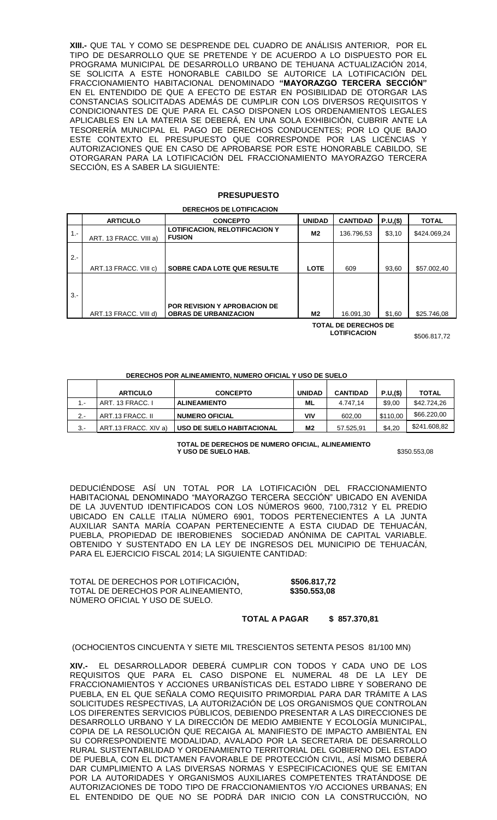**XIII.-** QUE TAL Y COMO SE DESPRENDE DEL CUADRO DE ANÁLISIS ANTERIOR, POR EL TIPO DE DESARROLLO QUE SE PRETENDE Y DE ACUERDO A LO DISPUESTO POR EL PROGRAMA MUNICIPAL DE DESARROLLO URBANO DE TEHUANA ACTUALIZACIÓN 2014, SE SOLICITA A ESTE HONORABLE CABILDO SE AUTORICE LA LOTIFICACIÓN DEL FRACCIONAMIENTO HABITACIONAL DENOMINADO **"MAYORAZGO TERCERA SECCIÓN"** EN EL ENTENDIDO DE QUE A EFECTO DE ESTAR EN POSIBILIDAD DE OTORGAR LAS CONSTANCIAS SOLICITADAS ADEMÁS DE CUMPLIR CON LOS DIVERSOS REQUISITOS Y CONDICIONANTES DE QUE PARA EL CASO DISPONEN LOS ORDENAMIENTOS LEGALES APLICABLES EN LA MATERIA SE DEBERÁ, EN UNA SOLA EXHIBICIÓN, CUBRIR ANTE LA TESORERÍA MUNICIPAL EL PAGO DE DERECHOS CONDUCENTES; POR LO QUE BAJO ESTE CONTEXTO EL PRESUPUESTO QUE CORRESPONDE POR LAS LICENCIAS Y AUTORIZACIONES QUE EN CASO DE APROBARSE POR ESTE HONORABLE CABILDO, SE OTORGARAN PARA LA LOTIFICACIÓN DEL FRACCIONAMIENTO MAYORAZGO TERCERA SECCIÓN, ES A SABER LA SIGUIENTE:

#### **PRESUPUESTO**

**DERECHOS DE LOTIFICACION**

|        | <b>ARTICULO</b>        | <b>CONCEPTO</b>                                                     | <b>UNIDAD</b> | <b>CANTIDAD</b> | P.U,(\$) | <b>TOTAL</b> |
|--------|------------------------|---------------------------------------------------------------------|---------------|-----------------|----------|--------------|
| $1 -$  | ART. 13 FRACC. VIII a) | <b>LOTIFICACION, RELOTIFICACION Y</b><br><b>FUSION</b>              | M2            | 136.796,53      | \$3,10   | \$424.069,24 |
| $2 -$  | ART.13 FRACC. VIII c)  | <b>SOBRE CADA LOTE QUE RESULTE</b>                                  | <b>LOTE</b>   | 609             | 93.60    | \$57.002,40  |
| $3. -$ | ART.13 FRACC. VIII d)  | <b>POR REVISION Y APROBACION DE</b><br><b>OBRAS DE URBANIZACION</b> | M2            | 16.091,30       | \$1,60   | \$25.746,08  |

**TOTAL DE DERECHOS DE** 

**LOTIFICACION** \$506.817,72

#### **DERECHOS POR ALINEAMIENTO, NUMERO OFICIAL Y USO DE SUELO**

|        | <b>ARTICULO</b>      | <b>CONCEPTO</b>           | <b>UNIDAD</b>  | <b>CANTIDAD</b> | P.U.(\$) | <b>TOTAL</b> |
|--------|----------------------|---------------------------|----------------|-----------------|----------|--------------|
| $\sim$ | ART. 13 FRACC. I     | <b>ALINEAMIENTO</b>       | ML             | 4.747.14        | \$9.00   | \$42,724.26  |
| $2 -$  | ART.13 FRACC. II     | <b>NUMERO OFICIAL</b>     | ٧I٧            | 602.00          | \$110.00 | \$66.220,00  |
| $3 -$  | ART.13 FRACC. XIV a) | USO DE SUELO HABITACIONAL | M <sub>2</sub> | 57.525,91       | \$4,20   | \$241.608,82 |

**TOTAL DE DERECHOS DE NUMERO OFICIAL, ALINEAMIENTO Y USO DE SUELO HAB.** \$350.553,08

DEDUCIÉNDOSE ASÍ UN TOTAL POR LA LOTIFICACIÓN DEL FRACCIONAMIENTO HABITACIONAL DENOMINADO "MAYORAZGO TERCERA SECCIÓN" UBICADO EN AVENIDA DE LA JUVENTUD IDENTIFICADOS CON LOS NÚMEROS 9600, 7100,7312 Y EL PREDIO UBICADO EN CALLE ITALIA NÚMERO 6901, TODOS PERTENECIENTES A LA JUNTA AUXILIAR SANTA MARÍA COAPAN PERTENECIENTE A ESTA CIUDAD DE TEHUACÁN, PUEBLA, PROPIEDAD DE IBEROBIENES SOCIEDAD ANÓNIMA DE CAPITAL VARIABLE. OBTENIDO Y SUSTENTADO EN LA LEY DE INGRESOS DEL MUNICIPIO DE TEHUACÁN, PARA EL EJERCICIO FISCAL 2014; LA SIGUIENTE CANTIDAD:

TOTAL DE DERECHOS POR LOTIFICACIÓN**, \$506.817,72** TOTAL DE DERECHOS POR ALINEAMIENTO, **\$350.553,08** NÚMERO OFICIAL Y USO DE SUELO.

#### **TOTAL A PAGAR \$ 857.370,81**

#### (OCHOCIENTOS CINCUENTA Y SIETE MIL TRESCIENTOS SETENTA PESOS 81/100 MN)

**XIV.-** EL DESARROLLADOR DEBERÁ CUMPLIR CON TODOS Y CADA UNO DE LOS REQUISITOS QUE PARA EL CASO DISPONE EL NUMERAL 48 DE LA LEY DE FRACCIONAMIENTOS Y ACCIONES URBANÍSTICAS DEL ESTADO LIBRE Y SOBERANO DE PUEBLA, EN EL QUE SEÑALA COMO REQUISITO PRIMORDIAL PARA DAR TRÁMITE A LAS SOLICITUDES RESPECTIVAS, LA AUTORIZACIÓN DE LOS ORGANISMOS QUE CONTROLAN LOS DIFERENTES SERVICIOS PÚBLICOS, DEBIENDO PRESENTAR A LAS DIRECCIONES DE DESARROLLO URBANO Y LA DIRECCIÓN DE MEDIO AMBIENTE Y ECOLOGÍA MUNICIPAL, COPIA DE LA RESOLUCIÓN QUE RECAIGA AL MANIFIESTO DE IMPACTO AMBIENTAL EN SU CORRESPONDIENTE MODALIDAD, AVALADO POR LA SECRETARIA DE DESARROLLO RURAL SUSTENTABILIDAD Y ORDENAMIENTO TERRITORIAL DEL GOBIERNO DEL ESTADO DE PUEBLA, CON EL DICTAMEN FAVORABLE DE PROTECCIÓN CIVIL, ASÍ MISMO DEBERÁ DAR CUMPLIMIENTO A LAS DIVERSAS NORMAS Y ESPECIFICACIONES QUE SE EMITAN POR LA AUTORIDADES Y ORGANISMOS AUXILIARES COMPETENTES TRATÁNDOSE DE AUTORIZACIONES DE TODO TIPO DE FRACCIONAMIENTOS Y/O ACCIONES URBANAS; EN EL ENTENDIDO DE QUE NO SE PODRÁ DAR INICIO CON LA CONSTRUCCIÓN, NO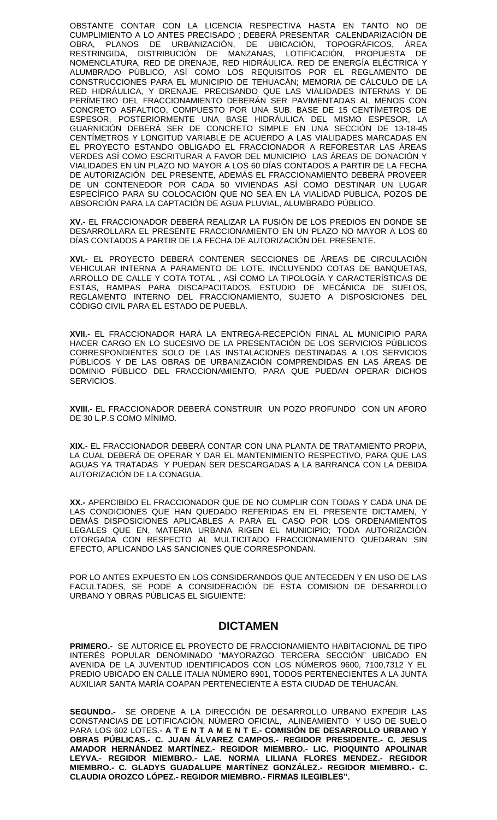OBSTANTE CONTAR CON LA LICENCIA RESPECTIVA HASTA EN TANTO NO DE CUMPLIMIENTO A LO ANTES PRECISADO ; DEBERÁ PRESENTAR CALENDARIZACIÓN DE OBRA, PLANOS DE URBANIZACIÓN, DE UBICACIÓN, TOPOGRÁFICOS, ÁREA RESTRINGIDA, DISTRIBUCIÓN DE MANZANAS, LOTIFICACIÓN, PROPUESTA DE NOMENCLATURA, RED DE DRENAJE, RED HIDRÁULICA, RED DE ENERGÍA ELÉCTRICA Y ALUMBRADO PÚBLICO, ASÍ COMO LOS REQUISITOS POR EL REGLAMENTO DE CONSTRUCCIONES PARA EL MUNICIPIO DE TEHUACÁN; MEMORIA DE CÁLCULO DE LA RED HIDRÁULICA, Y DRENAJE, PRECISANDO QUE LAS VIALIDADES INTERNAS Y DE PERÍMETRO DEL FRACCIONAMIENTO DEBERÁN SER PAVIMENTADAS AL MENOS CON CONCRETO ASFALTICO, COMPUESTO POR UNA SUB. BASE DE 15 CENTÍMETROS DE ESPESOR, POSTERIORMENTE UNA BASE HIDRÁULICA DEL MISMO ESPESOR, LA GUARNICIÓN DEBERÁ SER DE CONCRETO SIMPLE EN UNA SECCIÓN DE 13-18-45 CENTÍMETROS Y LONGITUD VARIABLE DE ACUERDO A LAS VIALIDADES MARCADAS EN EL PROYECTO ESTANDO OBLIGADO EL FRACCIONADOR A REFORESTAR LAS ÁREAS VERDES ASÍ COMO ESCRITURAR A FAVOR DEL MUNICIPIO LAS ÁREAS DE DONACIÓN Y VIALIDADES EN UN PLAZO NO MAYOR A LOS 60 DÍAS CONTADOS A PARTIR DE LA FECHA DE AUTORIZACIÓN DEL PRESENTE, ADEMÁS EL FRACCIONAMIENTO DEBERÁ PROVEER DE UN CONTENEDOR POR CADA 50 VIVIENDAS ASÍ COMO DESTINAR UN LUGAR ESPECÍFICO PARA SU COLOCACIÓN QUE NO SEA EN LA VIALIDAD PUBLICA, POZOS DE ABSORCIÓN PARA LA CAPTACIÓN DE AGUA PLUVIAL, ALUMBRADO PÚBLICO.

**XV.-** EL FRACCIONADOR DEBERÁ REALIZAR LA FUSIÓN DE LOS PREDIOS EN DONDE SE DESARROLLARA EL PRESENTE FRACCIONAMIENTO EN UN PLAZO NO MAYOR A LOS 60 DÍAS CONTADOS A PARTIR DE LA FECHA DE AUTORIZACIÓN DEL PRESENTE.

**XVI.-** EL PROYECTO DEBERÁ CONTENER SECCIONES DE ÁREAS DE CIRCULACIÓN VEHICULAR INTERNA A PARAMENTO DE LOTE, INCLUYENDO COTAS DE BANQUETAS, ARROLLO DE CALLE Y COTA TOTAL , ASÍ COMO LA TIPOLOGÍA Y CARACTERÍSTICAS DE ESTAS, RAMPAS PARA DISCAPACITADOS, ESTUDIO DE MECÁNICA DE SUELOS, REGLAMENTO INTERNO DEL FRACCIONAMIENTO, SUJETO A DISPOSICIONES DEL CÓDIGO CIVIL PARA EL ESTADO DE PUEBLA.

**XVII.-** EL FRACCIONADOR HARÁ LA ENTREGA-RECEPCIÓN FINAL AL MUNICIPIO PARA HACER CARGO EN LO SUCESIVO DE LA PRESENTACIÓN DE LOS SERVICIOS PÚBLICOS CORRESPONDIENTES SOLO DE LAS INSTALACIONES DESTINADAS A LOS SERVICIOS PÚBLICOS Y DE LAS OBRAS DE URBANIZACIÓN COMPRENDIDAS EN LAS ÁREAS DE DOMINIO PÚBLICO DEL FRACCIONAMIENTO, PARA QUE PUEDAN OPERAR DICHOS SERVICIOS.

**XVIII.-** EL FRACCIONADOR DEBERÁ CONSTRUIR UN POZO PROFUNDO CON UN AFORO DE 30 L.P.S COMO MÍNIMO.

**XIX.-** EL FRACCIONADOR DEBERÁ CONTAR CON UNA PLANTA DE TRATAMIENTO PROPIA, LA CUAL DEBERÁ DE OPERAR Y DAR EL MANTENIMIENTO RESPECTIVO, PARA QUE LAS AGUAS YA TRATADAS Y PUEDAN SER DESCARGADAS A LA BARRANCA CON LA DEBIDA AUTORIZACIÓN DE LA CONAGUA.

**XX.-** APERCIBIDO EL FRACCIONADOR QUE DE NO CUMPLIR CON TODAS Y CADA UNA DE LAS CONDICIONES QUE HAN QUEDADO REFERIDAS EN EL PRESENTE DICTAMEN, Y DEMÁS DISPOSICIONES APLICABLES A PARA EL CASO POR LOS ORDENAMIENTOS LEGALES QUE EN, MATERIA URBANA RIGEN EL MUNICIPIO; TODA AUTORIZACIÓN OTORGADA CON RESPECTO AL MULTICITADO FRACCIONAMIENTO QUEDARAN SIN EFECTO, APLICANDO LAS SANCIONES QUE CORRESPONDAN.

POR LO ANTES EXPUESTO EN LOS CONSIDERANDOS QUE ANTECEDEN Y EN USO DE LAS FACULTADES, SE PODE A CONSIDERACIÓN DE ESTA COMISION DE DESARROLLO URBANO Y OBRAS PÚBLICAS EL SIGUIENTE:

## **DICTAMEN**

**PRIMERO.-** SE AUTORICE EL PROYECTO DE FRACCIONAMIENTO HABITACIONAL DE TIPO INTERÉS POPULAR DENOMINADO "MAYORAZGO TERCERA SECCIÓN" UBICADO EN AVENIDA DE LA JUVENTUD IDENTIFICADOS CON LOS NÚMEROS 9600, 7100,7312 Y EL PREDIO UBICADO EN CALLE ITALIA NÚMERO 6901, TODOS PERTENECIENTES A LA JUNTA AUXILIAR SANTA MARÍA COAPAN PERTENECIENTE A ESTA CIUDAD DE TEHUACÁN.

**SEGUNDO.-** SE ORDENE A LA DIRECCIÓN DE DESARROLLO URBANO EXPEDIR LAS CONSTANCIAS DE LOTIFICACIÓN, NÚMERO OFICIAL, ALINEAMIENTO Y USO DE SUELO PARA LOS 602 LOTES.- **A T E N T A M E N T E.- COMISIÓN DE DESARROLLO URBANO Y OBRAS PÚBLICAS.- C. JUAN ÁLVAREZ CAMPOS.- REGIDOR PRESIDENTE.- C. JESUS AMADOR HERNÁNDEZ MARTÍNEZ.- REGIDOR MIEMBRO.- LIC. PIOQUINTO APOLINAR LEYVA.- REGIDOR MIEMBRO.- LAE. NORMA LILIANA FLORES MENDEZ.- REGIDOR MIEMBRO.- C. GLADYS GUADALUPE MARTÍNEZ GONZÁLEZ.- REGIDOR MIEMBRO.- C. CLAUDIA OROZCO LÓPEZ.- REGIDOR MIEMBRO.- FIRMAS ILEGIBLES".**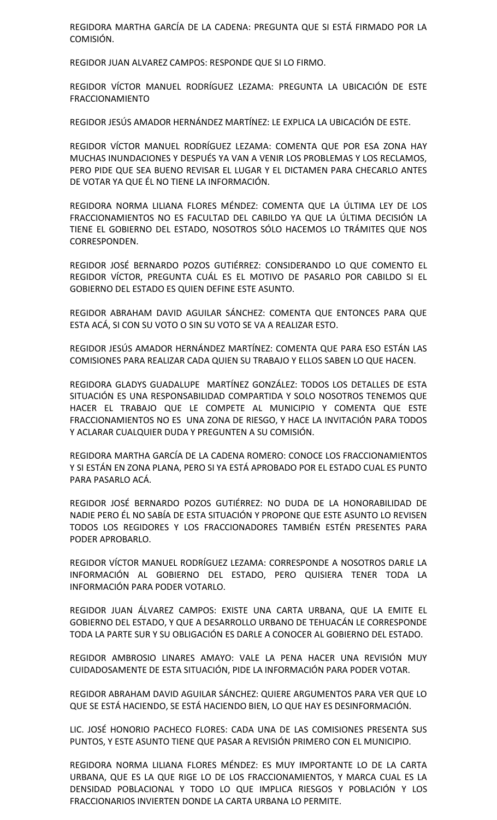REGIDORA MARTHA GARCÍA DE LA CADENA: PREGUNTA QUE SI ESTÁ FIRMADO POR LA COMISIÓN.

REGIDOR JUAN ALVAREZ CAMPOS: RESPONDE QUE SI LO FIRMO.

REGIDOR VÍCTOR MANUEL RODRÍGUEZ LEZAMA: PREGUNTA LA UBICACIÓN DE ESTE FRACCIONAMIENTO

REGIDOR JESÚS AMADOR HERNÁNDEZ MARTÍNEZ: LE EXPLICA LA UBICACIÓN DE ESTE.

REGIDOR VÍCTOR MANUEL RODRÍGUEZ LEZAMA: COMENTA QUE POR ESA ZONA HAY MUCHAS INUNDACIONES Y DESPUÉS YA VAN A VENIR LOS PROBLEMAS Y LOS RECLAMOS, PERO PIDE QUE SEA BUENO REVISAR EL LUGAR Y EL DICTAMEN PARA CHECARLO ANTES DE VOTAR YA QUE ÉL NO TIENE LA INFORMACIÓN.

REGIDORA NORMA LILIANA FLORES MÉNDEZ: COMENTA QUE LA ÚLTIMA LEY DE LOS FRACCIONAMIENTOS NO ES FACULTAD DEL CABILDO YA QUE LA ÚLTIMA DECISIÓN LA TIENE EL GOBIERNO DEL ESTADO, NOSOTROS SÓLO HACEMOS LO TRÁMITES QUE NOS CORRESPONDEN.

REGIDOR JOSÉ BERNARDO POZOS GUTIÉRREZ: CONSIDERANDO LO QUE COMENTO EL REGIDOR VÍCTOR, PREGUNTA CUÁL ES EL MOTIVO DE PASARLO POR CABILDO SI EL GOBIERNO DEL ESTADO ES QUIEN DEFINE ESTE ASUNTO.

REGIDOR ABRAHAM DAVID AGUILAR SÁNCHEZ: COMENTA QUE ENTONCES PARA QUE ESTA ACÁ, SI CON SU VOTO O SIN SU VOTO SE VA A REALIZAR ESTO.

REGIDOR JESÚS AMADOR HERNÁNDEZ MARTÍNEZ: COMENTA QUE PARA ESO ESTÁN LAS COMISIONES PARA REALIZAR CADA QUIEN SU TRABAJO Y ELLOS SABEN LO QUE HACEN.

REGIDORA GLADYS GUADALUPE MARTÍNEZ GONZÁLEZ: TODOS LOS DETALLES DE ESTA SITUACIÓN ES UNA RESPONSABILIDAD COMPARTIDA Y SOLO NOSOTROS TENEMOS QUE HACER EL TRABAJO QUE LE COMPETE AL MUNICIPIO Y COMENTA QUE ESTE FRACCIONAMIENTOS NO ES UNA ZONA DE RIESGO, Y HACE LA INVITACIÓN PARA TODOS Y ACLARAR CUALQUIER DUDA Y PREGUNTEN A SU COMISIÓN.

REGIDORA MARTHA GARCÍA DE LA CADENA ROMERO: CONOCE LOS FRACCIONAMIENTOS Y SI ESTÁN EN ZONA PLANA, PERO SI YA ESTÁ APROBADO POR EL ESTADO CUAL ES PUNTO PARA PASARLO ACÁ.

REGIDOR JOSÉ BERNARDO POZOS GUTIÉRREZ: NO DUDA DE LA HONORABILIDAD DE NADIE PERO ÉL NO SABÍA DE ESTA SITUACIÓN Y PROPONE QUE ESTE ASUNTO LO REVISEN TODOS LOS REGIDORES Y LOS FRACCIONADORES TAMBIÉN ESTÉN PRESENTES PARA PODER APROBARLO.

REGIDOR VÍCTOR MANUEL RODRÍGUEZ LEZAMA: CORRESPONDE A NOSOTROS DARLE LA INFORMACIÓN AL GOBIERNO DEL ESTADO, PERO QUISIERA TENER TODA LA INFORMACIÓN PARA PODER VOTARLO.

REGIDOR JUAN ÁLVAREZ CAMPOS: EXISTE UNA CARTA URBANA, QUE LA EMITE EL GOBIERNO DEL ESTADO, Y QUE A DESARROLLO URBANO DE TEHUACÁN LE CORRESPONDE TODA LA PARTE SUR Y SU OBLIGACIÓN ES DARLE A CONOCER AL GOBIERNO DEL ESTADO.

REGIDOR AMBROSIO LINARES AMAYO: VALE LA PENA HACER UNA REVISIÓN MUY CUIDADOSAMENTE DE ESTA SITUACIÓN, PIDE LA INFORMACIÓN PARA PODER VOTAR.

REGIDOR ABRAHAM DAVID AGUILAR SÁNCHEZ: QUIERE ARGUMENTOS PARA VER QUE LO QUE SE ESTÁ HACIENDO, SE ESTÁ HACIENDO BIEN, LO QUE HAY ES DESINFORMACIÓN.

LIC. JOSÉ HONORIO PACHECO FLORES: CADA UNA DE LAS COMISIONES PRESENTA SUS PUNTOS, Y ESTE ASUNTO TIENE QUE PASAR A REVISIÓN PRIMERO CON EL MUNICIPIO.

REGIDORA NORMA LILIANA FLORES MÉNDEZ: ES MUY IMPORTANTE LO DE LA CARTA URBANA, QUE ES LA QUE RIGE LO DE LOS FRACCIONAMIENTOS, Y MARCA CUAL ES LA DENSIDAD POBLACIONAL Y TODO LO QUE IMPLICA RIESGOS Y POBLACIÓN Y LOS FRACCIONARIOS INVIERTEN DONDE LA CARTA URBANA LO PERMITE.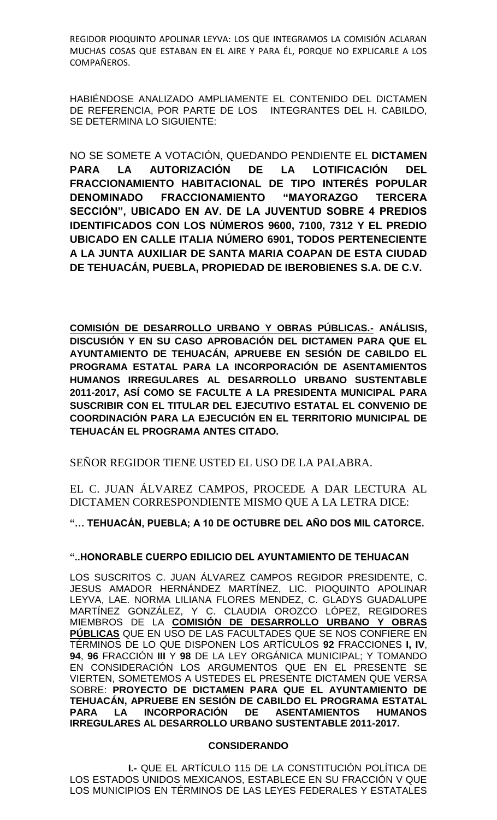REGIDOR PIOQUINTO APOLINAR LEYVA: LOS QUE INTEGRAMOS LA COMISIÓN ACLARAN MUCHAS COSAS QUE ESTABAN EN EL AIRE Y PARA ÉL, PORQUE NO EXPLICARLE A LOS COMPAÑEROS.

HABIÉNDOSE ANALIZADO AMPLIAMENTE EL CONTENIDO DEL DICTAMEN DE REFERENCIA, POR PARTE DE LOS INTEGRANTES DEL H. CABILDO, SE DETERMINA LO SIGUIENTE:

NO SE SOMETE A VOTACIÓN, QUEDANDO PENDIENTE EL **DICTAMEN PARA LA AUTORIZACIÓN DE LA LOTIFICACIÓN DEL FRACCIONAMIENTO HABITACIONAL DE TIPO INTERÉS POPULAR DENOMINADO FRACCIONAMIENTO "MAYORAZGO TERCERA SECCIÓN", UBICADO EN AV. DE LA JUVENTUD SOBRE 4 PREDIOS IDENTIFICADOS CON LOS NÚMEROS 9600, 7100, 7312 Y EL PREDIO UBICADO EN CALLE ITALIA NÚMERO 6901, TODOS PERTENECIENTE A LA JUNTA AUXILIAR DE SANTA MARIA COAPAN DE ESTA CIUDAD DE TEHUACÁN, PUEBLA, PROPIEDAD DE IBEROBIENES S.A. DE C.V.**

**COMISIÓN DE DESARROLLO URBANO Y OBRAS PÚBLICAS.- ANÁLISIS, DISCUSIÓN Y EN SU CASO APROBACIÓN DEL DICTAMEN PARA QUE EL AYUNTAMIENTO DE TEHUACÁN, APRUEBE EN SESIÓN DE CABILDO EL PROGRAMA ESTATAL PARA LA INCORPORACIÓN DE ASENTAMIENTOS HUMANOS IRREGULARES AL DESARROLLO URBANO SUSTENTABLE 2011-2017, ASÍ COMO SE FACULTE A LA PRESIDENTA MUNICIPAL PARA SUSCRIBIR CON EL TITULAR DEL EJECUTIVO ESTATAL EL CONVENIO DE COORDINACIÓN PARA LA EJECUCIÓN EN EL TERRITORIO MUNICIPAL DE TEHUACÁN EL PROGRAMA ANTES CITADO.**

SEÑOR REGIDOR TIENE USTED EL USO DE LA PALABRA.

EL C. JUAN ÁLVAREZ CAMPOS, PROCEDE A DAR LECTURA AL DICTAMEN CORRESPONDIENTE MISMO QUE A LA LETRA DICE:

**"… TEHUACÁN, PUEBLA; A 10 DE OCTUBRE DEL AÑO DOS MIL CATORCE.**

# **"..HONORABLE CUERPO EDILICIO DEL AYUNTAMIENTO DE TEHUACAN**

LOS SUSCRITOS C. JUAN ÁLVAREZ CAMPOS REGIDOR PRESIDENTE, C. JESUS AMADOR HERNÁNDEZ MARTÍNEZ, LIC. PIOQUINTO APOLINAR LEYVA, LAE. NORMA LILIANA FLORES MENDEZ, C. GLADYS GUADALUPE MARTÍNEZ GONZÁLEZ, Y C. CLAUDIA OROZCO LÓPEZ, REGIDORES MIEMBROS DE LA **COMISIÓN DE DESARROLLO URBANO Y OBRAS PÚBLICAS** QUE EN USO DE LAS FACULTADES QUE SE NOS CONFIERE EN TÉRMINOS DE LO QUE DISPONEN LOS ARTÍCULOS **92** FRACCIONES **I, IV**, **94**, **96** FRACCIÓN **III** Y **98** DE LA LEY ORGÁNICA MUNICIPAL; Y TOMANDO EN CONSIDERACIÓN LOS ARGUMENTOS QUE EN EL PRESENTE SE VIERTEN, SOMETEMOS A USTEDES EL PRESENTE DICTAMEN QUE VERSA SOBRE: **PROYECTO DE DICTAMEN PARA QUE EL AYUNTAMIENTO DE TEHUACÁN, APRUEBE EN SESIÓN DE CABILDO EL PROGRAMA ESTATAL PARA LA INCORPORACIÓN DE ASENTAMIENTOS HUMANOS IRREGULARES AL DESARROLLO URBANO SUSTENTABLE 2011-2017.**

## **CONSIDERANDO**

**I.-** QUE EL ARTÍCULO 115 DE LA CONSTITUCIÓN POLÍTICA DE LOS ESTADOS UNIDOS MEXICANOS, ESTABLECE EN SU FRACCIÓN V QUE LOS MUNICIPIOS EN TÉRMINOS DE LAS LEYES FEDERALES Y ESTATALES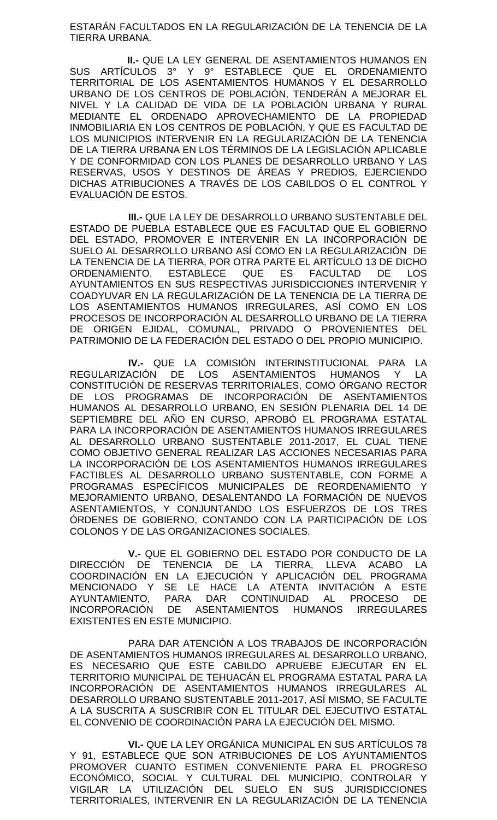ESTARÁN FACULTADOS EN LA REGULARIZACIÓN DE LA TENENCIA DE LA TIERRA URBANA.

**II.-** QUE LA LEY GENERAL DE ASENTAMIENTOS HUMANOS EN SUS ARTÍCULOS 3° Y 9° ESTABLECE QUE EL ORDENAMIENTO TERRITORIAL DE LOS ASENTAMIENTOS HUMANOS Y EL DESARROLLO URBANO DE LOS CENTROS DE POBLACIÓN, TENDERÁN A MEJORAR EL NIVEL Y LA CALIDAD DE VIDA DE LA POBLACIÓN URBANA Y RURAL MEDIANTE EL ORDENADO APROVECHAMIENTO DE LA PROPIEDAD INMOBILIARIA EN LOS CENTROS DE POBLACIÓN, Y QUE ES FACULTAD DE LOS MUNICIPIOS INTERVENIR EN LA REGULARIZACIÓN DE LA TENENCIA DE LA TIERRA URBANA EN LOS TÉRMINOS DE LA LEGISLACIÓN APLICABLE Y DE CONFORMIDAD CON LOS PLANES DE DESARROLLO URBANO Y LAS RESERVAS, USOS Y DESTINOS DE ÁREAS Y PREDIOS, EJERCIENDO DICHAS ATRIBUCIONES A TRAVÉS DE LOS CABILDOS O EL CONTROL Y EVALUACIÓN DE ESTOS.

**III.-** QUE LA LEY DE DESARROLLO URBANO SUSTENTABLE DEL ESTADO DE PUEBLA ESTABLECE QUE ES FACULTAD QUE EL GOBIERNO DEL ESTADO, PROMOVER E INTERVENIR EN LA INCORPORACIÓN DE SUELO AL DESARROLLO URBANO ASÍ COMO EN LA REGULARIZACIÓN DE LA TENENCIA DE LA TIERRA, POR OTRA PARTE EL ARTÍCULO 13 DE DICHO ORDENAMIENTO, ESTABLECE QUE ES FACULTAD DE LOS AYUNTAMIENTOS EN SUS RESPECTIVAS JURISDICCIONES INTERVENIR Y COADYUVAR EN LA REGULARIZACIÓN DE LA TENENCIA DE LA TIERRA DE LOS ASENTAMIENTOS HUMANOS IRREGULARES, ASÍ COMO EN LOS PROCESOS DE INCORPORACIÓN AL DESARROLLO URBANO DE LA TIERRA DE ORIGEN EJIDAL, COMUNAL, PRIVADO O PROVENIENTES DEL PATRIMONIO DE LA FEDERACIÓN DEL ESTADO O DEL PROPIO MUNICIPIO.

**IV.-** QUE LA COMISIÓN INTERINSTITUCIONAL PARA LA REGULARIZACIÓN DE LOS ASENTAMIENTOS HUMANOS Y LA CONSTITUCIÓN DE RESERVAS TERRITORIALES, COMO ÓRGANO RECTOR DE LOS PROGRAMAS DE INCORPORACIÓN DE ASENTAMIENTOS HUMANOS AL DESARROLLO URBANO, EN SESIÓN PLENARIA DEL 14 DE SEPTIEMBRE DEL AÑO EN CURSO, APROBÓ EL PROGRAMA ESTATAL PARA LA INCORPORACIÓN DE ASENTAMIENTOS HUMANOS IRREGULARES AL DESARROLLO URBANO SUSTENTABLE 2011-2017, EL CUAL TIENE COMO OBJETIVO GENERAL REALIZAR LAS ACCIONES NECESARIAS PARA LA INCORPORACIÓN DE LOS ASENTAMIENTOS HUMANOS IRREGULARES FACTIBLES AL DESARROLLO URBANO SUSTENTABLE, CON FORME A PROGRAMAS ESPECÍFICOS MUNICIPALES DE REORDENAMIENTO Y MEJORAMIENTO URBANO, DESALENTANDO LA FORMACIÓN DE NUEVOS ASENTAMIENTOS, Y CONJUNTANDO LOS ESFUERZOS DE LOS TRES ÓRDENES DE GOBIERNO, CONTANDO CON LA PARTICIPACIÓN DE LOS COLONOS Y DE LAS ORGANIZACIONES SOCIALES.

**V.-** QUE EL GOBIERNO DEL ESTADO POR CONDUCTO DE LA DIRECCIÓN DE TENENCIA DE LA TIERRA, LLEVA ACABO LA COORDINACIÓN EN LA EJECUCIÓN Y APLICACIÓN DEL PROGRAMA MENCIONADO Y SE LE HACE LA ATENTA INVITACIÓN A ESTE AYUNTAMIENTO, PARA DAR CONTINUIDAD AL PROCESO DE INCORPORACIÓN DE ASENTAMIENTOS HUMANOS IRREGULARES EXISTENTES EN ESTE MUNICIPIO.

PARA DAR ATENCIÓN A LOS TRABAJOS DE INCORPORACIÓN DE ASENTAMIENTOS HUMANOS IRREGULARES AL DESARROLLO URBANO, ES NECESARIO QUE ESTE CABILDO APRUEBE EJECUTAR EN EL TERRITORIO MUNICIPAL DE TEHUACÁN EL PROGRAMA ESTATAL PARA LA INCORPORACIÓN DE ASENTAMIENTOS HUMANOS IRREGULARES AL DESARROLLO URBANO SUSTENTABLE 2011-2017, ASÍ MISMO, SE FACULTE A LA SUSCRITA A SUSCRIBIR CON EL TITULAR DEL EJECUTIVO ESTATAL EL CONVENIO DE COORDINACIÓN PARA LA EJECUCIÓN DEL MISMO.

**VI.-** QUE LA LEY ORGÁNICA MUNICIPAL EN SUS ARTÍCULOS 78 Y 91, ESTABLECE QUE SON ATRIBUCIONES DE LOS AYUNTAMIENTOS PROMOVER CUANTO ESTIMEN CONVENIENTE PARA EL PROGRESO ECONÓMICO, SOCIAL Y CULTURAL DEL MUNICIPIO, CONTROLAR Y VIGILAR LA UTILIZACIÓN DEL SUELO EN SUS JURISDICCIONES TERRITORIALES, INTERVENIR EN LA REGULARIZACIÓN DE LA TENENCIA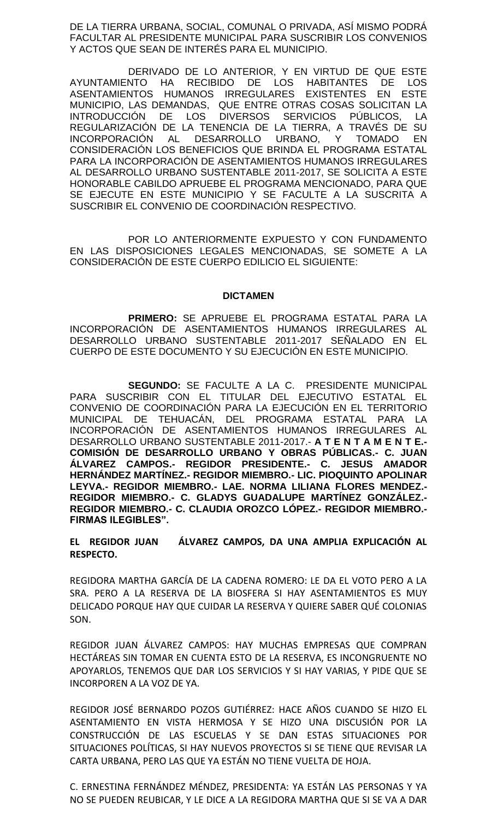DE LA TIERRA URBANA, SOCIAL, COMUNAL O PRIVADA, ASÍ MISMO PODRÁ FACULTAR AL PRESIDENTE MUNICIPAL PARA SUSCRIBIR LOS CONVENIOS Y ACTOS QUE SEAN DE INTERÉS PARA EL MUNICIPIO.

DERIVADO DE LO ANTERIOR, Y EN VIRTUD DE QUE ESTE AYUNTAMIENTO HA RECIBIDO DE LOS HABITANTES DE LOS ASENTAMIENTOS HUMANOS IRREGULARES EXISTENTES EN ESTE MUNICIPIO, LAS DEMANDAS, QUE ENTRE OTRAS COSAS SOLICITAN LA INTRODUCCIÓN DE LOS DIVERSOS SERVICIOS PÚBLICOS, LA REGULARIZACIÓN DE LA TENENCIA DE LA TIERRA, A TRAVÉS DE SU INCORPORACIÓN AL DESARROLLO URBANO, Y TOMADO EN CONSIDERACIÓN LOS BENEFICIOS QUE BRINDA EL PROGRAMA ESTATAL PARA LA INCORPORACIÓN DE ASENTAMIENTOS HUMANOS IRREGULARES AL DESARROLLO URBANO SUSTENTABLE 2011-2017, SE SOLICITA A ESTE HONORABLE CABILDO APRUEBE EL PROGRAMA MENCIONADO, PARA QUE SE EJECUTE EN ESTE MUNICIPIO Y SE FACULTE A LA SUSCRITA A SUSCRIBIR EL CONVENIO DE COORDINACIÓN RESPECTIVO.

POR LO ANTERIORMENTE EXPUESTO Y CON FUNDAMENTO EN LAS DISPOSICIONES LEGALES MENCIONADAS, SE SOMETE A LA CONSIDERACIÓN DE ESTE CUERPO EDILICIO EL SIGUIENTE:

#### **DICTAMEN**

**PRIMERO:** SE APRUEBE EL PROGRAMA ESTATAL PARA LA INCORPORACIÓN DE ASENTAMIENTOS HUMANOS IRREGULARES AL DESARROLLO URBANO SUSTENTABLE 2011-2017 SEÑALADO EN EL CUERPO DE ESTE DOCUMENTO Y SU EJECUCIÓN EN ESTE MUNICIPIO.

**SEGUNDO:** SE FACULTE A LA C. PRESIDENTE MUNICIPAL PARA SUSCRIBIR CON EL TITULAR DEL EJECUTIVO ESTATAL EL CONVENIO DE COORDINACIÓN PARA LA EJECUCIÓN EN EL TERRITORIO MUNICIPAL DE TEHUACÁN, DEL PROGRAMA ESTATAL PARA LA INCORPORACIÓN DE ASENTAMIENTOS HUMANOS IRREGULARES AL DESARROLLO URBANO SUSTENTABLE 2011-2017.- **A T E N T A M E N T E.- COMISIÓN DE DESARROLLO URBANO Y OBRAS PÚBLICAS.- C. JUAN ÁLVAREZ CAMPOS.- REGIDOR PRESIDENTE.- C. JESUS AMADOR HERNÁNDEZ MARTÍNEZ.- REGIDOR MIEMBRO.- LIC. PIOQUINTO APOLINAR LEYVA.- REGIDOR MIEMBRO.- LAE. NORMA LILIANA FLORES MENDEZ.- REGIDOR MIEMBRO.- C. GLADYS GUADALUPE MARTÍNEZ GONZÁLEZ.- REGIDOR MIEMBRO.- C. CLAUDIA OROZCO LÓPEZ.- REGIDOR MIEMBRO.- FIRMAS ILEGIBLES".**

**EL REGIDOR JUAN ÁLVAREZ CAMPOS, DA UNA AMPLIA EXPLICACIÓN AL RESPECTO.**

REGIDORA MARTHA GARCÍA DE LA CADENA ROMERO: LE DA EL VOTO PERO A LA SRA. PERO A LA RESERVA DE LA BIOSFERA SI HAY ASENTAMIENTOS ES MUY DELICADO PORQUE HAY QUE CUIDAR LA RESERVA Y QUIERE SABER QUÉ COLONIAS SON.

REGIDOR JUAN ÁLVAREZ CAMPOS: HAY MUCHAS EMPRESAS QUE COMPRAN HECTÁREAS SIN TOMAR EN CUENTA ESTO DE LA RESERVA, ES INCONGRUENTE NO APOYARLOS, TENEMOS QUE DAR LOS SERVICIOS Y SI HAY VARIAS, Y PIDE QUE SE INCORPOREN A LA VOZ DE YA.

REGIDOR JOSÉ BERNARDO POZOS GUTIÉRREZ: HACE AÑOS CUANDO SE HIZO EL ASENTAMIENTO EN VISTA HERMOSA Y SE HIZO UNA DISCUSIÓN POR LA CONSTRUCCIÓN DE LAS ESCUELAS Y SE DAN ESTAS SITUACIONES POR SITUACIONES POLÍTICAS, SI HAY NUEVOS PROYECTOS SI SE TIENE QUE REVISAR LA CARTA URBANA, PERO LAS QUE YA ESTÁN NO TIENE VUELTA DE HOJA.

C. ERNESTINA FERNÁNDEZ MÉNDEZ, PRESIDENTA: YA ESTÁN LAS PERSONAS Y YA NO SE PUEDEN REUBICAR, Y LE DICE A LA REGIDORA MARTHA QUE SI SE VA A DAR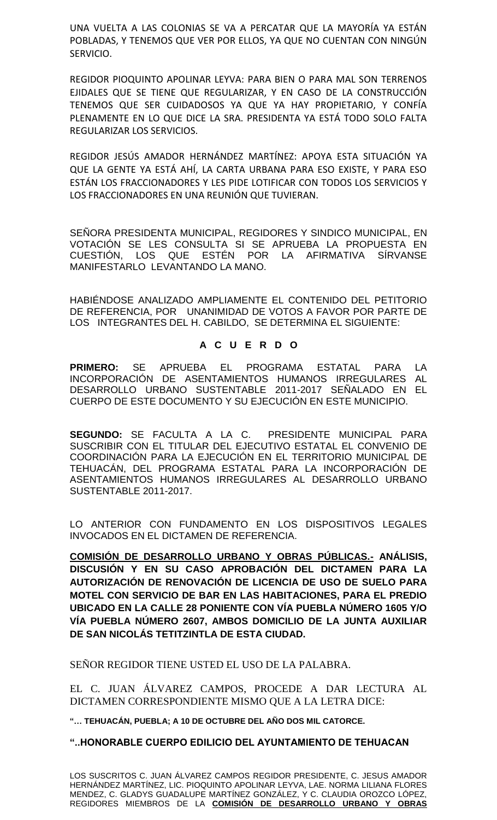UNA VUELTA A LAS COLONIAS SE VA A PERCATAR QUE LA MAYORÍA YA ESTÁN POBLADAS, Y TENEMOS QUE VER POR ELLOS, YA QUE NO CUENTAN CON NINGÚN SERVICIO.

REGIDOR PIOQUINTO APOLINAR LEYVA: PARA BIEN O PARA MAL SON TERRENOS EJIDALES QUE SE TIENE QUE REGULARIZAR, Y EN CASO DE LA CONSTRUCCIÓN TENEMOS QUE SER CUIDADOSOS YA QUE YA HAY PROPIETARIO, Y CONFÍA PLENAMENTE EN LO QUE DICE LA SRA. PRESIDENTA YA ESTÁ TODO SOLO FALTA REGULARIZAR LOS SERVICIOS.

REGIDOR JESÚS AMADOR HERNÁNDEZ MARTÍNEZ: APOYA ESTA SITUACIÓN YA QUE LA GENTE YA ESTÁ AHÍ, LA CARTA URBANA PARA ESO EXISTE, Y PARA ESO ESTÁN LOS FRACCIONADORES Y LES PIDE LOTIFICAR CON TODOS LOS SERVICIOS Y LOS FRACCIONADORES EN UNA REUNIÓN QUE TUVIERAN.

SEÑORA PRESIDENTA MUNICIPAL, REGIDORES Y SINDICO MUNICIPAL, EN VOTACIÓN SE LES CONSULTA SI SE APRUEBA LA PROPUESTA EN CUESTIÓN, LOS QUE ESTÉN POR LA AFIRMATIVA SÍRVANSE MANIFESTARLO LEVANTANDO LA MANO.

HABIÉNDOSE ANALIZADO AMPLIAMENTE EL CONTENIDO DEL PETITORIO DE REFERENCIA, POR UNANIMIDAD DE VOTOS A FAVOR POR PARTE DE LOS INTEGRANTES DEL H. CABILDO, SE DETERMINA EL SIGUIENTE:

# **A C U E R D O**

**PRIMERO:** SE APRUEBA EL PROGRAMA ESTATAL PARA LA INCORPORACIÓN DE ASENTAMIENTOS HUMANOS IRREGULARES AL DESARROLLO URBANO SUSTENTABLE 2011-2017 SEÑALADO EN EL CUERPO DE ESTE DOCUMENTO Y SU EJECUCIÓN EN ESTE MUNICIPIO.

**SEGUNDO:** SE FACULTA A LA C. PRESIDENTE MUNICIPAL PARA SUSCRIBIR CON EL TITULAR DEL EJECUTIVO ESTATAL EL CONVENIO DE COORDINACIÓN PARA LA EJECUCIÓN EN EL TERRITORIO MUNICIPAL DE TEHUACÁN, DEL PROGRAMA ESTATAL PARA LA INCORPORACIÓN DE ASENTAMIENTOS HUMANOS IRREGULARES AL DESARROLLO URBANO SUSTENTABLE 2011-2017.

LO ANTERIOR CON FUNDAMENTO EN LOS DISPOSITIVOS LEGALES INVOCADOS EN EL DICTAMEN DE REFERENCIA.

**COMISIÓN DE DESARROLLO URBANO Y OBRAS PÚBLICAS.- ANÁLISIS, DISCUSIÓN Y EN SU CASO APROBACIÓN DEL DICTAMEN PARA LA AUTORIZACIÓN DE RENOVACIÓN DE LICENCIA DE USO DE SUELO PARA MOTEL CON SERVICIO DE BAR EN LAS HABITACIONES, PARA EL PREDIO UBICADO EN LA CALLE 28 PONIENTE CON VÍA PUEBLA NÚMERO 1605 Y/O VÍA PUEBLA NÚMERO 2607, AMBOS DOMICILIO DE LA JUNTA AUXILIAR DE SAN NICOLÁS TETITZINTLA DE ESTA CIUDAD.**

SEÑOR REGIDOR TIENE USTED EL USO DE LA PALABRA.

EL C. JUAN ÁLVAREZ CAMPOS, PROCEDE A DAR LECTURA AL DICTAMEN CORRESPONDIENTE MISMO QUE A LA LETRA DICE:

**"… TEHUACÁN, PUEBLA; A 10 DE OCTUBRE DEL AÑO DOS MIL CATORCE.**

## **"..HONORABLE CUERPO EDILICIO DEL AYUNTAMIENTO DE TEHUACAN**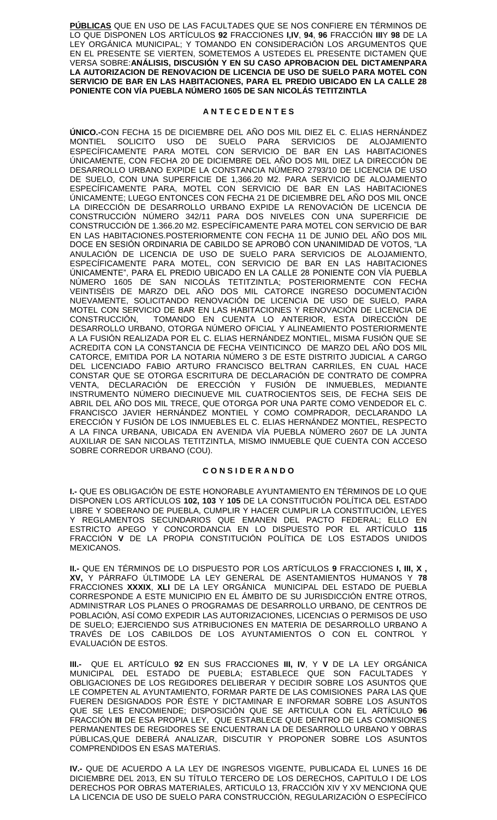**PÚBLICAS** QUE EN USO DE LAS FACULTADES QUE SE NOS CONFIERE EN TÉRMINOS DE LO QUE DISPONEN LOS ARTÍCULOS **92** FRACCIONES **I,IV**, **94**, **96** FRACCIÓN **III**Y **98** DE LA LEY ORGÁNICA MUNICIPAL; Y TOMANDO EN CONSIDERACIÓN LOS ARGUMENTOS QUE EN EL PRESENTE SE VIERTEN, SOMETEMOS A USTEDES EL PRESENTE DICTAMEN QUE VERSA SOBRE:**ANÁLISIS, DISCUSIÓN Y EN SU CASO APROBACION DEL DICTAMENPARA LA AUTORIZACION DE RENOVACION DE LICENCIA DE USO DE SUELO PARA MOTEL CON SERVICIO DE BAR EN LAS HABITACIONES, PARA EL PREDIO UBICADO EN LA CALLE 28 PONIENTE CON VÍA PUEBLA NÚMERO 1605 DE SAN NICOLÁS TETITZINTLA**

#### **A N T E C E D E N T E S**

**ÚNICO.-**CON FECHA 15 DE DICIEMBRE DEL AÑO DOS MIL DIEZ EL C. ELIAS HERNÁNDEZ MONTIEL SOLICITO USO DE SUELO PARA SERVICIOS DE ALOJAMIENTO ESPECÍFICAMENTE PARA MOTEL CON SERVICIO DE BAR EN LAS HABITACIONES ÚNICAMENTE, CON FECHA 20 DE DICIEMBRE DEL AÑO DOS MIL DIEZ LA DIRECCIÓN DE DESARROLLO URBANO EXPIDE LA CONSTANCIA NÚMERO 2793/10 DE LICENCIA DE USO DE SUELO, CON UNA SUPERFICIE DE 1,366.20 M2. PARA SERVICIO DE ALOJAMIENTO ESPECÍFICAMENTE PARA, MOTEL CON SERVICIO DE BAR EN LAS HABITACIONES ÚNICAMENTE; LUEGO ENTONCES CON FECHA 21 DE DICIEMBRE DEL AÑO DOS MIL ONCE LA DIRECCIÓN DE DESARROLLO URBANO EXPIDE LA RENOVACIÓN DE LICENCIA DE CONSTRUCCIÓN NÚMERO 342/11 PARA DOS NIVELES CON UNA SUPERFICIE DE CONSTRUCCIÓN DE 1.366.20 M2. ESPECÍFICAMENTE PARA MOTEL CON SERVICIO DE BAR EN LAS HABITACIONES.POSTERIORMENTE CON FECHA 11 DE JUNIO DEL AÑO DOS MIL DOCE EN SESIÓN ORDINARIA DE CABILDO SE APROBÓ CON UNANIMIDAD DE VOTOS, "LA ANULACIÓN DE LICENCIA DE USO DE SUELO PARA SERVICIOS DE ALOJAMIENTO, ESPECÍFICAMENTE PARA MOTEL, CON SERVICIO DE BAR EN LAS HABITACIONES ÚNICAMENTE", PARA EL PREDIO UBICADO EN LA CALLE 28 PONIENTE CON VÍA PUEBLA NÚMERO 1605 DE SAN NICOLÁS TETITZINTLA; POSTERIORMENTE CON FECHA VEINTISÉIS DE MARZO DEL AÑO DOS MIL CATORCE INGRESO DOCUMENTACIÓN NUEVAMENTE, SOLICITANDO RENOVACIÓN DE LICENCIA DE USO DE SUELO, PARA MOTEL CON SERVICIO DE BAR EN LAS HABITACIONES Y RENOVACIÓN DE LICENCIA DE CONSTRUCCIÓN, TOMANDO EN CUENTA LO ANTERIOR, ESTA DIRECCIÓN DE DESARROLLO URBANO, OTORGA NÚMERO OFICIAL Y ALINEAMIENTO POSTERIORMENTE A LA FUSIÓN REALIZADA POR EL C. ELIAS HERNÁNDEZ MONTIEL, MISMA FUSIÓN QUE SE ACREDITA CON LA CONSTANCIA DE FECHA VEINTICINCO DE MARZO DEL AÑO DOS MIL CATORCE, EMITIDA POR LA NOTARIA NÚMERO 3 DE ESTE DISTRITO JUDICIAL A CARGO DEL LICENCIADO FABIO ARTURO FRANCISCO BELTRAN CARRILES, EN CUAL HACE CONSTAR QUE SE OTORGA ESCRITURA DE DECLARACIÓN DE CONTRATO DE COMPRA VENTA, DECLARACIÓN DE ERECCIÓN Y FUSIÓN DE INMUEBLES, MEDIANTE INSTRUMENTO NÚMERO DIECINUEVE MIL CUATROCIENTOS SEIS, DE FECHA SEIS DE ABRIL DEL AÑO DOS MIL TRECE, QUE OTORGA POR UNA PARTE COMO VENDEDOR EL C. FRANCISCO JAVIER HERNÁNDEZ MONTIEL Y COMO COMPRADOR, DECLARANDO LA ERECCIÓN Y FUSIÓN DE LOS INMUEBLES EL C. ELIAS HERNÁNDEZ MONTIEL, RESPECTO A LA FINCA URBANA, UBICADA EN AVENIDA VÍA PUEBLA NÚMERO 2607 DE LA JUNTA AUXILIAR DE SAN NICOLAS TETITZINTLA, MISMO INMUEBLE QUE CUENTA CON ACCESO SOBRE CORREDOR URBANO (COU).

#### **C O N S I D E R A N D O**

**I.-** QUE ES OBLIGACIÓN DE ESTE HONORABLE AYUNTAMIENTO EN TÉRMINOS DE LO QUE DISPONEN LOS ARTÍCULOS **102, 103** Y **105** DE LA CONSTITUCIÓN POLÍTICA DEL ESTADO LIBRE Y SOBERANO DE PUEBLA, CUMPLIR Y HACER CUMPLIR LA CONSTITUCIÓN, LEYES Y REGLAMENTOS SECUNDARIOS QUE EMANEN DEL PACTO FEDERAL; ELLO EN ESTRICTO APEGO Y CONCORDANCIA EN LO DISPUESTO POR EL ARTÍCULO **115**  FRACCIÓN **V** DE LA PROPIA CONSTITUCIÓN POLÍTICA DE LOS ESTADOS UNIDOS MEXICANOS.

**II.-** QUE EN TÉRMINOS DE LO DISPUESTO POR LOS ARTÍCULOS **9** FRACCIONES **I, III, X , XV,** Y PÁRRAFO ÚLTIMODE LA LEY GENERAL DE ASENTAMIENTOS HUMANOS Y **78** FRACCIONES **XXXIX**, **XLI** DE LA LEY ORGÁNICA MUNICIPAL DEL ESTADO DE PUEBLA CORRESPONDE A ESTE MUNICIPIO EN EL ÁMBITO DE SU JURISDICCIÓN ENTRE OTROS, ADMINISTRAR LOS PLANES O PROGRAMAS DE DESARROLLO URBANO, DE CENTROS DE POBLACIÓN, ASÍ COMO EXPEDIR LAS AUTORIZACIONES, LICENCIAS O PERMISOS DE USO DE SUELO; EJERCIENDO SUS ATRIBUCIONES EN MATERIA DE DESARROLLO URBANO A TRAVÉS DE LOS CABILDOS DE LOS AYUNTAMIENTOS O CON EL CONTROL Y EVALUACIÓN DE ESTOS.

**III.-** QUE EL ARTÍCULO **92** EN SUS FRACCIONES **III, IV**, Y **V** DE LA LEY ORGÁNICA MUNICIPAL DEL ESTADO DE PUEBLA; ESTABLECE QUE SON FACULTADES OBLIGACIONES DE LOS REGIDORES DELIBERAR Y DECIDIR SOBRE LOS ASUNTOS QUE LE COMPETEN AL AYUNTAMIENTO, FORMAR PARTE DE LAS COMISIONES PARA LAS QUE FUEREN DESIGNADOS POR ÉSTE Y DICTAMINAR E INFORMAR SOBRE LOS ASUNTOS QUE SE LES ENCOMIENDE; DISPOSICIÓN QUE SE ARTICULA CON EL ARTÍCULO **96** FRACCIÓN **III** DE ESA PROPIA LEY, QUE ESTABLECE QUE DENTRO DE LAS COMISIONES PERMANENTES DE REGIDORES SE ENCUENTRAN LA DE DESARROLLO URBANO Y OBRAS PÚBLICAS,QUE DEBERÁ ANALIZAR, DISCUTIR Y PROPONER SOBRE LOS ASUNTOS COMPRENDIDOS EN ESAS MATERIAS.

**IV.-** QUE DE ACUERDO A LA LEY DE INGRESOS VIGENTE, PUBLICADA EL LUNES 16 DE DICIEMBRE DEL 2013, EN SU TÍTULO TERCERO DE LOS DERECHOS, CAPITULO I DE LOS DERECHOS POR OBRAS MATERIALES, ARTICULO 13, FRACCIÓN XIV Y XV MENCIONA QUE LA LICENCIA DE USO DE SUELO PARA CONSTRUCCIÓN, REGULARIZACIÓN O ESPECÍFICO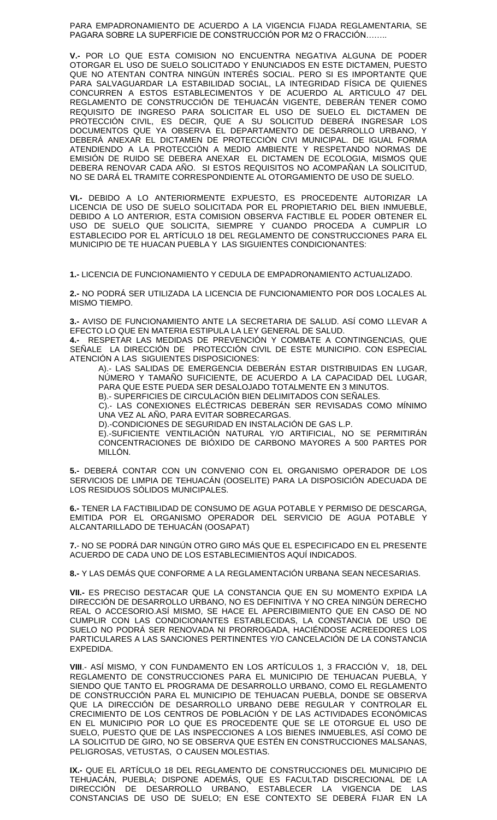PARA EMPADRONAMIENTO DE ACUERDO A LA VIGENCIA FIJADA REGLAMENTARIA, SE PAGARA SOBRE LA SUPERFICIE DE CONSTRUCCIÓN POR M2 O FRACCIÓN……..

**V.-** POR LO QUE ESTA COMISION NO ENCUENTRA NEGATIVA ALGUNA DE PODER OTORGAR EL USO DE SUELO SOLICITADO Y ENUNCIADOS EN ESTE DICTAMEN, PUESTO QUE NO ATENTAN CONTRA NINGÚN INTERÉS SOCIAL. PERO SI ES IMPORTANTE QUE PARA SALVAGUARDAR LA ESTABILIDAD SOCIAL, LA INTEGRIDAD FÍSICA DE QUIENES CONCURREN A ESTOS ESTABLECIMENTOS Y DE ACUERDO AL ARTICULO 47 DEL REGLAMENTO DE CONSTRUCCIÓN DE TEHUACÁN VIGENTE, DEBERÁN TENER COMO REQUISITO DE INGRESO PARA SOLICITAR EL USO DE SUELO EL DICTAMEN DE PROTECCIÓN CIVIL, ES DECIR, QUE A SU SOLICITUD DEBERÁ INGRESAR LOS DOCUMENTOS QUE YA OBSERVA EL DEPARTAMENTO DE DESARROLLO URBANO, Y DEBERÁ ANEXAR EL DICTAMEN DE PROTECCIÓN CIVI MUNICIPAL. DE IGUAL FORMA ATENDIENDO A LA PROTECCIÓN A MEDIO AMBIENTE Y RESPETANDO NORMAS DE EMISIÓN DE RUIDO SE DEBERA ANEXAR EL DICTAMEN DE ECOLOGIA, MISMOS QUE DEBERA RENOVAR CADA AÑO. SI ESTOS REQUISITOS NO ACOMPAÑAN LA SOLICITUD, NO SE DARÁ EL TRAMITE CORRESPONDIENTE AL OTORGAMIENTO DE USO DE SUELO.

**VI.-** DEBIDO A LO ANTERIORMENTE EXPUESTO, ES PROCEDENTE AUTORIZAR LA LICENCIA DE USO DE SUELO SOLICITADA POR EL PROPIETARIO DEL BIEN INMUEBLE, DEBIDO A LO ANTERIOR, ESTA COMISION OBSERVA FACTIBLE EL PODER OBTENER EL USO DE SUELO QUE SOLICITA, SIEMPRE Y CUANDO PROCEDA A CUMPLIR LO ESTABLECIDO POR EL ARTÍCULO 18 DEL REGLAMENTO DE CONSTRUCCIONES PARA EL MUNICIPIO DE TE HUACAN PUEBLA Y LAS SIGUIENTES CONDICIONANTES:

**1.-** LICENCIA DE FUNCIONAMIENTO Y CEDULA DE EMPADRONAMIENTO ACTUALIZADO.

**2.-** NO PODRÁ SER UTILIZADA LA LICENCIA DE FUNCIONAMIENTO POR DOS LOCALES AL MISMO TIEMPO.

**3.-** AVISO DE FUNCIONAMIENTO ANTE LA SECRETARIA DE SALUD. ASÍ COMO LLEVAR A EFECTO LO QUE EN MATERIA ESTIPULA LA LEY GENERAL DE SALUD.

**4.-** RESPETAR LAS MEDIDAS DE PREVENCIÓN Y COMBATE A CONTINGENCIAS, QUE SEÑALE LA DIRECCIÓN DE PROTECCIÓN CIVIL DE ESTE MUNICIPIO. CON ESPECIAL ATENCIÓN A LAS SIGUIENTES DISPOSICIONES:

A).- LAS SALIDAS DE EMERGENCIA DEBERÁN ESTAR DISTRIBUIDAS EN LUGAR, NÚMERO Y TAMAÑO SUFICIENTE, DE ACUERDO A LA CAPACIDAD DEL LUGAR, PARA QUE ESTE PUEDA SER DESALOJADO TOTALMENTE EN 3 MINUTOS. B).- SUPERFICIES DE CIRCULACIÓN BIEN DELIMITADOS CON SEÑALES.

C).- LAS CONEXIONES ELÉCTRICAS DEBERÁN SER REVISADAS COMO MÍNIMO UNA VEZ AL AÑO, PARA EVITAR SOBRECARGAS.

D).-CONDICIONES DE SEGURIDAD EN INSTALACIÓN DE GAS L.P.

E).-SUFICIENTE VENTILACIÓN NATURAL Y/O ARTIFICIAL, NO SE PERMITIRÁN CONCENTRACIONES DE BIÓXIDO DE CARBONO MAYORES A 500 PARTES POR MILLÓN.

**5.-** DEBERÁ CONTAR CON UN CONVENIO CON EL ORGANISMO OPERADOR DE LOS SERVICIOS DE LIMPIA DE TEHUACÁN (OOSELITE) PARA LA DISPOSICIÓN ADECUADA DE LOS RESIDUOS SÓLIDOS MUNICIPALES.

**6.-** TENER LA FACTIBILIDAD DE CONSUMO DE AGUA POTABLE Y PERMISO DE DESCARGA, EMITIDA POR EL ORGANISMO OPERADOR DEL SERVICIO DE AGUA POTABLE Y ALCANTARILLADO DE TEHUACÁN (OOSAPAT)

**7.**- NO SE PODRÁ DAR NINGÚN OTRO GIRO MÁS QUE EL ESPECIFICADO EN EL PRESENTE ACUERDO DE CADA UNO DE LOS ESTABLECIMIENTOS AQUÍ INDICADOS.

**8.-** Y LAS DEMÁS QUE CONFORME A LA REGLAMENTACIÓN URBANA SEAN NECESARIAS.

**VII.-** ES PRECISO DESTACAR QUE LA CONSTANCIA QUE EN SU MOMENTO EXPIDA LA DIRECCIÓN DE DESARROLLO URBANO, NO ES DEFINITIVA Y NO CREA NINGÚN DERECHO REAL O ACCESORIO.ASÍ MISMO, SE HACE EL APERCIBIMIENTO QUE EN CASO DE NO CUMPLIR CON LAS CONDICIONANTES ESTABLECIDAS, LA CONSTANCIA DE USO DE SUELO NO PODRÁ SER RENOVADA NI PRORROGADA, HACIÉNDOSE ACREEDORES LOS PARTICULARES A LAS SANCIONES PERTINENTES Y/O CANCELACIÓN DE LA CONSTANCIA EXPEDIDA.

**VIII**.- ASÍ MISMO, Y CON FUNDAMENTO EN LOS ARTÍCULOS 1, 3 FRACCIÓN V, 18, DEL REGLAMENTO DE CONSTRUCCIONES PARA EL MUNICIPIO DE TEHUACAN PUEBLA, Y SIENDO QUE TANTO EL PROGRAMA DE DESARROLLO URBANO, COMO EL REGLAMENTO DE CONSTRUCCIÓN PARA EL MUNICIPIO DE TEHUACAN PUEBLA, DONDE SE OBSERVA QUE LA DIRECCIÓN DE DESARROLLO URBANO DEBE REGULAR Y CONTROLAR EL CRECIMIENTO DE LOS CENTROS DE POBLACIÓN Y DE LAS ACTIVIDADES ECONÓMICAS EN EL MUNICIPIO POR LO QUE ES PROCEDENTE QUE SE LE OTORGUE EL USO DE SUELO, PUESTO QUE DE LAS INSPECCIONES A LOS BIENES INMUEBLES, ASÍ COMO DE LA SOLICITUD DE GIRO, NO SE OBSERVA QUE ESTÉN EN CONSTRUCCIONES MALSANAS, PELIGROSAS, VETUSTAS, O CAUSEN MOLESTIAS.

**IX.-** QUE EL ARTÍCULO 18 DEL REGLAMENTO DE CONSTRUCCIONES DEL MUNICIPIO DE TEHUACÁN, PUEBLA; DISPONE ADEMÁS, QUE ES FACULTAD DISCRECIONAL DE LA DIRECCIÓN DE DESARROLLO URBANO, ESTABLECER LA VIGENCIA DE LAS CONSTANCIAS DE USO DE SUELO; EN ESE CONTEXTO SE DEBERÁ FIJAR EN LA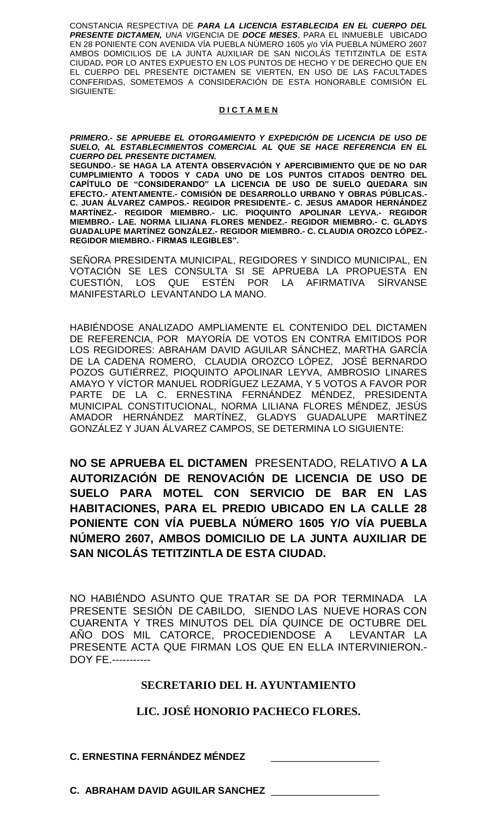CONSTANCIA RESPECTIVA DE *PARA LA LICENCIA ESTABLECIDA EN EL CUERPO DEL PRESENTE DICTAMEN, UNA VI*GENCIA DE *DOCE MESES*, PARA EL INMUEBLE UBICADO EN 28 PONIENTE CON AVENIDA VÍA PUEBLA NÚMERO 1605 y/o VÍA PUEBLA NÚMERO 2607 AMBOS DOMICILIOS DE LA JUNTA AUXILIAR DE SAN NICOLÁS TETITZINTLA DE ESTA CIUDAD**.** POR LO ANTES EXPUESTO EN LOS PUNTOS DE HECHO Y DE DERECHO QUE EN EL CUERPO DEL PRESENTE DICTAMEN SE VIERTEN, EN USO DE LAS FACULTADES CONFERIDAS, SOMETEMOS A CONSIDERACIÓN DE ESTA HONORABLE COMISIÓN EL SIGUIENTE:

#### **D I C T A M E N**

*PRIMERO.- SE APRUEBE EL OTORGAMIENTO Y EXPEDICIÓN DE LICENCIA DE USO DE SUELO, AL ESTABLECIMIENTOS COMERCIAL AL QUE SE HACE REFERENCIA EN EL CUERPO DEL PRESENTE DICTAMEN.*

**SEGUNDO.- SE HAGA LA ATENTA OBSERVACIÓN Y APERCIBIMIENTO QUE DE NO DAR CUMPLIMIENTO A TODOS Y CADA UNO DE LOS PUNTOS CITADOS DENTRO DEL CAPÍTULO DE "CONSIDERANDO" LA LICENCIA DE USO DE SUELO QUEDARA SIN EFECTO.- ATENTAMENTE.- COMISIÓN DE DESARROLLO URBANO Y OBRAS PÚBLICAS.- C. JUAN ÁLVAREZ CAMPOS.- REGIDOR PRESIDENTE.- C. JESUS AMADOR HERNÁNDEZ MARTÍNEZ.- REGIDOR MIEMBRO.- LIC. PIOQUINTO APOLINAR LEYVA.- REGIDOR MIEMBRO.- LAE. NORMA LILIANA FLORES MENDEZ.- REGIDOR MIEMBRO.- C. GLADYS GUADALUPE MARTÍNEZ GONZÁLEZ.- REGIDOR MIEMBRO.- C. CLAUDIA OROZCO LÓPEZ.- REGIDOR MIEMBRO.- FIRMAS ILEGIBLES".**

SEÑORA PRESIDENTA MUNICIPAL, REGIDORES Y SINDICO MUNICIPAL, EN VOTACIÓN SE LES CONSULTA SI SE APRUEBA LA PROPUESTA EN CUESTIÓN, LOS QUE ESTÉN POR LA AFIRMATIVA SÍRVANSE MANIFESTARLO LEVANTANDO LA MANO.

HABIÉNDOSE ANALIZADO AMPLIAMENTE EL CONTENIDO DEL DICTAMEN DE REFERENCIA, POR MAYORÍA DE VOTOS EN CONTRA EMITIDOS POR LOS REGIDORES: ABRAHAM DAVID AGUILAR SÁNCHEZ, MARTHA GARCÍA DE LA CADENA ROMERO, CLAUDIA OROZCO LÓPEZ, JOSÉ BERNARDO POZOS GUTIÉRREZ, PIOQUINTO APOLINAR LEYVA, AMBROSIO LINARES AMAYO Y VÍCTOR MANUEL RODRÍGUEZ LEZAMA, Y 5 VOTOS A FAVOR POR PARTE DE LA C. ERNESTINA FERNÁNDEZ MÉNDEZ, PRESIDENTA MUNICIPAL CONSTITUCIONAL, NORMA LILIANA FLORES MÉNDEZ, JESÚS AMADOR HERNÁNDEZ MARTÍNEZ, GLADYS GUADALUPE MARTÍNEZ GONZÁLEZ Y JUAN ÁLVAREZ CAMPOS, SE DETERMINA LO SIGUIENTE:

**NO SE APRUEBA EL DICTAMEN** PRESENTADO, RELATIVO **A LA AUTORIZACIÓN DE RENOVACIÓN DE LICENCIA DE USO DE SUELO PARA MOTEL CON SERVICIO DE BAR EN LAS HABITACIONES, PARA EL PREDIO UBICADO EN LA CALLE 28 PONIENTE CON VÍA PUEBLA NÚMERO 1605 Y/O VÍA PUEBLA NÚMERO 2607, AMBOS DOMICILIO DE LA JUNTA AUXILIAR DE SAN NICOLÁS TETITZINTLA DE ESTA CIUDAD.**

NO HABIÉNDO ASUNTO QUE TRATAR SE DA POR TERMINADA LA PRESENTE SESIÓN DE CABILDO, SIENDO LAS NUEVE HORAS CON CUARENTA Y TRES MINUTOS DEL DÍA QUINCE DE OCTUBRE DEL AÑO DOS MIL CATORCE, PROCEDIENDOSE A LEVANTAR LA PRESENTE ACTA QUE FIRMAN LOS QUE EN ELLA INTERVINIERON.- DOY FE.-----------

## **SECRETARIO DEL H. AYUNTAMIENTO**

# **LIC. JOSÉ HONORIO PACHECO FLORES.**

**C. ERNESTINA FERNÁNDEZ MÉNDEZ** \_\_\_\_\_\_\_\_\_\_\_\_\_\_\_\_\_\_\_\_

**C. ABRAHAM DAVID AGUILAR SANCHEZ** \_\_\_\_\_\_\_\_\_\_\_\_\_\_\_\_\_\_\_\_